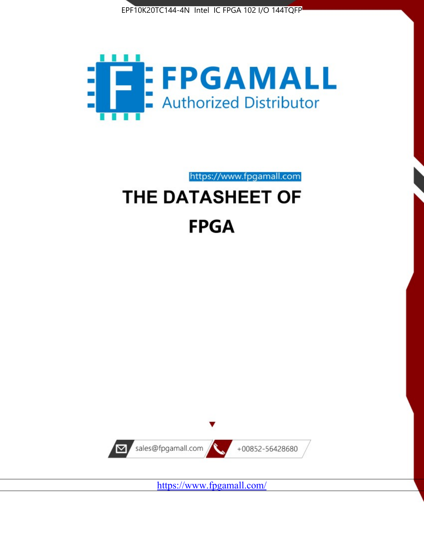



https://www.fpgamall.com

# THE DATASHEET OF **FPGA**



<https://www.fpgamall.com/>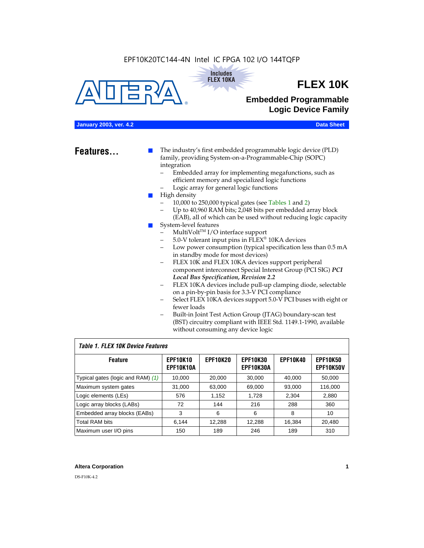#### EPF10K20TC144-4N Intel IC FPGA 102 I/O 144TQFP





## **FLEX 10K**

### **Embedded Programmable Logic Device Family**

#### **January 2003, ver. 4.2 Data Sheet**

**Features...** ■ The industry's first embedded programmable logic device (PLD) family, providing System-on-a-Programmable-Chip (SOPC) integration

- Embedded array for implementing megafunctions, such as efficient memory and specialized logic functions
- Logic array for general logic functions
- High density
	- 10,000 to 250,000 typical gates (see Tables 1 and 2)
	- Up to 40,960 RAM bits; 2,048 bits per embedded array block (EAB), all of which can be used without reducing logic capacity
- System-level features
	- $MultiVolt<sup>TM</sup> I/O interface support$
	- 5.0-V tolerant input pins in FLEX® 10KA devices
	- Low power consumption (typical specification less than 0.5 mA in standby mode for most devices)
	- FLEX 10K and FLEX 10KA devices support peripheral component interconnect Special Interest Group (PCI SIG) *PCI Local Bus Specification, Revision 2.2*
	- FLEX 10KA devices include pull-up clamping diode, selectable on a pin-by-pin basis for 3.3-V PCI compliance
	- Select FLEX 10KA devices support 5.0-V PCI buses with eight or fewer loads
	- Built-in Joint Test Action Group (JTAG) boundary-scan test (BST) circuitry compliant with IEEE Std. 1149.1-1990, available without consuming any device logic

#### *Table 1. FLEX 10K Device Features*

| <b>Feature</b>                    | <b>EPF10K10</b><br>EPF10K10A | <b>EPF10K20</b> | <b>EPF10K30</b><br><b>EPF10K30A</b> | <b>EPF10K40</b> | <b>EPF10K50</b><br><b>EPF10K50V</b> |
|-----------------------------------|------------------------------|-----------------|-------------------------------------|-----------------|-------------------------------------|
| Typical gates (logic and RAM) (1) | 10,000                       | 20,000          | 30,000                              | 40,000          | 50,000                              |
| Maximum system gates              | 31,000                       | 63,000          | 69,000                              | 93,000          | 116,000                             |
| Logic elements (LEs)              | 576                          | 1,152           | 1,728                               | 2,304           | 2,880                               |
| Logic array blocks (LABs)         | 72                           | 144             | 216                                 | 288             | 360                                 |
| Embedded array blocks (EABs)      | 3                            | 6               | 6                                   | 8               | 10                                  |
| <b>Total RAM bits</b>             | 6.144                        | 12,288          | 12,288                              | 16,384          | 20,480                              |
| Maximum user I/O pins             | 150                          | 189             | 246                                 | 189             | 310                                 |

#### **Altera Corporation 1**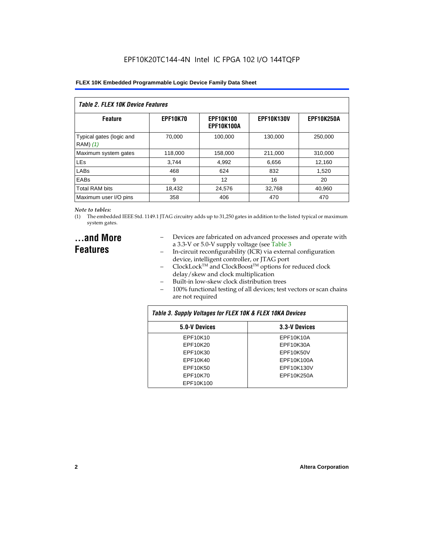| Table 2. FLEX 10K Device Features    |                 |                                |                   |                   |  |
|--------------------------------------|-----------------|--------------------------------|-------------------|-------------------|--|
| <b>Feature</b>                       | <b>EPF10K70</b> | <b>EPF10K100</b><br>EPF10K100A | <b>EPF10K130V</b> | <b>EPF10K250A</b> |  |
| Typical gates (logic and<br>RAM) (1) | 70.000          | 100.000                        | 130.000           | 250,000           |  |
| Maximum system gates                 | 118,000         | 158,000                        | 211,000           | 310,000           |  |
| <b>LEs</b>                           | 3.744           | 4,992                          | 6,656             | 12,160            |  |
| LABs                                 | 468             | 624                            | 832               | 1,520             |  |
| EABs                                 | 9               | 12                             | 16                | 20                |  |
| <b>Total RAM bits</b>                | 18,432          | 24,576                         | 32,768            | 40,960            |  |
| Maximum user I/O pins                | 358             | 406                            | 470               | 470               |  |

#### *Note to tables:*

(1) The embedded IEEE Std. 1149.1 JTAG circuitry adds up to 31,250 gates in addition to the listed typical or maximum system gates.

### **...and More Features**

- Devices are fabricated on advanced processes and operate with a 3.3-V or 5.0-V supply voltage (see Table 3
- In-circuit reconfigurability (ICR) via external configuration device, intelligent controller, or JTAG port
- $ClockLock^{TM}$  and  $ClockBoost^{TM}$  options for reduced clock delay/skew and clock multiplication
- Built-in low-skew clock distribution trees
- 100% functional testing of all devices; test vectors or scan chains are not required

| Table 3. Supply Voltages for FLEX 10K & FLEX 10KA Devices |               |  |  |  |
|-----------------------------------------------------------|---------------|--|--|--|
| 5.0-V Devices                                             | 3.3-V Devices |  |  |  |
| EPF10K10                                                  | EPF10K10A     |  |  |  |
| EPF10K20                                                  | EPF10K30A     |  |  |  |
| EPF10K30                                                  | EPF10K50V     |  |  |  |
| EPF10K40                                                  | EPF10K100A    |  |  |  |
| EPF10K50                                                  | EPF10K130V    |  |  |  |
| EPF10K70                                                  | EPF10K250A    |  |  |  |
| EPF10K100                                                 |               |  |  |  |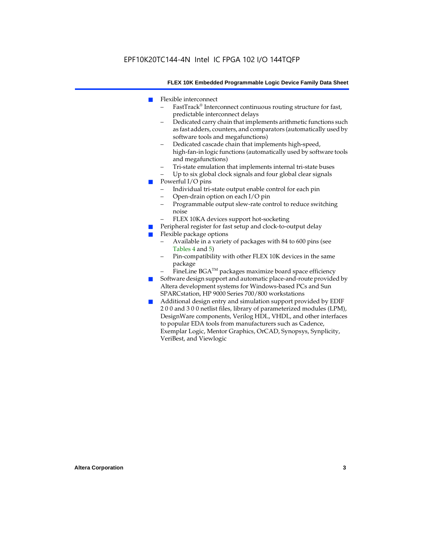- Flexible interconnect
	- FastTrack® Interconnect continuous routing structure for fast, predictable interconnect delays
	- Dedicated carry chain that implements arithmetic functions such as fast adders, counters, and comparators (automatically used by software tools and megafunctions)
	- Dedicated cascade chain that implements high-speed, high-fan-in logic functions (automatically used by software tools and megafunctions)
	- Tri-state emulation that implements internal tri-state buses
	- Up to six global clock signals and four global clear signals
- Powerful I/O pins
	- Individual tri-state output enable control for each pin
	- Open-drain option on each I/O pin
	- Programmable output slew-rate control to reduce switching noise
	- FLEX 10KA devices support hot-socketing
- Peripheral register for fast setup and clock-to-output delay
- Flexible package options
	- Available in a variety of packages with 84 to 600 pins (see Tables 4 and 5)
	- Pin-compatibility with other FLEX 10K devices in the same package
	- FineLine BGA<sup>TM</sup> packages maximize board space efficiency
- Software design support and automatic place-and-route provided by Altera development systems for Windows-based PCs and Sun SPARCstation, HP 9000 Series 700/800 workstations
- Additional design entry and simulation support provided by EDIF 2 0 0 and 3 0 0 netlist files, library of parameterized modules (LPM), DesignWare components, Verilog HDL, VHDL, and other interfaces to popular EDA tools from manufacturers such as Cadence, Exemplar Logic, Mentor Graphics, OrCAD, Synopsys, Synplicity, VeriBest, and Viewlogic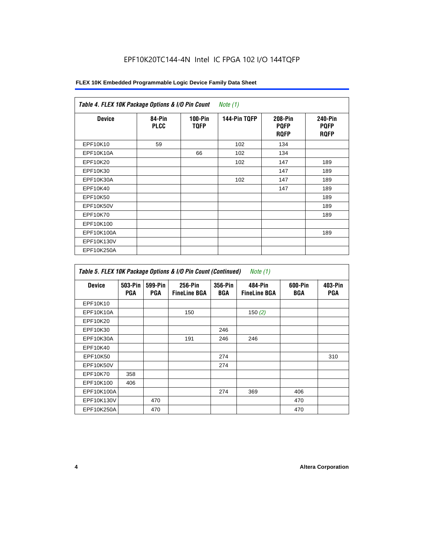### EPF10K20TC144-4N Intel IC FPGA 102 I/O 144TQFP

#### **FLEX 10K Embedded Programmable Logic Device Family Data Sheet**

| <b>Device</b> | 84-Pin<br><b>PLCC</b> | $100-Pin$<br><b>TQFP</b> | 144-Pin TQFP | 208-Pin<br><b>PQFP</b><br><b>ROFP</b> | <b>240-Pin</b><br><b>PQFP</b><br><b>RQFP</b> |
|---------------|-----------------------|--------------------------|--------------|---------------------------------------|----------------------------------------------|
| EPF10K10      | 59                    |                          | 102          | 134                                   |                                              |
| EPF10K10A     |                       | 66                       | 102          | 134                                   |                                              |
| EPF10K20      |                       |                          | 102          | 147                                   | 189                                          |
| EPF10K30      |                       |                          |              | 147                                   | 189                                          |
| EPF10K30A     |                       |                          | 102          | 147                                   | 189                                          |
| EPF10K40      |                       |                          |              | 147                                   | 189                                          |
| EPF10K50      |                       |                          |              |                                       | 189                                          |
| EPF10K50V     |                       |                          |              |                                       | 189                                          |
| EPF10K70      |                       |                          |              |                                       | 189                                          |
| EPF10K100     |                       |                          |              |                                       |                                              |
| EPF10K100A    |                       |                          |              |                                       | 189                                          |
| EPF10K130V    |                       |                          |              |                                       |                                              |
| EPF10K250A    |                       |                          |              |                                       |                                              |

| Table 5. FLEX 10K Package Options & I/O Pin Count (Continued)<br>Note $(1)$ |                       |                       |                                |                       |                                |                |                       |
|-----------------------------------------------------------------------------|-----------------------|-----------------------|--------------------------------|-----------------------|--------------------------------|----------------|-----------------------|
| <b>Device</b>                                                               | 503-Pin<br><b>PGA</b> | 599-Pin<br><b>PGA</b> | 256-Pin<br><b>FineLine BGA</b> | 356-Pin<br><b>BGA</b> | 484-Pin<br><b>FineLine BGA</b> | 600-Pin<br>BGA | 403-Pin<br><b>PGA</b> |
| EPF10K10                                                                    |                       |                       |                                |                       |                                |                |                       |
| EPF10K10A                                                                   |                       |                       | 150                            |                       | 150 $(2)$                      |                |                       |
| EPF10K20                                                                    |                       |                       |                                |                       |                                |                |                       |
| EPF10K30                                                                    |                       |                       |                                | 246                   |                                |                |                       |
| EPF10K30A                                                                   |                       |                       | 191                            | 246                   | 246                            |                |                       |
| EPF10K40                                                                    |                       |                       |                                |                       |                                |                |                       |
| EPF10K50                                                                    |                       |                       |                                | 274                   |                                |                | 310                   |
| EPF10K50V                                                                   |                       |                       |                                | 274                   |                                |                |                       |
| EPF10K70                                                                    | 358                   |                       |                                |                       |                                |                |                       |
| EPF10K100                                                                   | 406                   |                       |                                |                       |                                |                |                       |
| EPF10K100A                                                                  |                       |                       |                                | 274                   | 369                            | 406            |                       |
| EPF10K130V                                                                  |                       | 470                   |                                |                       |                                | 470            |                       |
| EPF10K250A                                                                  |                       | 470                   |                                |                       |                                | 470            |                       |

 $\mathbf{r}$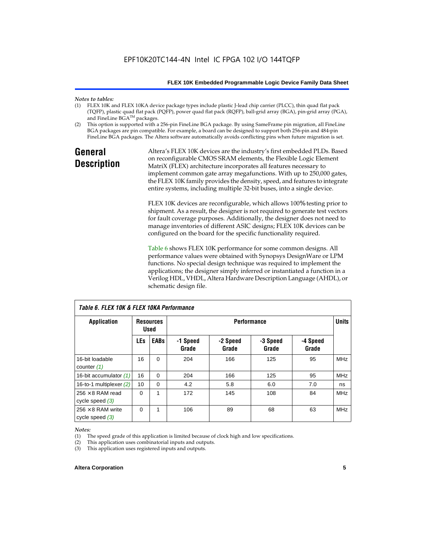### *Notes to tables:*

- FLEX 10K and FLEX 10KA device package types include plastic J-lead chip carrier (PLCC), thin quad flat pack (TQFP), plastic quad flat pack (PQFP), power quad flat pack (RQFP), ball-grid array (BGA), pin-grid array (PGA), and FineLine BGA™ packages.
- (2) This option is supported with a 256-pin FineLine BGA package. By using SameFrame pin migration, all FineLine BGA packages are pin compatible. For example, a board can be designed to support both 256-pin and 484-pin FineLine BGA packages. The Altera software automatically avoids conflicting pins when future migration is set.

### **General Description**

Altera's FLEX 10K devices are the industry's first embedded PLDs. Based on reconfigurable CMOS SRAM elements, the Flexible Logic Element MatriX (FLEX) architecture incorporates all features necessary to implement common gate array megafunctions. With up to 250,000 gates, the FLEX 10K family provides the density, speed, and features to integrate entire systems, including multiple 32-bit buses, into a single device.

FLEX 10K devices are reconfigurable, which allows 100% testing prior to shipment. As a result, the designer is not required to generate test vectors for fault coverage purposes. Additionally, the designer does not need to manage inventories of different ASIC designs; FLEX 10K devices can be configured on the board for the specific functionality required.

Table 6 shows FLEX 10K performance for some common designs. All performance values were obtained with Synopsys DesignWare or LPM functions. No special design technique was required to implement the applications; the designer simply inferred or instantiated a function in a Verilog HDL, VHDL, Altera Hardware Description Language (AHDL), or schematic design file.

| TADIE D. FLEA TUN & FLEA TUNA FEITUITUAILLE   |                                                |             |                   |                   |                   |                   |            |
|-----------------------------------------------|------------------------------------------------|-------------|-------------------|-------------------|-------------------|-------------------|------------|
| <b>Application</b>                            | <b>Performance</b><br><b>Resources</b><br>Used |             |                   |                   |                   | <b>Units</b>      |            |
|                                               | <b>LEs</b>                                     | <b>EABs</b> | -1 Speed<br>Grade | -2 Speed<br>Grade | -3 Speed<br>Grade | -4 Speed<br>Grade |            |
| 16-bit loadable<br>counter $(1)$              | 16                                             | 0           | 204               | 166               | 125               | 95                | <b>MHz</b> |
| 16-bit accumulator (1)                        | 16                                             | $\Omega$    | 204               | 166               | 125               | 95                | <b>MHz</b> |
| 16-to-1 multiplexer $(2)$                     | 10                                             | $\Omega$    | 4.2               | 5.8               | 6.0               | 7.0               | ns         |
| $256 \times 8$ RAM read<br>cycle speed $(3)$  | $\Omega$                                       | 1           | 172               | 145               | 108               | 84                | <b>MHz</b> |
| 256 $\times$ 8 RAM write<br>cycle speed $(3)$ | 0                                              | 1           | 106               | 89                | 68                | 63                | <b>MHz</b> |

*Table 6. FLEX 10K & FLEX 10KA Performance*

#### *Notes:*

(1) The speed grade of this application is limited because of clock high and low specifications.

(2) This application uses combinatorial inputs and outputs.

(3) This application uses registered inputs and outputs.

#### **Altera Corporation 5**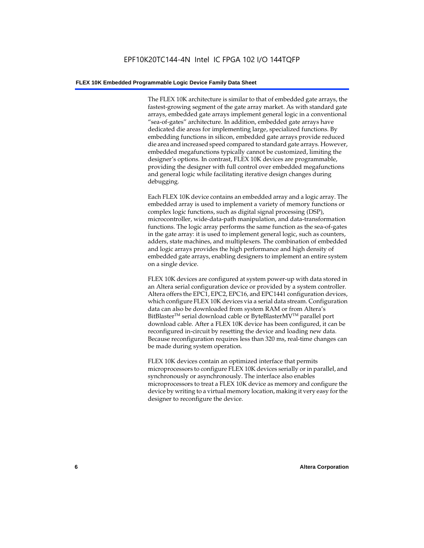The FLEX 10K architecture is similar to that of embedded gate arrays, the fastest-growing segment of the gate array market. As with standard gate arrays, embedded gate arrays implement general logic in a conventional "sea-of-gates" architecture. In addition, embedded gate arrays have dedicated die areas for implementing large, specialized functions. By embedding functions in silicon, embedded gate arrays provide reduced die area and increased speed compared to standard gate arrays. However, embedded megafunctions typically cannot be customized, limiting the designer's options. In contrast, FLEX 10K devices are programmable, providing the designer with full control over embedded megafunctions and general logic while facilitating iterative design changes during debugging.

Each FLEX 10K device contains an embedded array and a logic array. The embedded array is used to implement a variety of memory functions or complex logic functions, such as digital signal processing (DSP), microcontroller, wide-data-path manipulation, and data-transformation functions. The logic array performs the same function as the sea-of-gates in the gate array: it is used to implement general logic, such as counters, adders, state machines, and multiplexers. The combination of embedded and logic arrays provides the high performance and high density of embedded gate arrays, enabling designers to implement an entire system on a single device.

FLEX 10K devices are configured at system power-up with data stored in an Altera serial configuration device or provided by a system controller. Altera offers the EPC1, EPC2, EPC16, and EPC1441 configuration devices, which configure FLEX 10K devices via a serial data stream. Configuration data can also be downloaded from system RAM or from Altera's BitBlaster<sup>™</sup> serial download cable or ByteBlasterMV<sup>™</sup> parallel port download cable. After a FLEX 10K device has been configured, it can be reconfigured in-circuit by resetting the device and loading new data. Because reconfiguration requires less than 320 ms, real-time changes can be made during system operation.

FLEX 10K devices contain an optimized interface that permits microprocessors to configure FLEX 10K devices serially or in parallel, and synchronously or asynchronously. The interface also enables microprocessors to treat a FLEX 10K device as memory and configure the device by writing to a virtual memory location, making it very easy for the designer to reconfigure the device.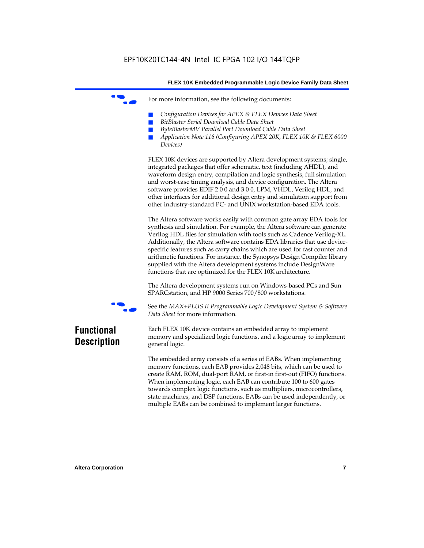For more information, see the following documents:

- *Configuration Devices for APEX & FLEX Devices Data Sheet*
- $BitBlaster$  Serial Download Cable Data Sheet
- *ByteBlasterMV Parallel Port Download Cable Data Sheet*
- *Application Note 116 (Configuring APEX 20K, FLEX 10K & FLEX 6000 Devices)*

FLEX 10K devices are supported by Altera development systems; single, integrated packages that offer schematic, text (including AHDL), and waveform design entry, compilation and logic synthesis, full simulation and worst-case timing analysis, and device configuration. The Altera software provides EDIF 2 0 0 and 3 0 0, LPM, VHDL, Verilog HDL, and other interfaces for additional design entry and simulation support from other industry-standard PC- and UNIX workstation-based EDA tools.

The Altera software works easily with common gate array EDA tools for synthesis and simulation. For example, the Altera software can generate Verilog HDL files for simulation with tools such as Cadence Verilog-XL. Additionally, the Altera software contains EDA libraries that use devicespecific features such as carry chains which are used for fast counter and arithmetic functions. For instance, the Synopsys Design Compiler library supplied with the Altera development systems include DesignWare functions that are optimized for the FLEX 10K architecture.

The Altera development systems run on Windows-based PCs and Sun SPARCstation, and HP 9000 Series 700/800 workstations.



f See the *MAX+PLUS II Programmable Logic Development System & Software Data Sheet* for more information.

### **Functional Description**

Each FLEX 10K device contains an embedded array to implement memory and specialized logic functions, and a logic array to implement general logic.

The embedded array consists of a series of EABs. When implementing memory functions, each EAB provides 2,048 bits, which can be used to create RAM, ROM, dual-port RAM, or first-in first-out (FIFO) functions. When implementing logic, each EAB can contribute 100 to 600 gates towards complex logic functions, such as multipliers, microcontrollers, state machines, and DSP functions. EABs can be used independently, or multiple EABs can be combined to implement larger functions.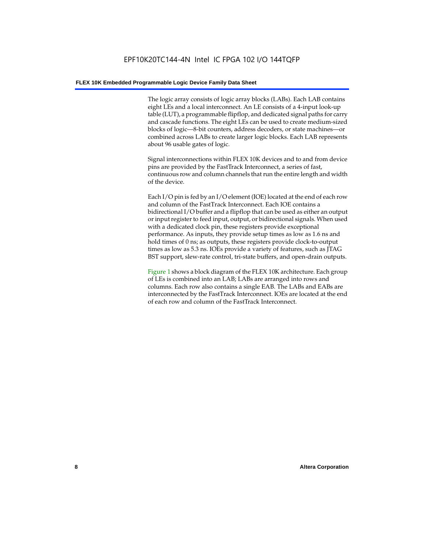The logic array consists of logic array blocks (LABs). Each LAB contains eight LEs and a local interconnect. An LE consists of a 4-input look-up table (LUT), a programmable flipflop, and dedicated signal paths for carry and cascade functions. The eight LEs can be used to create medium-sized blocks of logic—8-bit counters, address decoders, or state machines—or combined across LABs to create larger logic blocks. Each LAB represents about 96 usable gates of logic.

Signal interconnections within FLEX 10K devices and to and from device pins are provided by the FastTrack Interconnect, a series of fast, continuous row and column channels that run the entire length and width of the device.

Each I/O pin is fed by an I/O element (IOE) located at the end of each row and column of the FastTrack Interconnect. Each IOE contains a bidirectional I/O buffer and a flipflop that can be used as either an output or input register to feed input, output, or bidirectional signals. When used with a dedicated clock pin, these registers provide exceptional performance. As inputs, they provide setup times as low as 1.6 ns and hold times of 0 ns; as outputs, these registers provide clock-to-output times as low as 5.3 ns. IOEs provide a variety of features, such as JTAG BST support, slew-rate control, tri-state buffers, and open-drain outputs.

Figure 1 shows a block diagram of the FLEX 10K architecture. Each group of LEs is combined into an LAB; LABs are arranged into rows and columns. Each row also contains a single EAB. The LABs and EABs are interconnected by the FastTrack Interconnect. IOEs are located at the end of each row and column of the FastTrack Interconnect.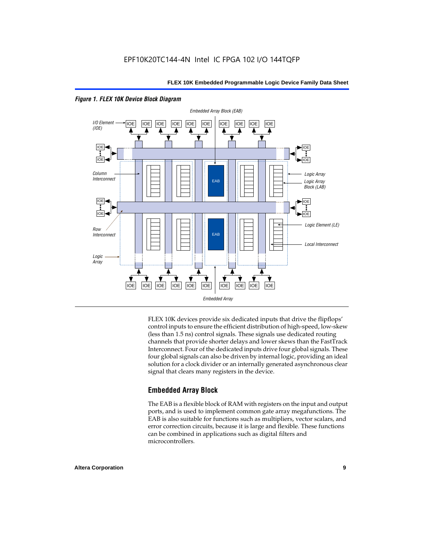

#### *Figure 1. FLEX 10K Device Block Diagram*

FLEX 10K devices provide six dedicated inputs that drive the flipflops' control inputs to ensure the efficient distribution of high-speed, low-skew (less than 1.5 ns) control signals. These signals use dedicated routing channels that provide shorter delays and lower skews than the FastTrack Interconnect. Four of the dedicated inputs drive four global signals. These four global signals can also be driven by internal logic, providing an ideal solution for a clock divider or an internally generated asynchronous clear signal that clears many registers in the device.

#### **Embedded Array Block**

The EAB is a flexible block of RAM with registers on the input and output ports, and is used to implement common gate array megafunctions. The EAB is also suitable for functions such as multipliers, vector scalars, and error correction circuits, because it is large and flexible. These functions can be combined in applications such as digital filters and microcontrollers.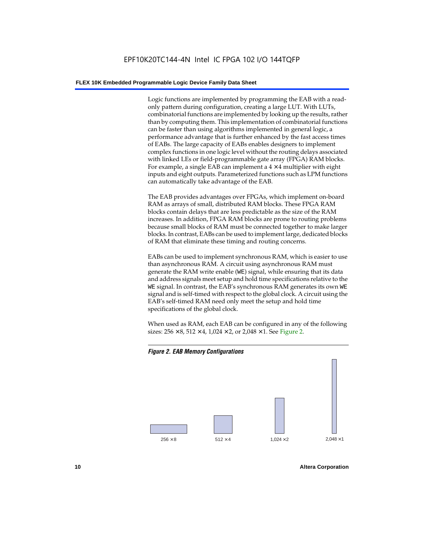Logic functions are implemented by programming the EAB with a readonly pattern during configuration, creating a large LUT. With LUTs, combinatorial functions are implemented by looking up the results, rather than by computing them. This implementation of combinatorial functions can be faster than using algorithms implemented in general logic, a performance advantage that is further enhanced by the fast access times of EABs. The large capacity of EABs enables designers to implement complex functions in one logic level without the routing delays associated with linked LEs or field-programmable gate array (FPGA) RAM blocks. For example, a single EAB can implement a  $4 \times 4$  multiplier with eight inputs and eight outputs. Parameterized functions such as LPM functions can automatically take advantage of the EAB.

The EAB provides advantages over FPGAs, which implement on-board RAM as arrays of small, distributed RAM blocks. These FPGA RAM blocks contain delays that are less predictable as the size of the RAM increases. In addition, FPGA RAM blocks are prone to routing problems because small blocks of RAM must be connected together to make larger blocks. In contrast, EABs can be used to implement large, dedicated blocks of RAM that eliminate these timing and routing concerns.

EABs can be used to implement synchronous RAM, which is easier to use than asynchronous RAM. A circuit using asynchronous RAM must generate the RAM write enable (WE) signal, while ensuring that its data and address signals meet setup and hold time specifications relative to the WE signal. In contrast, the EAB's synchronous RAM generates its own WE signal and is self-timed with respect to the global clock. A circuit using the EAB's self-timed RAM need only meet the setup and hold time specifications of the global clock.

When used as RAM, each EAB can be configured in any of the following sizes:  $256 \times 8$ ,  $512 \times 4$ ,  $1,024 \times 2$ , or  $2,048 \times 1$ . See Figure 2.



**10 Altera Corporation**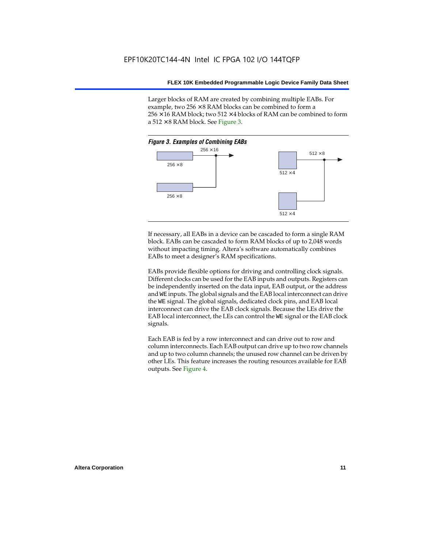Larger blocks of RAM are created by combining multiple EABs. For example, two  $256 \times 8$  RAM blocks can be combined to form a  $256 \times 16$  RAM block; two  $512 \times 4$  blocks of RAM can be combined to form a  $512 \times 8$  RAM block. See Figure 3.



If necessary, all EABs in a device can be cascaded to form a single RAM block. EABs can be cascaded to form RAM blocks of up to 2,048 words without impacting timing. Altera's software automatically combines EABs to meet a designer's RAM specifications.

EABs provide flexible options for driving and controlling clock signals. Different clocks can be used for the EAB inputs and outputs. Registers can be independently inserted on the data input, EAB output, or the address and WE inputs. The global signals and the EAB local interconnect can drive the WE signal. The global signals, dedicated clock pins, and EAB local interconnect can drive the EAB clock signals. Because the LEs drive the EAB local interconnect, the LEs can control the WE signal or the EAB clock signals.

Each EAB is fed by a row interconnect and can drive out to row and column interconnects. Each EAB output can drive up to two row channels and up to two column channels; the unused row channel can be driven by other LEs. This feature increases the routing resources available for EAB outputs. See Figure 4.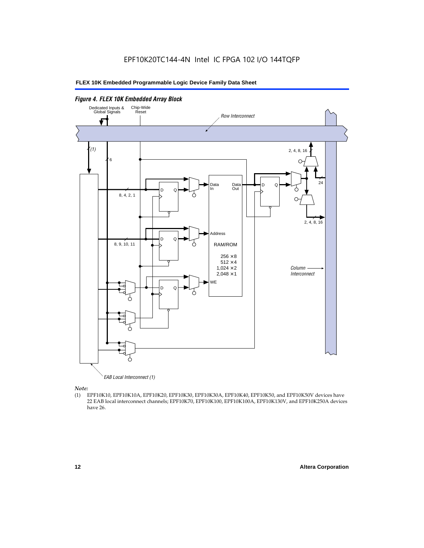

*Note:*<br>(1) **H** 

(1) EPF10K10, EPF10K10A, EPF10K20, EPF10K30, EPF10K30A, EPF10K40, EPF10K50, and EPF10K50V devices have 22 EAB local interconnect channels; EPF10K70, EPF10K100, EPF10K100A, EPF10K130V, and EPF10K250A devices have 26.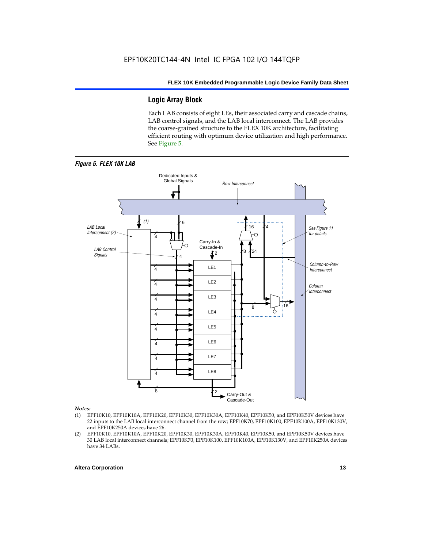#### **Logic Array Block**

Each LAB consists of eight LEs, their associated carry and cascade chains, LAB control signals, and the LAB local interconnect. The LAB provides the coarse-grained structure to the FLEX 10K architecture, facilitating efficient routing with optimum device utilization and high performance. See Figure 5.



#### *Notes:*

- (1) EPF10K10, EPF10K10A, EPF10K20, EPF10K30, EPF10K30A, EPF10K40, EPF10K50, and EPF10K50V devices have 22 inputs to the LAB local interconnect channel from the row; EPF10K70, EPF10K100, EPF10K100A, EPF10K130V, and EPF10K250A devices have 26.
- (2) EPF10K10, EPF10K10A, EPF10K20, EPF10K30, EPF10K30A, EPF10K40, EPF10K50, and EPF10K50V devices have 30 LAB local interconnect channels; EPF10K70, EPF10K100, EPF10K100A, EPF10K130V, and EPF10K250A devices have 34 LABs.

#### **Altera Corporation 13 13**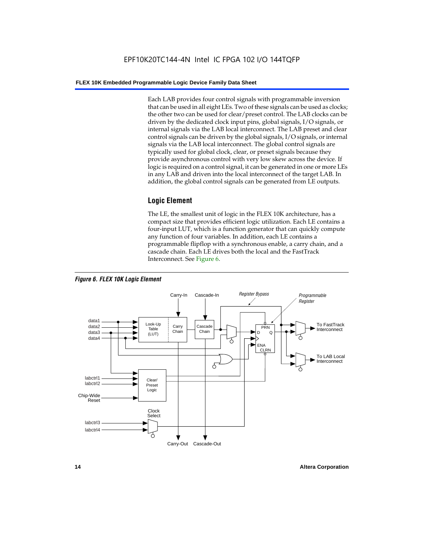Each LAB provides four control signals with programmable inversion that can be used in all eight LEs. Two of these signals can be used as clocks; the other two can be used for clear/preset control. The LAB clocks can be driven by the dedicated clock input pins, global signals, I/O signals, or internal signals via the LAB local interconnect. The LAB preset and clear control signals can be driven by the global signals, I/O signals, or internal signals via the LAB local interconnect. The global control signals are typically used for global clock, clear, or preset signals because they provide asynchronous control with very low skew across the device. If logic is required on a control signal, it can be generated in one or more LEs in any LAB and driven into the local interconnect of the target LAB. In addition, the global control signals can be generated from LE outputs.

#### **Logic Element**

The LE, the smallest unit of logic in the FLEX 10K architecture, has a compact size that provides efficient logic utilization. Each LE contains a four-input LUT, which is a function generator that can quickly compute any function of four variables. In addition, each LE contains a programmable flipflop with a synchronous enable, a carry chain, and a cascade chain. Each LE drives both the local and the FastTrack Interconnect. See Figure 6.



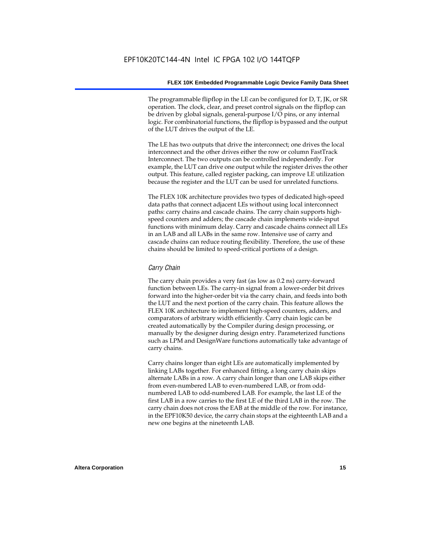The programmable flipflop in the LE can be configured for D, T, JK, or SR operation. The clock, clear, and preset control signals on the flipflop can be driven by global signals, general-purpose I/O pins, or any internal logic. For combinatorial functions, the flipflop is bypassed and the output of the LUT drives the output of the LE.

The LE has two outputs that drive the interconnect; one drives the local interconnect and the other drives either the row or column FastTrack Interconnect. The two outputs can be controlled independently. For example, the LUT can drive one output while the register drives the other output. This feature, called register packing, can improve LE utilization because the register and the LUT can be used for unrelated functions.

The FLEX 10K architecture provides two types of dedicated high-speed data paths that connect adjacent LEs without using local interconnect paths: carry chains and cascade chains. The carry chain supports highspeed counters and adders; the cascade chain implements wide-input functions with minimum delay. Carry and cascade chains connect all LEs in an LAB and all LABs in the same row. Intensive use of carry and cascade chains can reduce routing flexibility. Therefore, the use of these chains should be limited to speed-critical portions of a design.

#### *Carry Chain*

The carry chain provides a very fast (as low as 0.2 ns) carry-forward function between LEs. The carry-in signal from a lower-order bit drives forward into the higher-order bit via the carry chain, and feeds into both the LUT and the next portion of the carry chain. This feature allows the FLEX 10K architecture to implement high-speed counters, adders, and comparators of arbitrary width efficiently. Carry chain logic can be created automatically by the Compiler during design processing, or manually by the designer during design entry. Parameterized functions such as LPM and DesignWare functions automatically take advantage of carry chains.

Carry chains longer than eight LEs are automatically implemented by linking LABs together. For enhanced fitting, a long carry chain skips alternate LABs in a row. A carry chain longer than one LAB skips either from even-numbered LAB to even-numbered LAB, or from oddnumbered LAB to odd-numbered LAB. For example, the last LE of the first LAB in a row carries to the first LE of the third LAB in the row. The carry chain does not cross the EAB at the middle of the row. For instance, in the EPF10K50 device, the carry chain stops at the eighteenth LAB and a new one begins at the nineteenth LAB.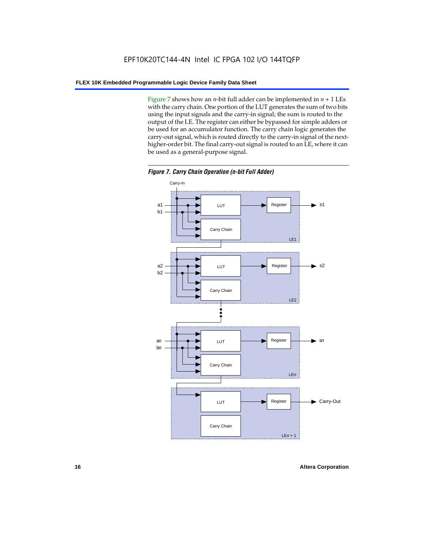Figure 7 shows how an *n*-bit full adder can be implemented in  $n + 1$  LEs with the carry chain. One portion of the LUT generates the sum of two bits using the input signals and the carry-in signal; the sum is routed to the output of the LE. The register can either be bypassed for simple adders or be used for an accumulator function. The carry chain logic generates the carry-out signal, which is routed directly to the carry-in signal of the nexthigher-order bit. The final carry-out signal is routed to an LE, where it can be used as a general-purpose signal.



*Figure 7. Carry Chain Operation (n-bit Full Adder)*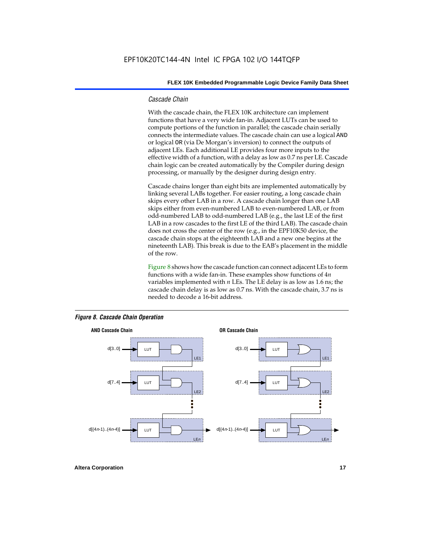#### *Cascade Chain*

With the cascade chain, the FLEX 10K architecture can implement functions that have a very wide fan-in. Adjacent LUTs can be used to compute portions of the function in parallel; the cascade chain serially connects the intermediate values. The cascade chain can use a logical AND or logical OR (via De Morgan's inversion) to connect the outputs of adjacent LEs. Each additional LE provides four more inputs to the effective width of a function, with a delay as low as 0.7 ns per LE. Cascade chain logic can be created automatically by the Compiler during design processing, or manually by the designer during design entry.

Cascade chains longer than eight bits are implemented automatically by linking several LABs together. For easier routing, a long cascade chain skips every other LAB in a row. A cascade chain longer than one LAB skips either from even-numbered LAB to even-numbered LAB, or from odd-numbered LAB to odd-numbered LAB (e.g., the last LE of the first LAB in a row cascades to the first LE of the third LAB). The cascade chain does not cross the center of the row (e.g., in the EPF10K50 device, the cascade chain stops at the eighteenth LAB and a new one begins at the nineteenth LAB). This break is due to the EAB's placement in the middle of the row.

Figure 8 shows how the cascade function can connect adjacent LEs to form functions with a wide fan-in. These examples show functions of 4*n* variables implemented with *n* LEs. The LE delay is as low as 1.6 ns; the cascade chain delay is as low as 0.7 ns. With the cascade chain, 3.7 ns is needed to decode a 16-bit address.



#### *Figure 8. Cascade Chain Operation*

**Altera Corporation 17 17**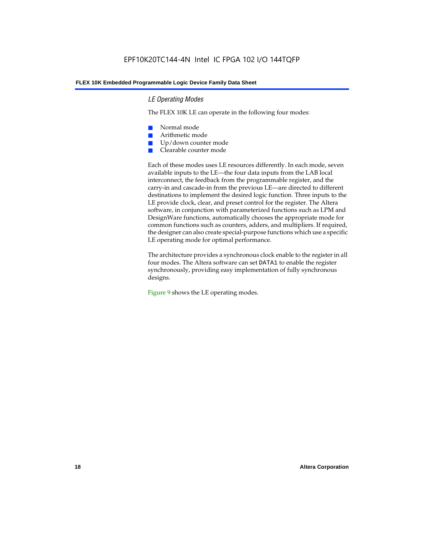#### *LE Operating Modes*

The FLEX 10K LE can operate in the following four modes:

- Normal mode
- Arithmetic mode
- Up/down counter mode
- Clearable counter mode

Each of these modes uses LE resources differently. In each mode, seven available inputs to the LE—the four data inputs from the LAB local interconnect, the feedback from the programmable register, and the carry-in and cascade-in from the previous LE—are directed to different destinations to implement the desired logic function. Three inputs to the LE provide clock, clear, and preset control for the register. The Altera software, in conjunction with parameterized functions such as LPM and DesignWare functions, automatically chooses the appropriate mode for common functions such as counters, adders, and multipliers. If required, the designer can also create special-purpose functions which use a specific LE operating mode for optimal performance.

The architecture provides a synchronous clock enable to the register in all four modes. The Altera software can set DATA1 to enable the register synchronously, providing easy implementation of fully synchronous designs.

Figure 9 shows the LE operating modes.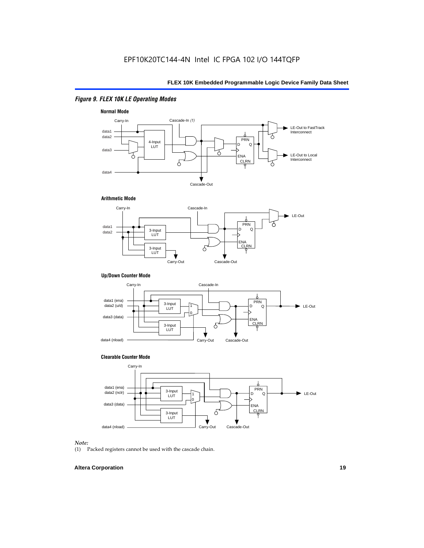#### *Figure 9. FLEX 10K LE Operating Modes*







#### **Up/Down Counter Mode**



#### **Clearable Counter Mode**



#### *Note:*

(1) Packed registers cannot be used with the cascade chain.

#### **Altera Corporation 19**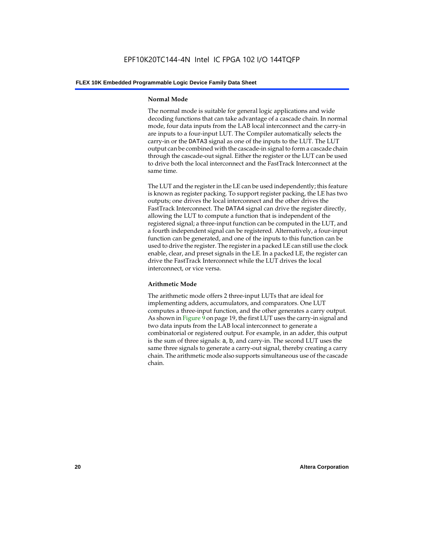#### **Normal Mode**

The normal mode is suitable for general logic applications and wide decoding functions that can take advantage of a cascade chain. In normal mode, four data inputs from the LAB local interconnect and the carry-in are inputs to a four-input LUT. The Compiler automatically selects the carry-in or the DATA3 signal as one of the inputs to the LUT. The LUT output can be combined with the cascade-in signal to form a cascade chain through the cascade-out signal. Either the register or the LUT can be used to drive both the local interconnect and the FastTrack Interconnect at the same time.

The LUT and the register in the LE can be used independently; this feature is known as register packing. To support register packing, the LE has two outputs; one drives the local interconnect and the other drives the FastTrack Interconnect. The DATA4 signal can drive the register directly, allowing the LUT to compute a function that is independent of the registered signal; a three-input function can be computed in the LUT, and a fourth independent signal can be registered. Alternatively, a four-input function can be generated, and one of the inputs to this function can be used to drive the register. The register in a packed LE can still use the clock enable, clear, and preset signals in the LE. In a packed LE, the register can drive the FastTrack Interconnect while the LUT drives the local interconnect, or vice versa.

#### **Arithmetic Mode**

The arithmetic mode offers 2 three-input LUTs that are ideal for implementing adders, accumulators, and comparators. One LUT computes a three-input function, and the other generates a carry output. As shown in Figure 9 on page 19, the first LUT uses the carry-in signal and two data inputs from the LAB local interconnect to generate a combinatorial or registered output. For example, in an adder, this output is the sum of three signals: a, b, and carry-in. The second LUT uses the same three signals to generate a carry-out signal, thereby creating a carry chain. The arithmetic mode also supports simultaneous use of the cascade chain.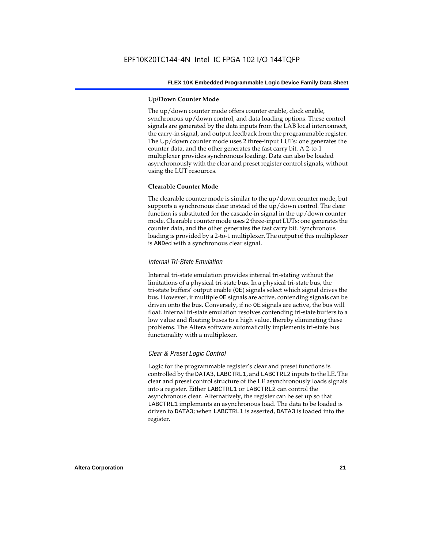#### **Up/Down Counter Mode**

The up/down counter mode offers counter enable, clock enable, synchronous up/down control, and data loading options. These control signals are generated by the data inputs from the LAB local interconnect, the carry-in signal, and output feedback from the programmable register. The Up/down counter mode uses 2 three-input LUTs: one generates the counter data, and the other generates the fast carry bit. A 2-to-1 multiplexer provides synchronous loading. Data can also be loaded asynchronously with the clear and preset register control signals, without using the LUT resources.

#### **Clearable Counter Mode**

The clearable counter mode is similar to the up/down counter mode, but supports a synchronous clear instead of the up/down control. The clear function is substituted for the cascade-in signal in the up/down counter mode. Clearable counter mode uses 2 three-input LUTs: one generates the counter data, and the other generates the fast carry bit. Synchronous loading is provided by a 2-to-1 multiplexer. The output of this multiplexer is ANDed with a synchronous clear signal.

#### *Internal Tri-State Emulation*

Internal tri-state emulation provides internal tri-stating without the limitations of a physical tri-state bus. In a physical tri-state bus, the tri-state buffers' output enable (OE) signals select which signal drives the bus. However, if multiple OE signals are active, contending signals can be driven onto the bus. Conversely, if no OE signals are active, the bus will float. Internal tri-state emulation resolves contending tri-state buffers to a low value and floating buses to a high value, thereby eliminating these problems. The Altera software automatically implements tri-state bus functionality with a multiplexer.

#### *Clear & Preset Logic Control*

Logic for the programmable register's clear and preset functions is controlled by the DATA3, LABCTRL1, and LABCTRL2 inputs to the LE. The clear and preset control structure of the LE asynchronously loads signals into a register. Either LABCTRL1 or LABCTRL2 can control the asynchronous clear. Alternatively, the register can be set up so that LABCTRL1 implements an asynchronous load. The data to be loaded is driven to DATA3; when LABCTRL1 is asserted, DATA3 is loaded into the register.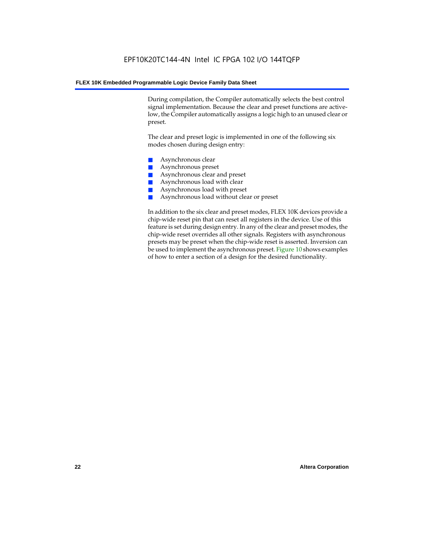During compilation, the Compiler automatically selects the best control signal implementation. Because the clear and preset functions are activelow, the Compiler automatically assigns a logic high to an unused clear or preset.

The clear and preset logic is implemented in one of the following six modes chosen during design entry:

- Asynchronous clear
- Asynchronous preset
- Asynchronous clear and preset
- Asynchronous load with clear
- Asynchronous load with preset
- Asynchronous load without clear or preset

In addition to the six clear and preset modes, FLEX 10K devices provide a chip-wide reset pin that can reset all registers in the device. Use of this feature is set during design entry. In any of the clear and preset modes, the chip-wide reset overrides all other signals. Registers with asynchronous presets may be preset when the chip-wide reset is asserted. Inversion can be used to implement the asynchronous preset. Figure 10 shows examples of how to enter a section of a design for the desired functionality.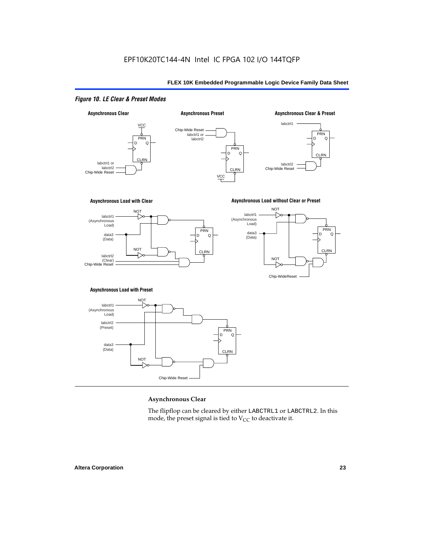### *Figure 10. LE Clear & Preset Modes*



#### **Asynchronous Clear**

The flipflop can be cleared by either LABCTRL1 or LABCTRL2. In this mode, the preset signal is tied to  $V_{CC}$  to deactivate it.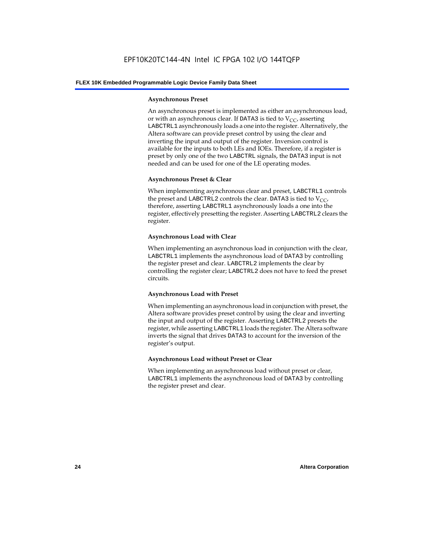#### **Asynchronous Preset**

An asynchronous preset is implemented as either an asynchronous load, or with an asynchronous clear. If DATA3 is tied to  $V_{CC}$ , asserting LABCTRL1 asynchronously loads a one into the register. Alternatively, the Altera software can provide preset control by using the clear and inverting the input and output of the register. Inversion control is available for the inputs to both LEs and IOEs. Therefore, if a register is preset by only one of the two LABCTRL signals, the DATA3 input is not needed and can be used for one of the LE operating modes.

#### **Asynchronous Preset & Clear**

When implementing asynchronous clear and preset, LABCTRL1 controls the preset and LABCTRL2 controls the clear. DATA3 is tied to  $V_{CC}$ , therefore, asserting LABCTRL1 asynchronously loads a one into the register, effectively presetting the register. Asserting LABCTRL2 clears the register.

#### **Asynchronous Load with Clear**

When implementing an asynchronous load in conjunction with the clear, LABCTRL1 implements the asynchronous load of DATA3 by controlling the register preset and clear. LABCTRL2 implements the clear by controlling the register clear; LABCTRL2 does not have to feed the preset circuits.

#### **Asynchronous Load with Preset**

When implementing an asynchronous load in conjunction with preset, the Altera software provides preset control by using the clear and inverting the input and output of the register. Asserting LABCTRL2 presets the register, while asserting LABCTRL1 loads the register. The Altera software inverts the signal that drives DATA3 to account for the inversion of the register's output.

#### **Asynchronous Load without Preset or Clear**

When implementing an asynchronous load without preset or clear, LABCTRL1 implements the asynchronous load of DATA3 by controlling the register preset and clear.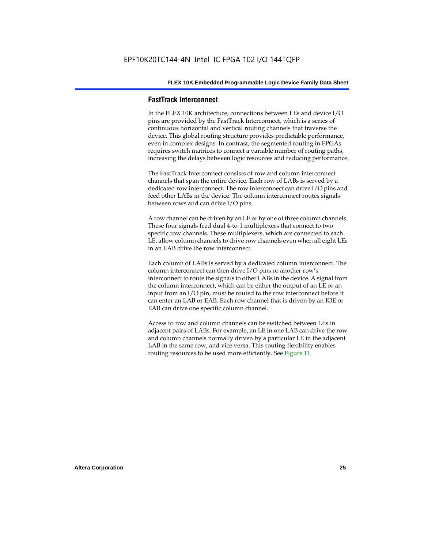#### **FastTrack Interconnect**

In the FLEX 10K architecture, connections between LEs and device I/O pins are provided by the FastTrack Interconnect, which is a series of continuous horizontal and vertical routing channels that traverse the device. This global routing structure provides predictable performance, even in complex designs. In contrast, the segmented routing in FPGAs requires switch matrices to connect a variable number of routing paths, increasing the delays between logic resources and reducing performance.

The FastTrack Interconnect consists of row and column interconnect channels that span the entire device. Each row of LABs is served by a dedicated row interconnect. The row interconnect can drive I/O pins and feed other LABs in the device. The column interconnect routes signals between rows and can drive I/O pins.

A row channel can be driven by an LE or by one of three column channels. These four signals feed dual 4-to-1 multiplexers that connect to two specific row channels. These multiplexers, which are connected to each LE, allow column channels to drive row channels even when all eight LEs in an LAB drive the row interconnect.

Each column of LABs is served by a dedicated column interconnect. The column interconnect can then drive I/O pins or another row's interconnect to route the signals to other LABs in the device. A signal from the column interconnect, which can be either the output of an LE or an input from an I/O pin, must be routed to the row interconnect before it can enter an LAB or EAB. Each row channel that is driven by an IOE or EAB can drive one specific column channel.

Access to row and column channels can be switched between LEs in adjacent pairs of LABs. For example, an LE in one LAB can drive the row and column channels normally driven by a particular LE in the adjacent LAB in the same row, and vice versa. This routing flexibility enables routing resources to be used more efficiently. See Figure 11.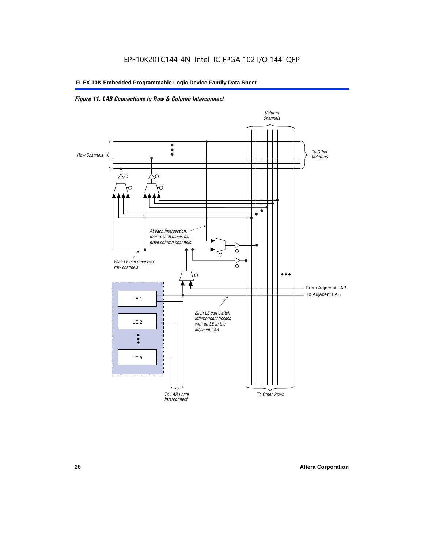#### *Figure 11. LAB Connections to Row & Column Interconnect*

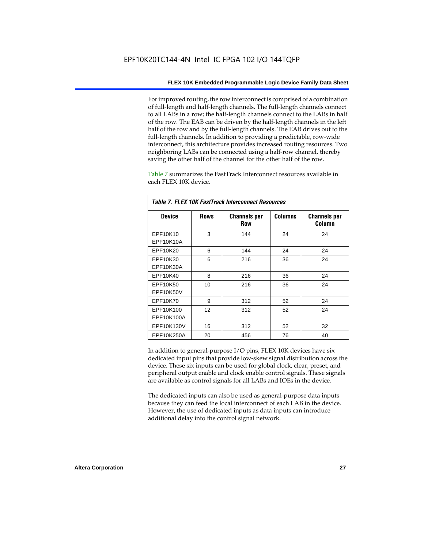For improved routing, the row interconnect is comprised of a combination of full-length and half-length channels. The full-length channels connect to all LABs in a row; the half-length channels connect to the LABs in half of the row. The EAB can be driven by the half-length channels in the left half of the row and by the full-length channels. The EAB drives out to the full-length channels. In addition to providing a predictable, row-wide interconnect, this architecture provides increased routing resources. Two neighboring LABs can be connected using a half-row channel, thereby saving the other half of the channel for the other half of the row.

Table 7 summarizes the FastTrack Interconnect resources available in each FLEX 10K device.

| Table 7. FLEX 10K FastTrack Interconnect Resources |             |                                   |                |                               |  |
|----------------------------------------------------|-------------|-----------------------------------|----------------|-------------------------------|--|
| <b>Device</b>                                      | <b>Rows</b> | <b>Channels per</b><br><b>Row</b> | <b>Columns</b> | <b>Channels per</b><br>Column |  |
| EPF10K10                                           | 3           | 144                               | 24             | 24                            |  |
| EPF10K10A                                          |             |                                   |                |                               |  |
| EPF10K20                                           | 6           | 144                               | 24             | 24                            |  |
| EPF10K30                                           | 6           | 216                               | 36             | 24                            |  |
| EPF10K30A                                          |             |                                   |                |                               |  |
| EPF10K40                                           | 8           | 216                               | 36             | 24                            |  |
| EPF10K50                                           | 10          | 216                               | 36             | 24                            |  |
| <b>EPF10K50V</b>                                   |             |                                   |                |                               |  |
| EPF10K70                                           | 9           | 312                               | 52             | 24                            |  |
| EPF10K100                                          | 12          | 312                               | 52             | 24                            |  |
| EPF10K100A                                         |             |                                   |                |                               |  |
| EPF10K130V                                         | 16          | 312                               | 52             | 32                            |  |
| EPF10K250A                                         | 20          | 456                               | 76             | 40                            |  |

In addition to general-purpose I/O pins, FLEX 10K devices have six dedicated input pins that provide low-skew signal distribution across the device. These six inputs can be used for global clock, clear, preset, and peripheral output enable and clock enable control signals. These signals are available as control signals for all LABs and IOEs in the device.

The dedicated inputs can also be used as general-purpose data inputs because they can feed the local interconnect of each LAB in the device. However, the use of dedicated inputs as data inputs can introduce additional delay into the control signal network.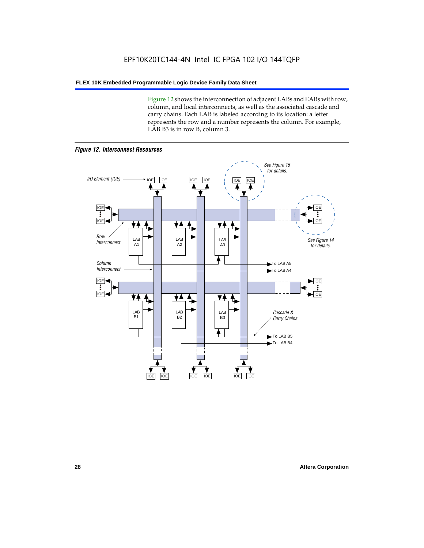Figure 12 shows the interconnection of adjacent LABs and EABs with row, column, and local interconnects, as well as the associated cascade and carry chains. Each LAB is labeled according to its location: a letter represents the row and a number represents the column. For example, LAB B3 is in row B, column 3.



*Figure 12. Interconnect Resources*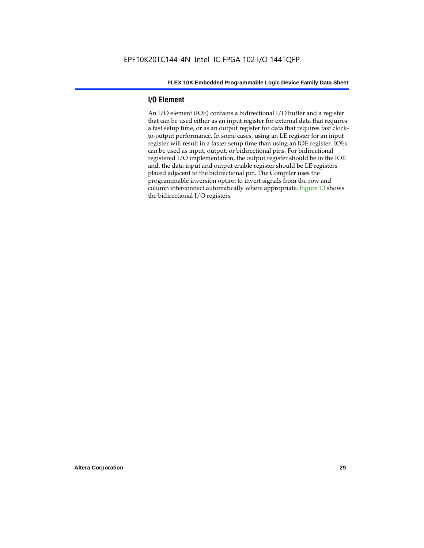#### **I/O Element**

An I/O element (IOE) contains a bidirectional I/O buffer and a register that can be used either as an input register for external data that requires a fast setup time, or as an output register for data that requires fast clockto-output performance. In some cases, using an LE register for an input register will result in a faster setup time than using an IOE register. IOEs can be used as input, output, or bidirectional pins. For bidirectional registered I/O implementation, the output register should be in the IOE and, the data input and output enable register should be LE registers placed adjacent to the bidirectional pin. The Compiler uses the programmable inversion option to invert signals from the row and column interconnect automatically where appropriate. Figure 13 shows the bidirectional I/O registers.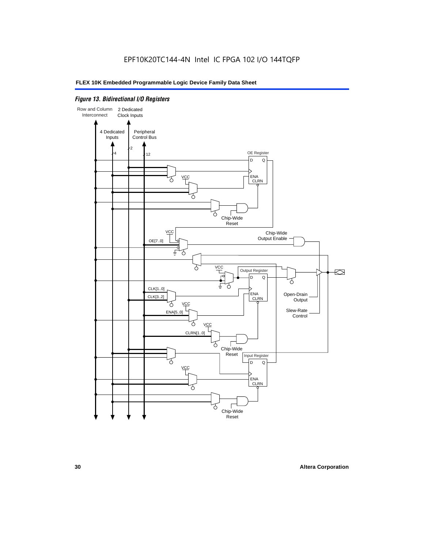#### *Figure 13. Bidirectional I/O Registers*

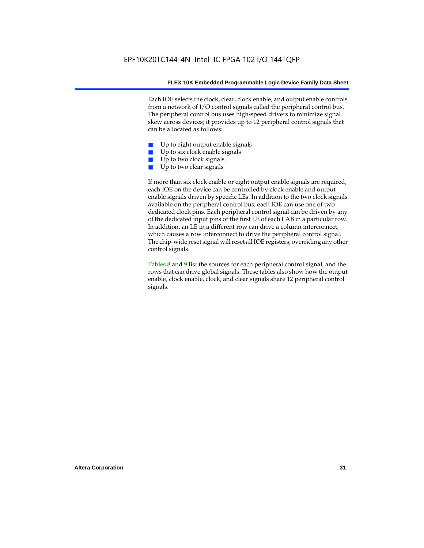Each IOE selects the clock, clear, clock enable, and output enable controls from a network of I/O control signals called the peripheral control bus. The peripheral control bus uses high-speed drivers to minimize signal skew across devices; it provides up to 12 peripheral control signals that can be allocated as follows:

- Up to eight output enable signals
- Up to six clock enable signals
- Up to two clock signals
- Up to two clear signals

If more than six clock enable or eight output enable signals are required, each IOE on the device can be controlled by clock enable and output enable signals driven by specific LEs. In addition to the two clock signals available on the peripheral control bus, each IOE can use one of two dedicated clock pins. Each peripheral control signal can be driven by any of the dedicated input pins or the first LE of each LAB in a particular row. In addition, an LE in a different row can drive a column interconnect, which causes a row interconnect to drive the peripheral control signal. The chip-wide reset signal will reset all IOE registers, overriding any other control signals.

Tables 8 and 9 list the sources for each peripheral control signal, and the rows that can drive global signals. These tables also show how the output enable, clock enable, clock, and clear signals share 12 peripheral control signals.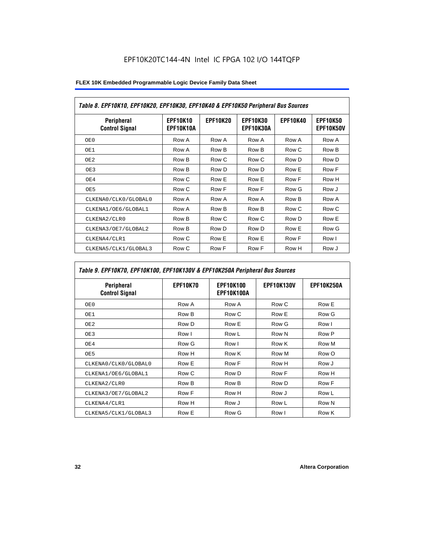| Table 8. EPF10K10, EPF10K20, EPF10K30, EPF10K40 & EPF10K50 Peripheral Bus Sources |                              |                 |                              |                 |                              |
|-----------------------------------------------------------------------------------|------------------------------|-----------------|------------------------------|-----------------|------------------------------|
| <b>Peripheral</b><br><b>Control Signal</b>                                        | <b>EPF10K10</b><br>EPF10K10A | <b>EPF10K20</b> | <b>EPF10K30</b><br>EPF10K30A | <b>EPF10K40</b> | <b>EPF10K50</b><br>EPF10K50V |
| OE0                                                                               | Row A                        | Row A           | Row A                        | Row A           | Row A                        |
| OE1                                                                               | Row A                        | Row B           | Row B                        | Row C           | Row B                        |
| OE <sub>2</sub>                                                                   | Row B                        | Row C           | Row C                        | Row D           | Row D                        |
| OE3                                                                               | Row B                        | Row D           | Row D                        | Row E           | Row F                        |
| OE4                                                                               | Row C                        | Row E           | Row E                        | Row F           | Row H                        |
| OE5                                                                               | Row C                        | Row F           | Row F                        | Row G           | Row J                        |
| CLKENA0/CLK0/GLOBAL0                                                              | Row A                        | Row A           | Row A                        | Row B           | Row A                        |
| CLKENA1/OE6/GLOBAL1                                                               | Row A                        | Row B           | Row B                        | Row C           | Row C                        |
| CLKENA2/CLR0                                                                      | Row B                        | Row C           | Row C                        | Row D           | Row E                        |
| CLKENA3/OE7/GLOBAL2                                                               | Row B                        | Row D           | Row D                        | Row E           | Row G                        |
| CLKENA4/CLR1                                                                      | Row C                        | Row E           | Row E                        | Row F           | Row I                        |
| CLKENA5/CLK1/GLOBAL3                                                              | Row C                        | Row F           | Row F                        | Row H           | Row J                        |

#### *Table 9. EPF10K70, EPF10K100, EPF10K130V & EPF10K250A Peripheral Bus Sources*

| Peripheral<br><b>Control Signal</b> | <b>EPF10K70</b> | <b>EPF10K100</b><br>EPF10K100A | <b>EPF10K130V</b> | <b>EPF10K250A</b> |
|-------------------------------------|-----------------|--------------------------------|-------------------|-------------------|
| OE0                                 | Row A           | Row A                          | Row C             | Row E             |
| OE1                                 | Row B           | Row C                          | Row E             | Row G             |
| OE <sub>2</sub>                     | Row D           | Row E                          | Row G             | Row I             |
| OE3                                 | Row I           | Row L                          | Row N             | Row P             |
| OE4                                 | Row G           | Row I                          | Row K             | Row M             |
| OE5                                 | Row H           | Row K                          | Row M             | Row O             |
| CLKENA0/CLK0/GLOBAL0                | Row E           | Row F                          | Row H             | Row J             |
| CLKENA1/OE6/GLOBAL1                 | Row C           | Row D                          | Row F             | Row H             |
| CLKENA2/CLR0                        | Row B           | Row B                          | Row D             | Row F             |
| CLKENA3/OE7/GLOBAL2                 | Row F           | Row H                          | Row J             | Row L             |
| CLKENA4/CLR1                        | Row H           | Row J                          | Row L             | Row N             |
| CLKENA5/CLK1/GLOBAL3                | Row E           | Row G                          | Row I             | Row K             |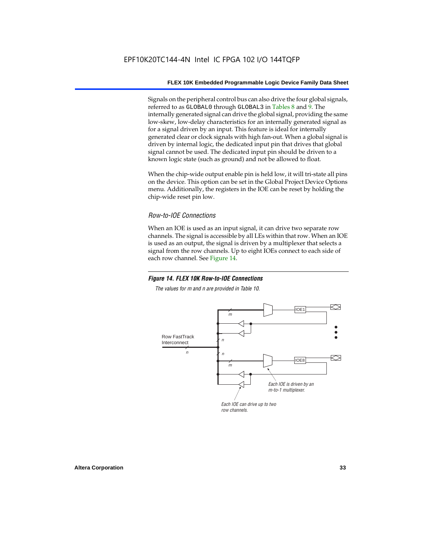Signals on the peripheral control bus can also drive the four global signals, referred to as GLOBAL0 through GLOBAL3 in Tables 8 and 9. The internally generated signal can drive the global signal, providing the same low-skew, low-delay characteristics for an internally generated signal as for a signal driven by an input. This feature is ideal for internally generated clear or clock signals with high fan-out. When a global signal is driven by internal logic, the dedicated input pin that drives that global signal cannot be used. The dedicated input pin should be driven to a known logic state (such as ground) and not be allowed to float.

When the chip-wide output enable pin is held low, it will tri-state all pins on the device. This option can be set in the Global Project Device Options menu. Additionally, the registers in the IOE can be reset by holding the chip-wide reset pin low.

#### *Row-to-IOE Connections*

When an IOE is used as an input signal, it can drive two separate row channels. The signal is accessible by all LEs within that row. When an IOE is used as an output, the signal is driven by a multiplexer that selects a signal from the row channels. Up to eight IOEs connect to each side of each row channel. See Figure 14.

#### *Figure 14. FLEX 10K Row-to-IOE Connections*

*The values for m and n are provided in Table 10.*

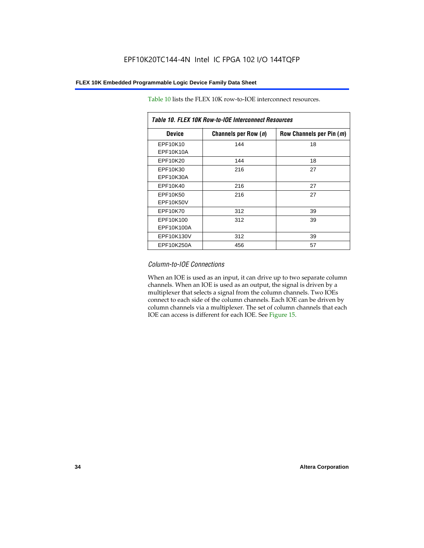| Table 10. FLEX 10K Row-to-IOE Interconnect Resources |                      |                          |  |  |  |
|------------------------------------------------------|----------------------|--------------------------|--|--|--|
| <b>Device</b>                                        | Channels per Row (n) | Row Channels per Pin (m) |  |  |  |
| EPF10K10<br>EPF10K10A                                | 144                  | 18                       |  |  |  |
| EPF10K20                                             | 144                  | 18                       |  |  |  |
| EPF10K30<br>EPF10K30A                                | 216                  | 27                       |  |  |  |
| EPF10K40                                             | 216                  | 27                       |  |  |  |
| EPF10K50<br>EPF10K50V                                | 216                  | 27                       |  |  |  |
| EPF10K70                                             | 312                  | 39                       |  |  |  |
| EPF10K100<br>EPF10K100A                              | 312                  | 39                       |  |  |  |
| EPF10K130V                                           | 312                  | 39                       |  |  |  |
| EPF10K250A                                           | 456                  | 57                       |  |  |  |

Table 10 lists the FLEX 10K row-to-IOE interconnect resources.

#### *Column-to-IOE Connections*

When an IOE is used as an input, it can drive up to two separate column channels. When an IOE is used as an output, the signal is driven by a multiplexer that selects a signal from the column channels. Two IOEs connect to each side of the column channels. Each IOE can be driven by column channels via a multiplexer. The set of column channels that each IOE can access is different for each IOE. See Figure 15.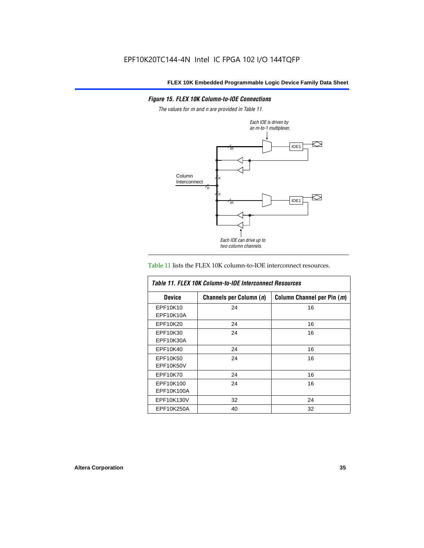#### *Figure 15. FLEX 10K Column-to-IOE Connections*

*The values for m and n are provided in Table 11.*



#### Table 11 lists the FLEX 10K column-to-IOE interconnect resources.

| <b>Table 11. FLEX 10K Column-to-IOE Interconnect Resources</b> |                         |                            |  |  |  |
|----------------------------------------------------------------|-------------------------|----------------------------|--|--|--|
| <b>Device</b>                                                  | Channels per Column (n) | Column Channel per Pin (m) |  |  |  |
| EPF10K10<br>EPF10K10A                                          | 24                      | 16                         |  |  |  |
| EPF10K20                                                       | 24                      | 16                         |  |  |  |
| EPF10K30<br>EPF10K30A                                          | 24                      | 16                         |  |  |  |
| EPF10K40                                                       | 24                      | 16                         |  |  |  |
| EPF10K50<br>EPF10K50V                                          | 24                      | 16                         |  |  |  |
| EPF10K70                                                       | 24                      | 16                         |  |  |  |
| EPF10K100<br>EPF10K100A                                        | 24                      | 16                         |  |  |  |
| EPF10K130V                                                     | 32                      | 24                         |  |  |  |
| EPF10K250A                                                     | 40                      | 32                         |  |  |  |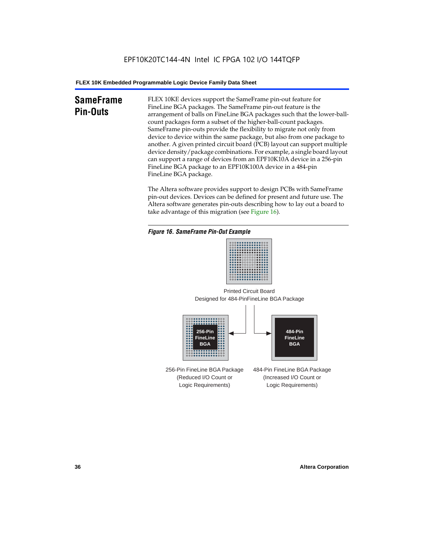# **SameFrame Pin-Outs**

FLEX 10KE devices support the SameFrame pin-out feature for FineLine BGA packages. The SameFrame pin-out feature is the arrangement of balls on FineLine BGA packages such that the lower-ballcount packages form a subset of the higher-ball-count packages. SameFrame pin-outs provide the flexibility to migrate not only from device to device within the same package, but also from one package to another. A given printed circuit board (PCB) layout can support multiple device density/package combinations. For example, a single board layout can support a range of devices from an EPF10K10A device in a 256-pin FineLine BGA package to an EPF10K100A device in a 484-pin FineLine BGA package.

The Altera software provides support to design PCBs with SameFrame pin-out devices. Devices can be defined for present and future use. The Altera software generates pin-outs describing how to lay out a board to take advantage of this migration (see Figure 16).







256-Pin FineLine BGA Package (Reduced I/O Count or Logic Requirements) 484-Pin FineLine BGA Package (Increased I/O Count or Logic Requirements)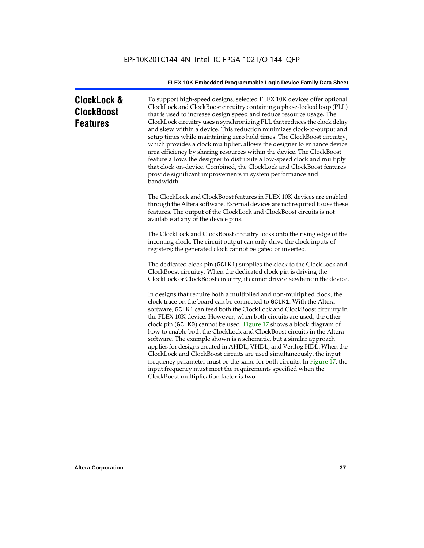| <b>ClockLock &amp;</b><br><b>ClockBoost</b><br><b>Features</b> | To support high-speed designs, selected FLEX 10K devices offer optional<br>ClockLock and ClockBoost circuitry containing a phase-locked loop (PLL)<br>that is used to increase design speed and reduce resource usage. The<br>ClockLock circuitry uses a synchronizing PLL that reduces the clock delay<br>and skew within a device. This reduction minimizes clock-to-output and<br>setup times while maintaining zero hold times. The ClockBoost circuitry,<br>which provides a clock multiplier, allows the designer to enhance device<br>area efficiency by sharing resources within the device. The ClockBoost<br>feature allows the designer to distribute a low-speed clock and multiply<br>that clock on-device. Combined, the ClockLock and ClockBoost features<br>provide significant improvements in system performance and<br>bandwidth.                |
|----------------------------------------------------------------|---------------------------------------------------------------------------------------------------------------------------------------------------------------------------------------------------------------------------------------------------------------------------------------------------------------------------------------------------------------------------------------------------------------------------------------------------------------------------------------------------------------------------------------------------------------------------------------------------------------------------------------------------------------------------------------------------------------------------------------------------------------------------------------------------------------------------------------------------------------------|
|                                                                | The ClockLock and ClockBoost features in FLEX 10K devices are enabled<br>through the Altera software. External devices are not required to use these<br>features. The output of the ClockLock and ClockBoost circuits is not<br>available at any of the device pins.                                                                                                                                                                                                                                                                                                                                                                                                                                                                                                                                                                                                |
|                                                                | The ClockLock and ClockBoost circuitry locks onto the rising edge of the<br>incoming clock. The circuit output can only drive the clock inputs of<br>registers; the generated clock cannot be gated or inverted.                                                                                                                                                                                                                                                                                                                                                                                                                                                                                                                                                                                                                                                    |
|                                                                | The dedicated clock pin (GCLK1) supplies the clock to the ClockLock and<br>ClockBoost circuitry. When the dedicated clock pin is driving the<br>ClockLock or ClockBoost circuitry, it cannot drive elsewhere in the device.                                                                                                                                                                                                                                                                                                                                                                                                                                                                                                                                                                                                                                         |
|                                                                | In designs that require both a multiplied and non-multiplied clock, the<br>clock trace on the board can be connected to GCLK1. With the Altera<br>software, GCLK1 can feed both the ClockLock and ClockBoost circuitry in<br>the FLEX 10K device. However, when both circuits are used, the other<br>clock pin (GCLK0) cannot be used. Figure 17 shows a block diagram of<br>how to enable both the ClockLock and ClockBoost circuits in the Altera<br>software. The example shown is a schematic, but a similar approach<br>applies for designs created in AHDL, VHDL, and Verilog HDL. When the<br>ClockLock and ClockBoost circuits are used simultaneously, the input<br>frequency parameter must be the same for both circuits. In Figure 17, the<br>input frequency must meet the requirements specified when the<br>ClockBoost multiplication factor is two. |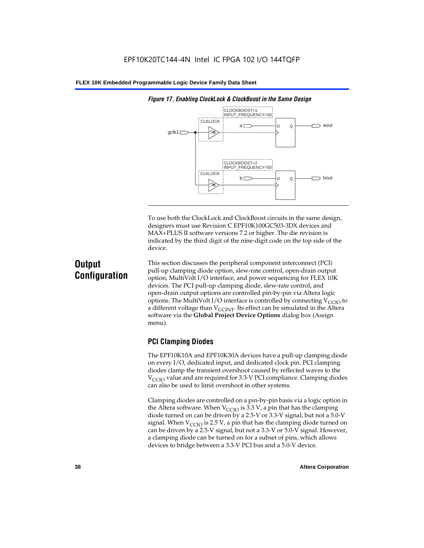

*Figure 17. Enabling ClockLock & ClockBoost in the Same Design*

To use both the ClockLock and ClockBoost circuits in the same design, designers must use Revision C EPF10K100GC503-3DX devices and MAX+PLUS II software versions 7.2 or higher. The die revision is indicated by the third digit of the nine-digit code on the top side of the device.

# **Output Configuration**

This section discusses the peripheral component interconnect (PCI) pull-up clamping diode option, slew-rate control, open-drain output option, MultiVolt I/O interface, and power sequencing for FLEX 10K devices. The PCI pull-up clamping diode, slew-rate control, and open-drain output options are controlled pin-by-pin via Altera logic options. The MultiVolt I/O interface is controlled by connecting  $V_{\text{CCIO}}$  to a different voltage than  $V_{\text{CCINT}}$ . Its effect can be simulated in the Altera software via the **Global Project Device Options** dialog box (Assign menu).

# **PCI Clamping Diodes**

The EPF10K10A and EPF10K30A devices have a pull-up clamping diode on every I/O, dedicated input, and dedicated clock pin. PCI clamping diodes clamp the transient overshoot caused by reflected waves to the  $V_{\text{CCIO}}$  value and are required for 3.3-V PCI compliance. Clamping diodes can also be used to limit overshoot in other systems.

Clamping diodes are controlled on a pin-by-pin basis via a logic option in the Altera software. When  $V_{\text{CCIO}}$  is 3.3 V, a pin that has the clamping diode turned on can be driven by a 2.5-V or 3.3-V signal, but not a 5.0-V signal. When  $V_{\text{CCIO}}$  is 2.5 V, a pin that has the clamping diode turned on can be driven by a 2.5-V signal, but not a 3.3-V or 5.0-V signal. However, a clamping diode can be turned on for a subset of pins, which allows devices to bridge between a 3.3-V PCI bus and a 5.0-V device.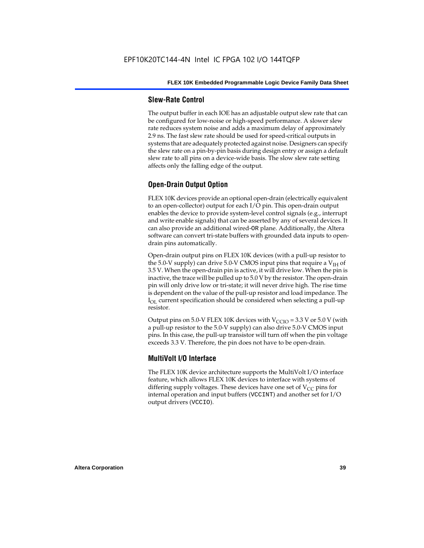### **Slew-Rate Control**

The output buffer in each IOE has an adjustable output slew rate that can be configured for low-noise or high-speed performance. A slower slew rate reduces system noise and adds a maximum delay of approximately 2.9 ns. The fast slew rate should be used for speed-critical outputs in systems that are adequately protected against noise. Designers can specify the slew rate on a pin-by-pin basis during design entry or assign a default slew rate to all pins on a device-wide basis. The slow slew rate setting affects only the falling edge of the output.

# **Open-Drain Output Option**

FLEX 10K devices provide an optional open-drain (electrically equivalent to an open-collector) output for each I/O pin. This open-drain output enables the device to provide system-level control signals (e.g., interrupt and write enable signals) that can be asserted by any of several devices. It can also provide an additional wired-OR plane. Additionally, the Altera software can convert tri-state buffers with grounded data inputs to opendrain pins automatically.

Open-drain output pins on FLEX 10K devices (with a pull-up resistor to the 5.0-V supply) can drive 5.0-V CMOS input pins that require a  $V<sub>IH</sub>$  of 3.5 V. When the open-drain pin is active, it will drive low. When the pin is inactive, the trace will be pulled up to 5.0 V by the resistor. The open-drain pin will only drive low or tri-state; it will never drive high. The rise time is dependent on the value of the pull-up resistor and load impedance. The  $I_{\text{OL}}$  current specification should be considered when selecting a pull-up resistor.

Output pins on 5.0-V FLEX 10K devices with  $V_{\text{CCIO}} = 3.3$  V or 5.0 V (with a pull-up resistor to the 5.0-V supply) can also drive 5.0-V CMOS input pins. In this case, the pull-up transistor will turn off when the pin voltage exceeds 3.3 V. Therefore, the pin does not have to be open-drain.

# **MultiVolt I/O Interface**

The FLEX 10K device architecture supports the MultiVolt I/O interface feature, which allows FLEX 10K devices to interface with systems of differing supply voltages. These devices have one set of  $V_{CC}$  pins for internal operation and input buffers (VCCINT) and another set for I/O output drivers (VCCIO).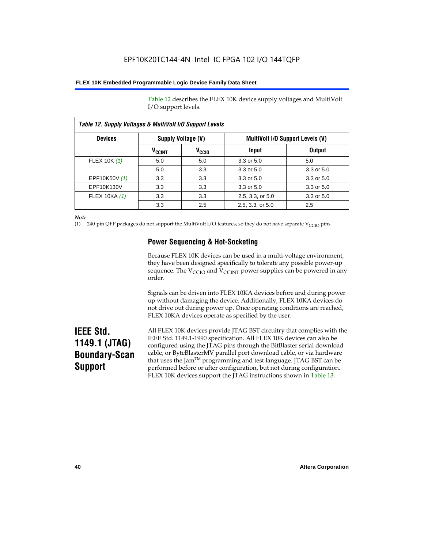Table 12 describes the FLEX 10K device supply voltages and MultiVolt I/O support levels.

| Table 12. Supply Voltages & MultiVolt I/O Support Levels |                          |                    |                                         |               |  |
|----------------------------------------------------------|--------------------------|--------------------|-----------------------------------------|---------------|--|
| <b>Devices</b>                                           |                          | Supply Voltage (V) | <b>MultiVolt I/O Support Levels (V)</b> |               |  |
|                                                          | <b>V<sub>CCINT</sub></b> | V <sub>CCIO</sub>  | Input                                   | <b>Output</b> |  |
| FLEX 10K (1)                                             | 5.0                      | 5.0                | 3.3 or 5.0                              | 5.0           |  |
|                                                          | 5.0                      | 3.3                | 3.3 or 5.0                              | 3.3 or 5.0    |  |
| EPF10K50V (1)                                            | 3.3                      | 3.3                | $3.3$ or $5.0$                          | 3.3 or 5.0    |  |
| EPF10K130V                                               | 3.3                      | 3.3                | $3.3$ or $5.0$                          | 3.3 or 5.0    |  |
| FLEX 10KA (1)                                            | 3.3                      | 3.3                | 2.5, 3.3, or 5.0                        | 3.3 or 5.0    |  |
|                                                          | 3.3                      | 2.5                | 2.5, 3.3, or 5.0                        | 2.5           |  |

*Note*

(1) 240-pin QFP packages do not support the MultiVolt I/O features, so they do not have separate V<sub>CCIO</sub> pins.

# **Power Sequencing & Hot-Socketing**

Because FLEX 10K devices can be used in a multi-voltage environment, they have been designed specifically to tolerate any possible power-up sequence. The  $V_{\text{CCIO}}$  and  $V_{\text{CCINT}}$  power supplies can be powered in any order.

Signals can be driven into FLEX 10KA devices before and during power up without damaging the device. Additionally, FLEX 10KA devices do not drive out during power up. Once operating conditions are reached, FLEX 10KA devices operate as specified by the user.

# **IEEE Std. 1149.1 (JTAG) Boundary-Scan Support**

All FLEX 10K devices provide JTAG BST circuitry that complies with the IEEE Std. 1149.1-1990 specification. All FLEX 10K devices can also be configured using the JTAG pins through the BitBlaster serial download cable, or ByteBlasterMV parallel port download cable, or via hardware that uses the Jam<sup>TM</sup> programming and test language. JTAG BST can be performed before or after configuration, but not during configuration. FLEX 10K devices support the JTAG instructions shown in Table 13.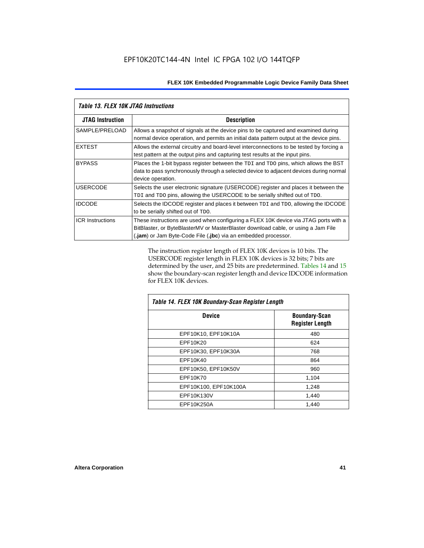| <b>Table 13. FLEX 10K JTAG Instructions</b> |                                                                                                                                                                                                                                             |
|---------------------------------------------|---------------------------------------------------------------------------------------------------------------------------------------------------------------------------------------------------------------------------------------------|
| <b>JTAG Instruction</b>                     | <b>Description</b>                                                                                                                                                                                                                          |
| SAMPLE/PRELOAD                              | Allows a snapshot of signals at the device pins to be captured and examined during<br>normal device operation, and permits an initial data pattern output at the device pins.                                                               |
| <b>EXTEST</b>                               | Allows the external circuitry and board-level interconnections to be tested by forcing a<br>test pattern at the output pins and capturing test results at the input pins.                                                                   |
| <b>BYPASS</b>                               | Places the 1-bit bypass register between the TDI and TDO pins, which allows the BST<br>data to pass synchronously through a selected device to adjacent devices during normal<br>device operation.                                          |
| <b>USERCODE</b>                             | Selects the user electronic signature (USERCODE) register and places it between the<br>TDI and TDO pins, allowing the USERCODE to be serially shifted out of TDO.                                                                           |
| <b>IDCODE</b>                               | Selects the IDCODE register and places it between TDI and TDO, allowing the IDCODE<br>to be serially shifted out of TDO.                                                                                                                    |
| <b>ICR Instructions</b>                     | These instructions are used when configuring a FLEX 10K device via JTAG ports with a<br>BitBlaster, or ByteBlasterMV or MasterBlaster download cable, or using a Jam File<br>(.jam) or Jam Byte-Code File (.jbc) via an embedded processor. |

The instruction register length of FLEX 10K devices is 10 bits. The USERCODE register length in FLEX 10K devices is 32 bits; 7 bits are determined by the user, and 25 bits are predetermined. Tables 14 and 15 show the boundary-scan register length and device IDCODE information for FLEX 10K devices.

| Table 14. FLEX 10K Boundary-Scan Register Length |                                                |  |  |  |
|--------------------------------------------------|------------------------------------------------|--|--|--|
| <b>Device</b>                                    | <b>Boundary-Scan</b><br><b>Register Length</b> |  |  |  |
| EPF10K10, EPF10K10A                              | 480                                            |  |  |  |
| EPF10K20                                         | 624                                            |  |  |  |
| EPF10K30, EPF10K30A                              | 768                                            |  |  |  |
| EPF10K40                                         | 864                                            |  |  |  |
| EPF10K50, EPF10K50V                              | 960                                            |  |  |  |
| EPF10K70                                         | 1,104                                          |  |  |  |
| EPF10K100, EPF10K100A                            | 1,248                                          |  |  |  |
| EPF10K130V                                       | 1,440                                          |  |  |  |
| EPF10K250A                                       | 1,440                                          |  |  |  |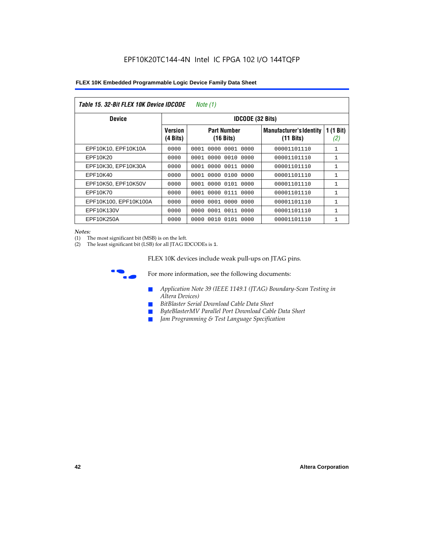| Table 15. 32-Bit FLEX 10K Device IDCODE<br>Note $(1)$ |                            |                                           |                                                       |                 |  |  |  |
|-------------------------------------------------------|----------------------------|-------------------------------------------|-------------------------------------------------------|-----------------|--|--|--|
| <b>Device</b>                                         |                            | <b>IDCODE (32 Bits)</b>                   |                                                       |                 |  |  |  |
|                                                       | <b>Version</b><br>(4 Bits) | <b>Part Number</b><br>$(16 \text{ bits})$ | <b>Manufacturer's Identity</b><br>$(11 \text{ bits})$ | 1(1 Bit)<br>(2) |  |  |  |
| EPF10K10, EPF10K10A                                   | 0000                       | 0001<br>0000<br>0001 0000                 | 00001101110                                           | $\mathbf{1}$    |  |  |  |
| EPF10K20                                              | 0000                       | 0000 0010 0000<br>0001                    | 00001101110                                           | $\mathbf{1}$    |  |  |  |
| EPF10K30, EPF10K30A                                   | 0000                       | 0001 0000 0011 0000                       | 00001101110                                           | 1               |  |  |  |
| EPF10K40                                              | 0000                       | 0000<br>0100<br>0001<br>0000              | 00001101110                                           | $\mathbf{1}$    |  |  |  |
| EPF10K50, EPF10K50V                                   | 0000                       | 0001 0000 0101 0000                       | 00001101110                                           | $\mathbf{1}$    |  |  |  |
| EPF10K70                                              | 0000                       | 0000 0111 0000<br>0001                    | 00001101110                                           | $\mathbf{1}$    |  |  |  |
| EPF10K100, EPF10K100A                                 | 0000                       | 0001 0000 0000<br>0000                    | 00001101110                                           | $\mathbf{1}$    |  |  |  |
| EPF10K130V                                            | 0000                       | 0001 0011 0000<br>0000                    | 00001101110                                           | $\mathbf{1}$    |  |  |  |
| EPF10K250A                                            | 0000                       | 0000<br>0010 0101<br>0000                 | 00001101110                                           | 1               |  |  |  |

#### *Notes:*

(1) The most significant bit (MSB) is on the left.

(2) The least significant bit (LSB) for all JTAG IDCODEs is 1.

FLEX 10K devices include weak pull-ups on JTAG pins.



**for more information, see the following documents:** 

- *Application Note 39 (IEEE 1149.1 (JTAG) Boundary-Scan Testing in Altera Devices)*
- *BitBlaster Serial Download Cable Data Sheet*
- *ByteBlasterMV Parallel Port Download Cable Data Sheet*
- *Jam Programming & Test Language Specification*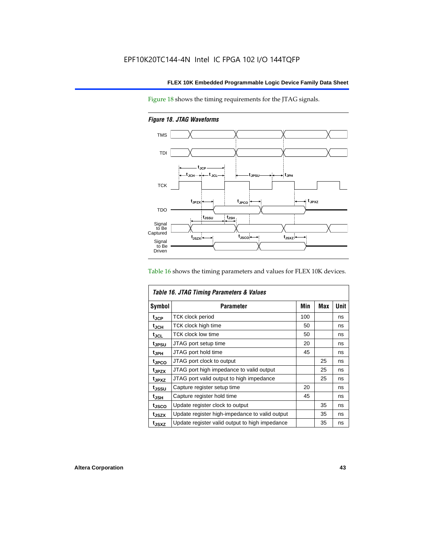Figure 18 shows the timing requirements for the JTAG signals.

*Figure 18. JTAG Waveforms*



Table 16 shows the timing parameters and values for FLEX 10K devices.

| Table 16. JTAG Timing Parameters & Values |                                                |     |            |      |
|-------------------------------------------|------------------------------------------------|-----|------------|------|
| <b>Symbol</b>                             | <b>Parameter</b>                               | Min | <b>Max</b> | Unit |
| t <sub>JCP</sub>                          | <b>TCK clock period</b>                        | 100 |            | ns   |
| t <sub>JCH</sub>                          | TCK clock high time                            | 50  |            | ns   |
| $t_{JCL}$                                 | TCK clock low time                             | 50  |            | ns   |
| tjpsu                                     | JTAG port setup time                           | 20  |            | ns   |
| t <sub>JPH</sub>                          | JTAG port hold time                            | 45  |            | ns   |
| <sup>t</sup> JPCO                         | JTAG port clock to output                      |     | 25         | ns   |
| t <sub>JPZX</sub>                         | JTAG port high impedance to valid output       |     | 25         | ns   |
| t <sub>JPXZ</sub>                         | JTAG port valid output to high impedance       |     | 25         | ns   |
| tussu                                     | Capture register setup time                    | 20  |            | ns   |
| $t_{JSH}$                                 | Capture register hold time                     | 45  |            | ns   |
| tjsco                                     | Update register clock to output                |     | 35         | ns   |
| t <sub>JSZX</sub>                         | Update register high-impedance to valid output |     | 35         | ns   |
| t <sub>JSXZ</sub>                         | Update register valid output to high impedance |     | 35         | ns   |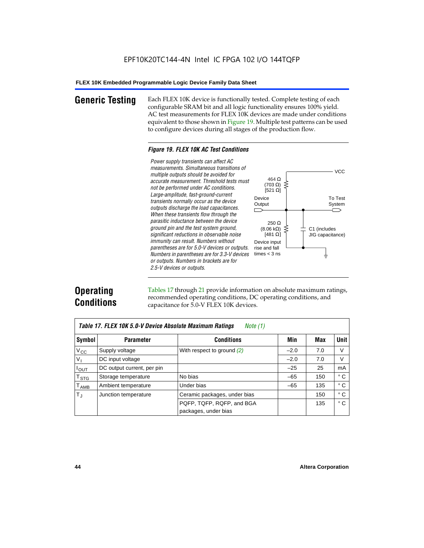**Generic Testing** Each FLEX 10K device is functionally tested. Complete testing of each configurable SRAM bit and all logic functionality ensures 100% yield. AC test measurements for FLEX 10K devices are made under conditions equivalent to those shown in Figure 19. Multiple test patterns can be used to configure devices during all stages of the production flow.

#### *Figure 19. FLEX 10K AC Test Conditions*

*Power supply transients can affect AC measurements. Simultaneous transitions of*  $V<sub>CC</sub>$ *multiple outputs should be avoided for* 464 Ω *accurate measurement. Threshold tests must* (703 Ω) ξ *not be performed under AC conditions.*  $[521 \Omega]$ *Large-amplitude, fast-ground-current* To Test Device *transients normally occur as the device* Output System *outputs discharge the load capacitances. When these transients flow through the parasitic inductance between the device* 250 Ω *ground pin and the test system ground,*  $(8.06 \text{ k}\Omega)$ C1 (includes *significant reductions in observable noise* [481 $\Omega$ ] JIG capacitance) *immunity can result. Numbers without*  Device input *parentheses are for 5.0-V devices or outputs.*  rise and fall *Numbers in parentheses are for 3.3-V devices*  times  $<$  3 ns ╧ *or outputs. Numbers in brackets are for 2.5-V devices or outputs.*

# **Operating Conditions**

Tables 17 through 21 provide information on absolute maximum ratings, recommended operating conditions, DC operating conditions, and capacitance for 5.0-V FLEX 10K devices.

| Table 17. FLEX 10K 5.0-V Device Absolute Maximum Ratings<br>Note (1) |                            |                              |        |     |              |
|----------------------------------------------------------------------|----------------------------|------------------------------|--------|-----|--------------|
| Symbol                                                               | <b>Parameter</b>           | <b>Conditions</b>            | Min    | Max | <b>Unit</b>  |
| $V_{CC}$                                                             | Supply voltage             | With respect to ground $(2)$ | $-2.0$ | 7.0 | V            |
| V <sub>1</sub>                                                       | DC input voltage           |                              | $-2.0$ | 7.0 | V            |
| $I_{\text{OUT}}$                                                     | DC output current, per pin |                              | $-25$  | 25  | mA           |
| $T_{STG}$                                                            | Storage temperature        | No bias                      | $-65$  | 150 | ° C          |
| $T_{AMB}$                                                            | Ambient temperature        | Under bias                   | $-65$  | 135 | $^{\circ}$ C |
| $T_{\rm d}$                                                          | Junction temperature       | Ceramic packages, under bias |        | 150 | $^{\circ}$ C |
|                                                                      |                            | PQFP, TQFP, RQFP, and BGA    |        | 135 | $^{\circ}$ C |
|                                                                      |                            | packages, under bias         |        |     |              |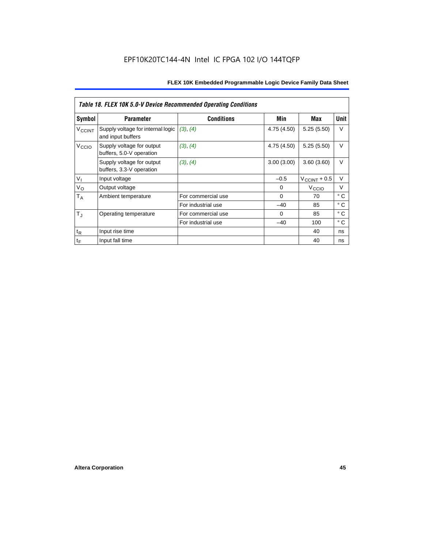|                    | <b>Table 18. FLEX 10K 5.0-V Device Recommended Operating Conditions</b> |                    |             |                       |              |  |  |
|--------------------|-------------------------------------------------------------------------|--------------------|-------------|-----------------------|--------------|--|--|
| Symbol             | <b>Parameter</b>                                                        | <b>Conditions</b>  | Min         | Max                   | Unit         |  |  |
| V <sub>CCINT</sub> | Supply voltage for internal logic<br>and input buffers                  | (3), (4)           | 4.75 (4.50) | 5.25(5.50)            | V            |  |  |
| V <sub>CCIO</sub>  | Supply voltage for output<br>buffers, 5.0-V operation                   | (3), (4)           | 4.75 (4.50) | 5.25(5.50)            | $\vee$       |  |  |
|                    | Supply voltage for output<br>buffers, 3.3-V operation                   | (3), (4)           | 3.00(3.00)  | 3.60(3.60)            | $\vee$       |  |  |
| V <sub>1</sub>     | Input voltage                                                           |                    | $-0.5$      | $V_{\rm CCINT}$ + 0.5 | V            |  |  |
| $V_{\rm O}$        | Output voltage                                                          |                    | 0           | V <sub>CCIO</sub>     | $\vee$       |  |  |
| $T_A$              | Ambient temperature                                                     | For commercial use | $\Omega$    | 70                    | $^{\circ}$ C |  |  |
|                    |                                                                         | For industrial use | $-40$       | 85                    | $^{\circ}$ C |  |  |
| $T_{\rm J}$        | Operating temperature                                                   | For commercial use | $\Omega$    | 85                    | ° C          |  |  |
|                    |                                                                         | For industrial use | $-40$       | 100                   | ° C          |  |  |
| $t_{R}$            | Input rise time                                                         |                    |             | 40                    | ns           |  |  |
| $t_F$              | Input fall time                                                         |                    |             | 40                    | ns           |  |  |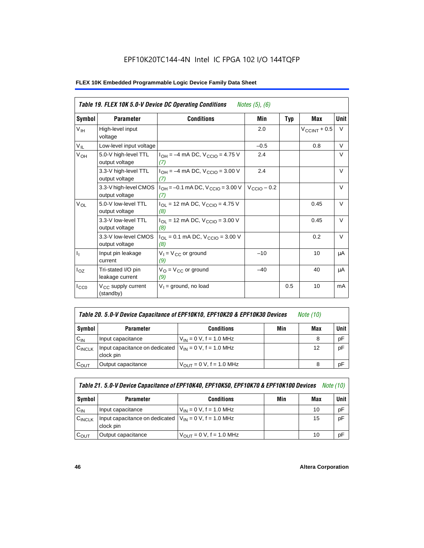|                 | Table 19. FLEX 10K 5.0-V Device DC Operating Conditions<br><i>Notes</i> $(5)$ , $(6)$ |                                                                 |                         |            |                          |             |  |
|-----------------|---------------------------------------------------------------------------------------|-----------------------------------------------------------------|-------------------------|------------|--------------------------|-------------|--|
| Symbol          | <b>Parameter</b>                                                                      | <b>Conditions</b>                                               | Min                     | <b>Typ</b> | Max                      | <b>Unit</b> |  |
| $V_{\text{IH}}$ | High-level input<br>voltage                                                           |                                                                 | 2.0                     |            | $V_{\text{CCINT}} + 0.5$ | V           |  |
| $V_{IL}$        | Low-level input voltage                                                               |                                                                 | $-0.5$                  |            | 0.8                      | V           |  |
| V <sub>OH</sub> | 5.0-V high-level TTL<br>output voltage                                                | $I_{OH} = -4$ mA DC, $V_{CCIO} = 4.75$ V<br>(7)                 | 2.4                     |            |                          | V           |  |
|                 | 3.3-V high-level TTL<br>output voltage                                                | $I_{OH} = -4$ mA DC, $V_{CGIO} = 3.00$ V<br>(7)                 | 2.4                     |            |                          | $\vee$      |  |
|                 | 3.3-V high-level CMOS<br>output voltage                                               | I <sub>OH</sub> = -0.1 mA DC, V <sub>CCIO</sub> = 3.00 V<br>(7) | $V_{\text{CCIO}} - 0.2$ |            |                          | $\vee$      |  |
| V <sub>OL</sub> | 5.0-V low-level TTL<br>output voltage                                                 | $I_{\text{OI}}$ = 12 mA DC, $V_{\text{CCIO}}$ = 4.75 V<br>(8)   |                         |            | 0.45                     | $\vee$      |  |
|                 | 3.3-V low-level TTL<br>output voltage                                                 | $I_{OL}$ = 12 mA DC, $V_{CCIO}$ = 3.00 V<br>(8)                 |                         |            | 0.45                     | $\vee$      |  |
|                 | 3.3-V low-level CMOS<br>output voltage                                                | $I_{OL}$ = 0.1 mA DC, $V_{CClO}$ = 3.00 V<br>(8)                |                         |            | 0.2                      | $\vee$      |  |
| $I_{\rm L}$     | Input pin leakage<br>current                                                          | $V_1 = V_{CC}$ or ground<br>(9)                                 | $-10$                   |            | 10                       | μA          |  |
| $I_{OZ}$        | Tri-stated I/O pin<br>leakage current                                                 | $V_{O} = V_{CC}$ or ground<br>(9)                               | $-40$                   |            | 40                       | μA          |  |
| $I_{CC0}$       | $V_{CC}$ supply current<br>(standby)                                                  | $V_1$ = ground, no load                                         |                         | 0.5        | 10                       | mA          |  |

| Table 20. 5.0-V Device Capacitance of EPF10K10, EPF10K20 & EPF10K30 Devices | Note (10) |  |
|-----------------------------------------------------------------------------|-----------|--|
|-----------------------------------------------------------------------------|-----------|--|

| Symbol             | <b>Parameter</b>                                                        | <b>Conditions</b>              | Min | Max | Unit |
|--------------------|-------------------------------------------------------------------------|--------------------------------|-----|-----|------|
| $C_{\text{IN}}$    | Input capacitance                                                       | $V_{IN} = 0 V$ , f = 1.0 MHz   |     |     | pF   |
| $C_{\text{INCLK}}$ | Input capacitance on dedicated $V_{1N} = 0$ V, f = 1.0 MHz<br>clock pin |                                |     | 12  | pF   |
| $C_{\text{OUT}}$   | Output capacitance                                                      | $V_{OIII} = 0 V$ , f = 1.0 MHz |     | 8   | рF   |

| Table 21. 5.0-V Device Capacitance of EPF10K40, EPF10K50, EPF10K70 & EPF10K100 Devices<br><i>Note (10)</i> |                                                                           |                               |     |     |      |  |
|------------------------------------------------------------------------------------------------------------|---------------------------------------------------------------------------|-------------------------------|-----|-----|------|--|
| Symbol                                                                                                     | <b>Parameter</b>                                                          | <b>Conditions</b>             | Min | Max | Unit |  |
| $C_{IN}$                                                                                                   | Input capacitance                                                         | $V_{IN} = 0 V$ , f = 1.0 MHz  |     | 10  | pF   |  |
| CINCLK                                                                                                     | Input capacitance on dedicated $ V_{IN} = 0 V$ , f = 1.0 MHz<br>clock pin |                               |     | 15  | pF   |  |
| $C_{OUT}$                                                                                                  | Output capacitance                                                        | $V_{OIII}$ = 0 V, f = 1.0 MHz |     | 10  | рF   |  |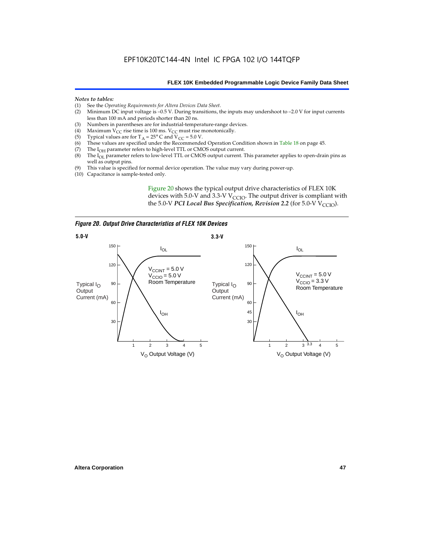#### *Notes to tables:*

- (1) See the *Operating Requirements for Altera Devices Data Sheet*.
- Minimum DC input voltage is  $-0.5$  V. During transitions, the inputs may undershoot to  $-2.0$  V for input currents less than 100 mA and periods shorter than 20 ns.
- (3) Numbers in parentheses are for industrial-temperature-range devices.<br>(4) Maximum  $V_{CC}$  rise time is 100 ms.  $V_{CC}$  must rise monotonically.
- (4) Maximum V<sub>CC</sub> rise time is 100 ms. V<sub>CC</sub> must rise monotonically.<br>(5) Typical values are for T<sub>A</sub> = 25° C and V<sub>CC</sub> = 5.0 V.
- (5) Typical values are for  $T_A = 25^\circ$  C and  $V_{CC} = 5.0$  V.<br>(6) These values are specified under the Recommende
- (6) These values are specified under the Recommended Operation Condition shown in Table 18 on page 45.<br>(7) The  $I_{OH}$  parameter refers to high-level TTL or CMOS output current.
- (7) The  $I_{OH}$  parameter refers to high-level TTL or CMOS output current.<br>(8) The  $I_{OL}$  parameter refers to low-level TTL or CMOS output current. T
- The I<sub>OL</sub> parameter refers to low-level TTL or CMOS output current. This parameter applies to open-drain pins as well as output pins.
- (9) This value is specified for normal device operation. The value may vary during power-up.
- (10) Capacitance is sample-tested only.

Figure 20 shows the typical output drive characteristics of FLEX 10K devices with 5.0-V and 3.3-V  $V_{CCIO}$ . The output driver is compliant with the 5.0-V *PCI Local Bus Specification, Revision 2.2* (for 5.0-V  $V_{\text{CCIO}}$ ).

*Figure 20. Output Drive Characteristics of FLEX 10K Devices*

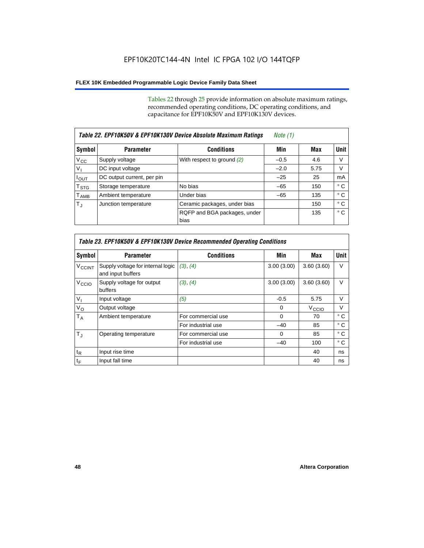Tables 22 through 25 provide information on absolute maximum ratings, recommended operating conditions, DC operating conditions, and capacitance for EPF10K50V and EPF10K130V devices.

| Table 22. EPF10K50V & EPF10K130V Device Absolute Maximum Ratings |                            |                                      |        |      |             |
|------------------------------------------------------------------|----------------------------|--------------------------------------|--------|------|-------------|
| Symbol                                                           | <b>Parameter</b>           | <b>Conditions</b>                    | Min    | Max  | <b>Unit</b> |
| $V_{\rm CC}$                                                     | Supply voltage             | With respect to ground $(2)$         | $-0.5$ | 4.6  | V           |
| $V_{I}$                                                          | DC input voltage           |                                      | $-2.0$ | 5.75 | V           |
| $I_{\text{OUT}}$                                                 | DC output current, per pin |                                      | $-25$  | 25   | mA          |
| $\mathsf{T}_{\text{STG}}$                                        | Storage temperature        | No bias                              | $-65$  | 150  | ° C         |
| $T_{\sf AMB}$                                                    | Ambient temperature        | Under bias                           | $-65$  | 135  | ° C         |
| $T_{\rm J}$                                                      | Junction temperature       | Ceramic packages, under bias         |        | 150  | ° C         |
|                                                                  |                            | RQFP and BGA packages, under<br>bias |        | 135  | ° C         |

| Table 23. EPF10K50V & EPF10K130V Device Recommended Operating Conditions |                                                        |                    |            |                   |              |  |
|--------------------------------------------------------------------------|--------------------------------------------------------|--------------------|------------|-------------------|--------------|--|
| Symbol                                                                   | <b>Parameter</b>                                       | <b>Conditions</b>  | Min        | Max               | Unit         |  |
| <b>V<sub>CCINT</sub></b>                                                 | Supply voltage for internal logic<br>and input buffers | (3), (4)           | 3.00(3.00) | 3.60(3.60)        | $\vee$       |  |
| V <sub>CCIO</sub>                                                        | Supply voltage for output<br>buffers                   | (3), (4)           | 3.00(3.00) | 3.60(3.60)        | V            |  |
| $V_{1}$                                                                  | Input voltage                                          | (5)                | $-0.5$     | 5.75              | $\vee$       |  |
| $V_{\rm O}$                                                              | Output voltage                                         |                    | $\Omega$   | V <sub>CCIO</sub> | $\vee$       |  |
| $T_A$                                                                    | Ambient temperature                                    | For commercial use | $\Omega$   | 70                | $^{\circ}$ C |  |
|                                                                          |                                                        | For industrial use | $-40$      | 85                | ° C          |  |
| $T_{\rm J}$                                                              | Operating temperature                                  | For commercial use | $\Omega$   | 85                | $^{\circ}$ C |  |
|                                                                          |                                                        | For industrial use | $-40$      | 100               | ° C          |  |
| $t_{R}$                                                                  | Input rise time                                        |                    |            | 40                | ns           |  |
| $t_F$                                                                    | Input fall time                                        |                    |            | 40                | ns           |  |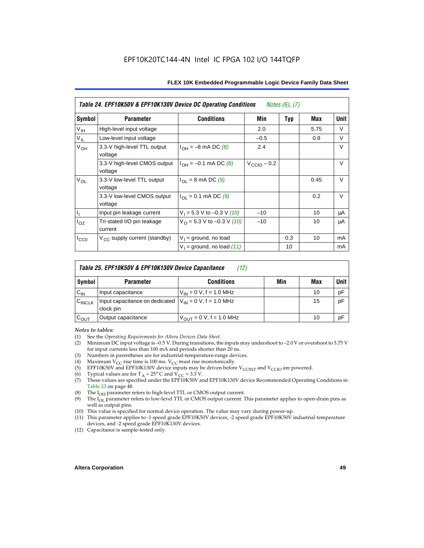| Table 24. EPF10K50V & EPF10K130V Device DC Operating Conditions<br><i>Notes</i> $(6)$ , $(7)$ |                                          |                                          |                         |            |            |      |
|-----------------------------------------------------------------------------------------------|------------------------------------------|------------------------------------------|-------------------------|------------|------------|------|
| <b>Symbol</b>                                                                                 | <b>Parameter</b>                         | <b>Conditions</b>                        | Min                     | <b>Typ</b> | <b>Max</b> | Unit |
| V <sub>IH</sub>                                                                               | High-level input voltage                 |                                          | 2.0                     |            | 5.75       | V    |
| $V_{IL}$                                                                                      | Low-level input voltage                  |                                          | $-0.5$                  |            | 0.8        | V    |
| V <sub>OH</sub>                                                                               | 3.3-V high-level TTL output<br>voltage   | $I_{OH} = -8$ mA DC (8)                  | 2.4                     |            |            | V    |
|                                                                                               | 3.3-V high-level CMOS output<br>voltage  | $I_{OH} = -0.1$ mA DC (8)                | $V_{\text{CCIO}} - 0.2$ |            |            | V    |
| $V_{OL}$                                                                                      | 3.3-V low-level TTL output<br>voltage    | $I_{\Omega}$ = 8 mA DC (9)               |                         |            | 0.45       | V    |
|                                                                                               | 3.3-V low-level CMOS output<br>voltage   | $I_{\text{OI}} = 0.1 \text{ mA DC } (9)$ |                         |            | 0.2        | V    |
| $\mathsf{H}_1$                                                                                | Input pin leakage current                | $V_1 = 5.3$ V to -0.3 V (10)             | $-10$                   |            | 10         | μA   |
| $I_{OZ}$                                                                                      | Tri-stated I/O pin leakage<br>current    | $V_O = 5.3 V$ to -0.3 V (10)             | $-10$                   |            | 10         | μA   |
| 1 <sub>CC0</sub>                                                                              | V <sub>CC</sub> supply current (standby) | $V_1$ = ground, no load                  |                         | 0.3        | 10         | mA   |
|                                                                                               |                                          | $V_1$ = ground, no load (11)             |                         | 10         |            | mA   |

| Table 25. EPF10K50V & EPF10K130V Device Capacitance<br>(12) |                                                                           |                               |     |     |             |  |
|-------------------------------------------------------------|---------------------------------------------------------------------------|-------------------------------|-----|-----|-------------|--|
| Symbol                                                      | <b>Parameter</b>                                                          | <b>Conditions</b>             | Min | Max | <b>Unit</b> |  |
| $C_{IN}$                                                    | Input capacitance                                                         | $V_{IN} = 0$ V, f = 1.0 MHz   |     | 10  | pF          |  |
| $C_{\text{INCLK}}$                                          | Input capacitance on dedicated $ V_{IN} = 0 V$ , f = 1.0 MHz<br>clock pin |                               |     | 15  | pF          |  |
| $C_{OUT}$                                                   | Output capacitance                                                        | $V_{OUT} = 0 V$ , f = 1.0 MHz |     | 10  | pF          |  |

#### *Notes to tables:*

- (1) See the *Operating Requirements for Altera Devices Data Sheet*.
- (2) Minimum DC input voltage is –0.5 V. During transitions, the inputs may undershoot to –2.0 V or overshoot to 5.75 V for input currents less than 100 mA and periods shorter than 20 ns.
- (3) Numbers in parentheses are for industrial-temperature-range devices.<br>(4) Maximum  $V_{CC}$  rise time is 100 ms.  $V_{CC}$  must rise monotonically.
- (4) Maximum  $V_{CC}$  rise time is 100 ms.  $V_{CC}$  must rise monotonically.<br>(5) EPF10K50V and EPF10K130V device inputs may be driven before
- (5) EPF10K50V and EPF10K130V device inputs may be driven before V<sub>CCINT</sub> and V<sub>CCIO</sub> are powered.<br>(6) Typical values are for T<sub>A</sub> = 25° C and V<sub>CC</sub> = 3.3 V.
- Typical values are for  $T_A = 25^\circ$  C and  $V_{CC} = 3.3$  V.
- (7) These values are specified under the EPF10K50V and EPF10K130V device Recommended Operating Conditions in Table 23 on page 48.
- (8) The  $I<sub>OH</sub>$  parameter refers to high-level TTL or CMOS output current.
- (9) The  $I_{OL}$  parameter refers to low-level TTL or CMOS output current. This parameter applies to open-drain pins as well as output pins.
- (10) This value is specified for normal device operation. The value may vary during power-up.
- (11) This parameter applies to -1 speed grade EPF10K50V devices, -2 speed grade EPF10K50V industrial temperature devices, and -2 speed grade EPF10K130V devices.
- (12) Capacitance is sample-tested only.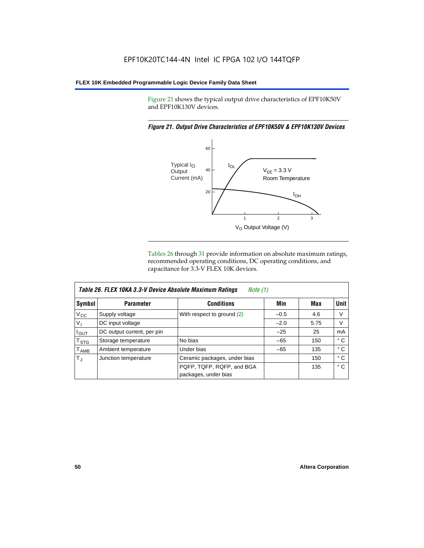Figure 21 shows the typical output drive characteristics of EPF10K50V and EPF10K130V devices.

#### *Figure 21. Output Drive Characteristics of EPF10K50V & EPF10K130V Devices*



Tables 26 through 31 provide information on absolute maximum ratings, recommended operating conditions, DC operating conditions, and capacitance for 3.3-V FLEX 10K devices.

|                  | Table 26. FLEX 10KA 3.3-V Device Absolute Maximum Ratings<br>Note (1) |                              |        |      |              |  |  |
|------------------|-----------------------------------------------------------------------|------------------------------|--------|------|--------------|--|--|
| Symbol           | <b>Parameter</b>                                                      | <b>Conditions</b>            | Min    | Max  | Unit         |  |  |
| $V_{\rm CC}$     | Supply voltage                                                        | With respect to ground $(2)$ | $-0.5$ | 4.6  | V            |  |  |
| $V_{I}$          | DC input voltage                                                      |                              | $-2.0$ | 5.75 | V            |  |  |
| $I_{OUT}$        | DC output current, per pin                                            |                              | $-25$  | 25   | mA           |  |  |
| $T_{\text{STG}}$ | Storage temperature                                                   | No bias                      | $-65$  | 150  | $^{\circ}$ C |  |  |
| $T_{\sf AMB}$    | Ambient temperature                                                   | Under bias                   | $-65$  | 135  | ° C          |  |  |
| $T_{\rm J}$      | Junction temperature                                                  | Ceramic packages, under bias |        | 150  | ° C          |  |  |
|                  |                                                                       | PQFP, TQFP, RQFP, and BGA    |        | 135  | $^{\circ}$ C |  |  |
|                  |                                                                       | packages, under bias         |        |      |              |  |  |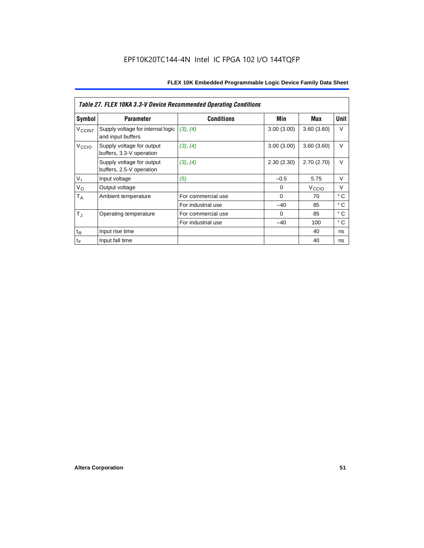| Table 27. FLEX 10KA 3.3-V Device Recommended Operating Conditions |                                                        |                    |            |                   |              |  |  |
|-------------------------------------------------------------------|--------------------------------------------------------|--------------------|------------|-------------------|--------------|--|--|
| Symbol                                                            | <b>Parameter</b>                                       | <b>Conditions</b>  | Min        | Max               | Unit         |  |  |
| VCCINT                                                            | Supply voltage for internal logic<br>and input buffers | (3), (4)           | 3.00(3.00) | 3.60(3.60)        | V            |  |  |
| V <sub>ccio</sub>                                                 | Supply voltage for output<br>buffers, 3.3-V operation  | (3), (4)           | 3.00(3.00) | 3.60(3.60)        | $\vee$       |  |  |
|                                                                   | Supply voltage for output<br>buffers, 2.5-V operation  | (3), (4)           | 2.30(2.30) | 2.70(2.70)        | $\vee$       |  |  |
| $V_{I}$                                                           | Input voltage                                          | (5)                | $-0.5$     | 5.75              | $\vee$       |  |  |
| $V_{\rm O}$                                                       | Output voltage                                         |                    | 0          | V <sub>CCIO</sub> | $\vee$       |  |  |
| $T_A$                                                             | Ambient temperature                                    | For commercial use | $\Omega$   | 70                | $^{\circ}$ C |  |  |
|                                                                   |                                                        | For industrial use | $-40$      | 85                | $^{\circ}$ C |  |  |
| $T_{\rm J}$                                                       | Operating temperature                                  | For commercial use | $\Omega$   | 85                | ° C          |  |  |
|                                                                   |                                                        | For industrial use | $-40$      | 100               | ° C          |  |  |
| $t_{R}$                                                           | Input rise time                                        |                    |            | 40                | ns           |  |  |
| $t_F$                                                             | Input fall time                                        |                    |            | 40                | ns           |  |  |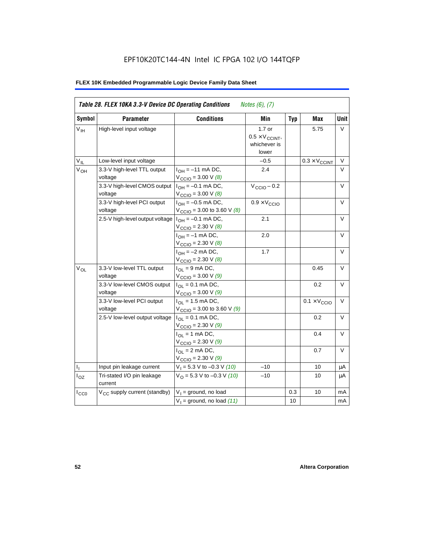|                 | Table 28. FLEX 10KA 3.3-V Device DC Operating Conditions<br>Notes $(6)$ , $(7)$ |                                                                                 |                                                             |            |                               |        |  |
|-----------------|---------------------------------------------------------------------------------|---------------------------------------------------------------------------------|-------------------------------------------------------------|------------|-------------------------------|--------|--|
| Symbol          | <b>Parameter</b>                                                                | <b>Conditions</b>                                                               | Min                                                         | <b>Typ</b> | <b>Max</b>                    | Unit   |  |
| $V_{\text{IH}}$ | High-level input voltage                                                        |                                                                                 | $1.7$ or<br>$0.5 \times V_{CCINT}$<br>whichever is<br>lower |            | 5.75                          | $\vee$ |  |
| $V_{IL}$        | Low-level input voltage                                                         |                                                                                 | $-0.5$                                                      |            | $0.3 \times V_{\text{CCINT}}$ | $\vee$ |  |
| V <sub>OH</sub> | 3.3-V high-level TTL output<br>voltage                                          | $I_{OH} = -11$ mA DC,<br>$V_{\text{CCIO}} = 3.00 V (8)$                         | 2.4                                                         |            |                               | $\vee$ |  |
|                 | 3.3-V high-level CMOS output<br>voltage                                         | $I_{OH} = -0.1$ mA DC,<br>$V_{\text{CCIO}} = 3.00 V (8)$                        | $V_{\text{CCIO}} - 0.2$                                     |            |                               | $\vee$ |  |
|                 | 3.3-V high-level PCI output<br>voltage                                          | $I_{OH} = -0.5$ mA DC,<br>$V_{\text{CCIO}} = 3.00$ to 3.60 V (8)                | $0.9 \times V_{\text{CCIO}}$                                |            |                               | $\vee$ |  |
|                 | 2.5-V high-level output voltage                                                 | $I_{OH} = -0.1$ mA DC,<br>$V_{\text{CCIO}} = 2.30 \text{ V } (8)$               | 2.1                                                         |            |                               | $\vee$ |  |
|                 |                                                                                 | $I_{OH} = -1$ mA DC,<br>$V_{\text{CCIO}} = 2.30 \text{ V } (8)$                 | 2.0                                                         |            |                               | $\vee$ |  |
|                 |                                                                                 | $I_{OH} = -2$ mA DC,<br>$V_{\text{CCIO}} = 2.30 \text{ V } (8)$                 | 1.7                                                         |            |                               | $\vee$ |  |
| $V_{OL}$        | 3.3-V low-level TTL output<br>voltage                                           | $I_{OL}$ = 9 mA DC,<br>$V_{\text{CCIO}} = 3.00 \text{ V} (9)$                   |                                                             |            | 0.45                          | $\vee$ |  |
|                 | 3.3-V low-level CMOS output<br>voltage                                          | $I_{\text{OI}} = 0.1 \text{ mA DC}$ ,<br>$V_{\text{CCIO}} = 3.00 \text{ V} (9)$ |                                                             |            | 0.2                           | $\vee$ |  |
|                 | 3.3-V low-level PCI output<br>voltage                                           | $I_{OL}$ = 1.5 mA DC,<br>$V_{\text{CCIO}} = 3.00$ to 3.60 V (9)                 |                                                             |            | $0.1 \times V_{\text{CCIO}}$  | $\vee$ |  |
|                 | 2.5-V low-level output voltage                                                  | $I_{OL} = 0.1$ mA DC,<br>$V_{\text{CCIO}} = 2.30 \text{ V} (9)$                 |                                                             |            | 0.2                           | V      |  |
|                 |                                                                                 | $I_{OL}$ = 1 mA DC,<br>$V_{\text{CCIO}} = 2.30 \text{ V} (9)$                   |                                                             |            | 0.4                           | $\vee$ |  |
|                 |                                                                                 | $I_{OL}$ = 2 mA DC,<br>$V_{\text{CCIO}} = 2.30 V (9)$                           |                                                             |            | 0.7                           | V      |  |
| Τ,              | Input pin leakage current                                                       | $V_1 = 5.3$ V to -0.3 V (10)                                                    | $-10$                                                       |            | 10                            | μA     |  |
| $I_{OZ}$        | Tri-stated I/O pin leakage<br>current                                           | $V_O = 5.3 V to -0.3 V (10)$                                                    | $-10$                                                       |            | 10                            | μA     |  |
| $I_{CC0}$       | V <sub>CC</sub> supply current (standby)                                        | $V_1$ = ground, no load                                                         |                                                             | 0.3        | 10                            | mA     |  |
|                 |                                                                                 | $V_1$ = ground, no load (11)                                                    |                                                             | 10         |                               | mA     |  |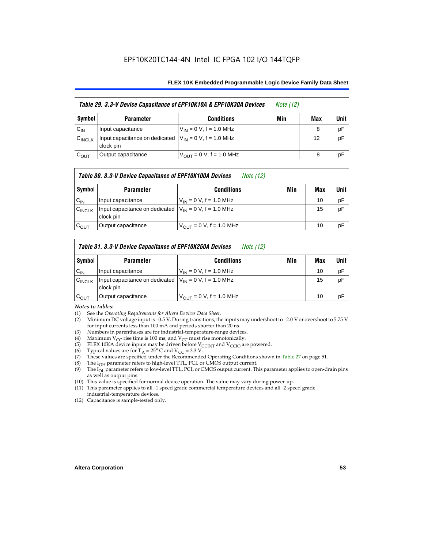#### **FLEX 10K Embedded Programmable Logic Device Family Data Sheet**

| Table 29. 3.3-V Device Capacitance of EPF10K10A & EPF10K30A Devices |                                                                           |                               | <i>Note</i> (12) |     |        |
|---------------------------------------------------------------------|---------------------------------------------------------------------------|-------------------------------|------------------|-----|--------|
| Symbol                                                              | <b>Parameter</b>                                                          | <b>Conditions</b>             | Min              | Max | Unit I |
| $C_{IN}$                                                            | Input capacitance                                                         | $V_{IN} = 0 V$ , f = 1.0 MHz  |                  | 8   | pF     |
| $C_{\text{INCLK}}$                                                  | Input capacitance on dedicated $ V_{IN} = 0 V$ , f = 1.0 MHz<br>clock pin |                               |                  | 12  | pF     |
| $C_{OUT}$                                                           | Output capacitance                                                        | $V_{OUT} = 0 V$ , f = 1.0 MHz |                  | 8   | pF     |

#### *Table 30. 3.3-V Device Capacitance of EPF10K100A Devices Note (12)*

| Symbol    | <b>Parameter</b>                                                          | <b>Conditions</b>                   | Min | Max | <b>Unit</b> |
|-----------|---------------------------------------------------------------------------|-------------------------------------|-----|-----|-------------|
| $C_{IN}$  | Input capacitance                                                         | $V_{IN} = 0 V$ , f = 1.0 MHz        |     | 10  | pF          |
| CINCLK    | Input capacitance on dedicated $ V_{1N}  = 0$ V, f = 1.0 MHz<br>clock pin |                                     |     | 15  | pF          |
| $C_{OUT}$ | Output capacitance                                                        | $V_{\text{OUT}} = 0$ V, f = 1.0 MHz |     | 10  | pF          |

#### *Table 31. 3.3-V Device Capacitance of EPF10K250A Devices Note (12)*

| Symbol             | <b>Parameter</b>                                                         | <b>Conditions</b>                   | Min | Max | <b>Unit</b> |
|--------------------|--------------------------------------------------------------------------|-------------------------------------|-----|-----|-------------|
| $C_{\text{IN}}$    | Input capacitance                                                        | $V_{IN} = 0$ V, f = 1.0 MHz         |     | 10  | pF          |
| $C_{\text{INCLK}}$ | Input capacitance on dedicated $V_{IN} = 0 V$ , f = 1.0 MHz<br>clock pin |                                     |     | 15  | pF          |
| $C_{\text{OUT}}$   | Output capacitance                                                       | $V_{\text{OUT}} = 0$ V, f = 1.0 MHz |     | 10  | pF          |

#### *Notes to tables:*

- (1) See the *Operating Requirements for Altera Devices Data Sheet*.
- (2) Minimum DC voltage input is –0.5 V. During transitions, the inputs may undershoot to –2.0 V or overshoot to 5.75 V for input currents less than 100 mA and periods shorter than 20 ns.
- (3) Numbers in parentheses are for industrial-temperature-range devices.
- (4) Maximum V<sub>CC</sub> rise time is 100 ms, and V<sub>CC</sub> must rise monotonically.<br>(5) ELEX 10KA device inputs may be driven before V<sub>CCINT</sub> and V<sub>CCIO</sub> ar
- (5) FLEX 10KA device inputs may be driven before  $V_{CCTN}$  and  $V_{CCIO}$  are powered.<br>(6) Typical values are for T<sub>A</sub> = 25° C and  $V_{CC}$  = 3.3 V.
- (6) Typical values are for  $T_A = 25^\circ$  C and  $V_{CC} = 3.3$  V.<br>(7) These values are specified under the Recommende
- These values are specified under the Recommended Operating Conditions shown in Table 27 on page 51.
- (8) The  $I_{OH}$  parameter refers to high-level TTL, PCI, or CMOS output current. The  $I_{OH}$  parameter refers to low-level TTL, PCI, or CMOS output current. The
- The I<sub>OL</sub> parameter refers to low-level TTL, PCI, or CMOS output current. This parameter applies to open-drain pins as well as output pins.
- (10) This value is specified for normal device operation. The value may vary during power-up.
- (11) This parameter applies to all -1 speed grade commercial temperature devices and all -2 speed grade industrial-temperature devices.
- (12) Capacitance is sample-tested only.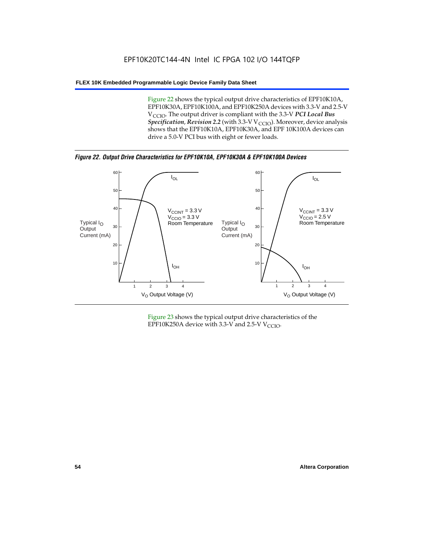Figure 22 shows the typical output drive characteristics of EPF10K10A, EPF10K30A, EPF10K100A, and EPF10K250A devices with 3.3-V and 2.5-V V<sub>CCIO</sub>. The output driver is compliant with the 3.3-V PCI Local Bus *Specification, Revision 2.2* (with 3.3-V V<sub>CCIO</sub>). Moreover, device analysis shows that the EPF10K10A, EPF10K30A, and EPF 10K100A devices can drive a 5.0-V PCI bus with eight or fewer loads.

*Figure 22. Output Drive Characteristics for EPF10K10A, EPF10K30A & EPF10K100A Devices*



Figure 23 shows the typical output drive characteristics of the EPF10K250A device with 3.3-V and 2.5-V  $V_{\text{CCIO}}$ .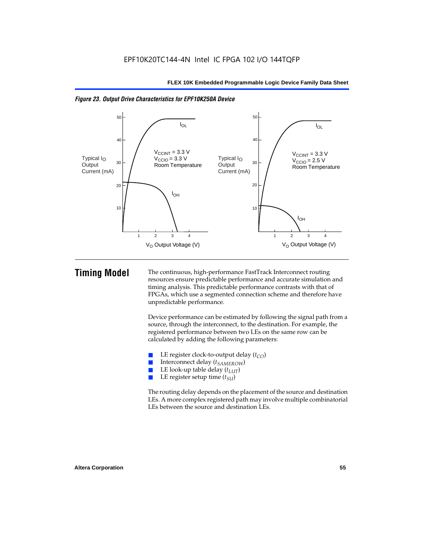



**Timing Model** The continuous, high-performance FastTrack Interconnect routing resources ensure predictable performance and accurate simulation and timing analysis. This predictable performance contrasts with that of FPGAs, which use a segmented connection scheme and therefore have unpredictable performance.

> Device performance can be estimated by following the signal path from a source, through the interconnect, to the destination. For example, the registered performance between two LEs on the same row can be calculated by adding the following parameters:

- **E** LE register clock-to-output delay  $(t_{CO})$ <br> **E** Interconnect delay  $(t_{CMBOW})$
- Interconnect delay (*t<sub>SAMEROW</sub>*)
- LE look-up table delay  $(t_{LUT})$
- LE register setup time ( $t_{SI}$ )

The routing delay depends on the placement of the source and destination LEs. A more complex registered path may involve multiple combinatorial LEs between the source and destination LEs.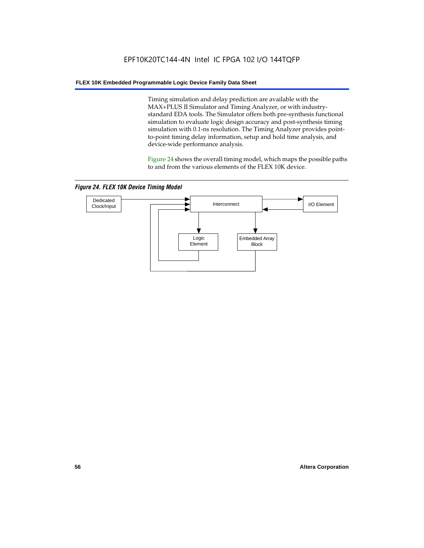Timing simulation and delay prediction are available with the MAX+PLUS II Simulator and Timing Analyzer, or with industrystandard EDA tools. The Simulator offers both pre-synthesis functional simulation to evaluate logic design accuracy and post-synthesis timing simulation with 0.1-ns resolution. The Timing Analyzer provides pointto-point timing delay information, setup and hold time analysis, and device-wide performance analysis.

Figure 24 shows the overall timing model, which maps the possible paths to and from the various elements of the FLEX 10K device.

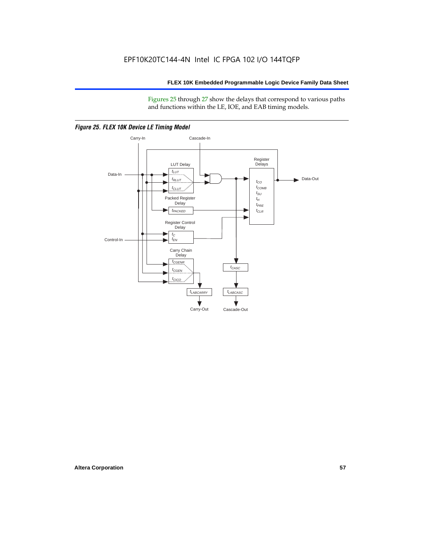Figures 25 through 27 show the delays that correspond to various paths and functions within the LE, IOE, and EAB timing models.



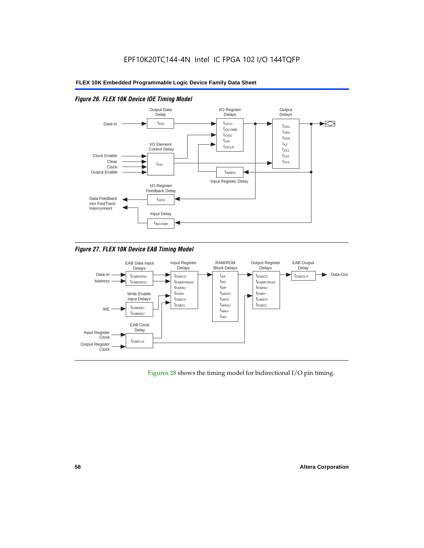

## *Figure 26. FLEX 10K Device IOE Timing Model*

*Figure 27. FLEX 10K Device EAB Timing Model*



Figures 28 shows the timing model for bidirectional I/O pin timing.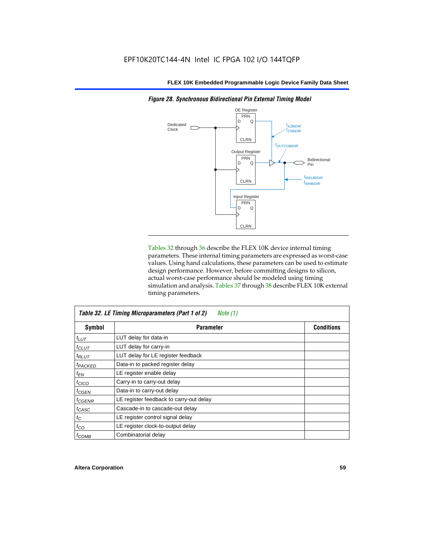

Tables 32 through 36 describe the FLEX 10K device internal timing parameters. These internal timing parameters are expressed as worst-case values. Using hand calculations, these parameters can be used to estimate design performance. However, before committing designs to silicon, actual worst-case performance should be modeled using timing simulation and analysis. Tables 37 through 38 describe FLEX 10K external timing parameters.

| Table 32. LE Timing Microparameters (Part 1 of 2)<br>Note (1) |                                         |                   |  |  |
|---------------------------------------------------------------|-----------------------------------------|-------------------|--|--|
| <b>Symbol</b>                                                 | <b>Parameter</b>                        | <b>Conditions</b> |  |  |
| $t_{LUT}$                                                     | LUT delay for data-in                   |                   |  |  |
| $t_{CLUT}$                                                    | LUT delay for carry-in                  |                   |  |  |
| $t_{RLUT}$                                                    | LUT delay for LE register feedback      |                   |  |  |
| <sup>t</sup> PACKED                                           | Data-in to packed register delay        |                   |  |  |
| $t_{EN}$                                                      | LE register enable delay                |                   |  |  |
| $t_{CICO}$                                                    | Carry-in to carry-out delay             |                   |  |  |
| $t_{CGEN}$                                                    | Data-in to carry-out delay              |                   |  |  |
| $t_{CGENR}$                                                   | LE register feedback to carry-out delay |                   |  |  |
| t <sub>CASC</sub>                                             | Cascade-in to cascade-out delay         |                   |  |  |
| $t_C$                                                         | LE register control signal delay        |                   |  |  |
| $t_{CO}$                                                      | LE register clock-to-output delay       |                   |  |  |
| <sup>t</sup> COMB                                             | Combinatorial delay                     |                   |  |  |

*Figure 28. Synchronous Bidirectional Pin External Timing Model*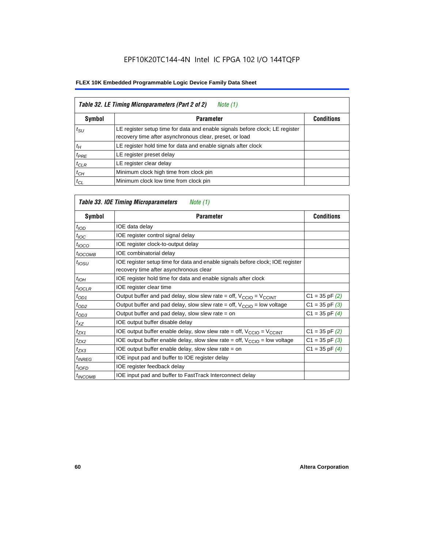| Table 32. LE Timing Microparameters (Part 2 of 2)<br>Note (1) |                                                                                                                                         |                   |  |  |  |
|---------------------------------------------------------------|-----------------------------------------------------------------------------------------------------------------------------------------|-------------------|--|--|--|
| <b>Symbol</b>                                                 | <b>Parameter</b>                                                                                                                        | <b>Conditions</b> |  |  |  |
| $t_{\rm SU}$                                                  | LE register setup time for data and enable signals before clock; LE register<br>recovery time after asynchronous clear, preset, or load |                   |  |  |  |
| $t_H$                                                         | LE register hold time for data and enable signals after clock                                                                           |                   |  |  |  |
| $t_{PRE}$                                                     | LE register preset delay                                                                                                                |                   |  |  |  |
| $t_{CLR}$                                                     | LE register clear delay                                                                                                                 |                   |  |  |  |
| $t_{CH}$                                                      | Minimum clock high time from clock pin                                                                                                  |                   |  |  |  |
| $t_{CL}$                                                      | Minimum clock low time from clock pin                                                                                                   |                   |  |  |  |

# *Table 33. IOE Timing Microparameters Note (1)*

| Symbol             | <b>Parameter</b>                                                                                                         | <b>Conditions</b>  |
|--------------------|--------------------------------------------------------------------------------------------------------------------------|--------------------|
| t <sub>IOD</sub>   | IOE data delay                                                                                                           |                    |
| $t_{\text{IOC}}$   | IOE register control signal delay                                                                                        |                    |
| $t_{IOCO}$         | IOE register clock-to-output delay                                                                                       |                    |
| $t_{IOCOMB}$       | IOE combinatorial delay                                                                                                  |                    |
| $t_{IOSU}$         | IOE register setup time for data and enable signals before clock; IOE register<br>recovery time after asynchronous clear |                    |
| $t_{IOH}$          | IOE register hold time for data and enable signals after clock                                                           |                    |
| $t_{IOCLR}$        | IOE register clear time                                                                                                  |                    |
| $t_{OD1}$          | Output buffer and pad delay, slow slew rate = off, $V_{\text{CCIO}} = V_{\text{CCINT}}$                                  | $C1 = 35$ pF $(2)$ |
| $t_{OD2}$          | Output buffer and pad delay, slow slew rate = off, $V_{CCIO}$ = low voltage                                              | $C1 = 35$ pF $(3)$ |
| $t_{OD3}$          | Output buffer and pad delay, slow slew rate $=$ on                                                                       | $C1 = 35$ pF $(4)$ |
| $t_{XZ}$           | IOE output buffer disable delay                                                                                          |                    |
| $t_{ZX1}$          | IOE output buffer enable delay, slow slew rate = off, $V_{\text{CCIO}} = V_{\text{CCINT}}$                               | $C1 = 35$ pF $(2)$ |
| $t_{ZX2}$          | IOE output buffer enable delay, slow slew rate = off, $V_{\text{CCIO}}$ = low voltage                                    | $C1 = 35$ pF $(3)$ |
| $t_{ZX3}$          | IOE output buffer enable delay, slow slew rate $=$ on                                                                    | $C1 = 35$ pF $(4)$ |
| <sup>t</sup> INREG | IOE input pad and buffer to IOE register delay                                                                           |                    |
| $t_{IOFD}$         | IOE register feedback delay                                                                                              |                    |
| $t_{INCOMB}$       | IOE input pad and buffer to FastTrack Interconnect delay                                                                 |                    |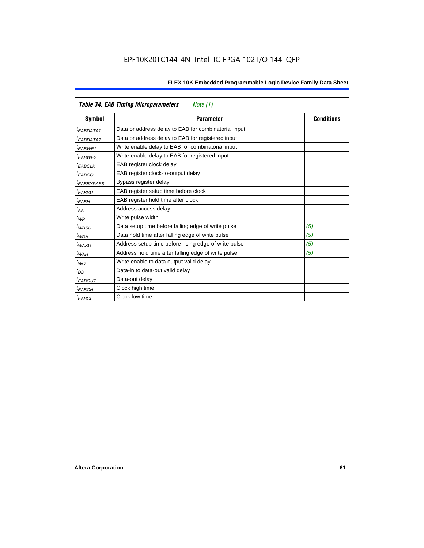|                        | <b>Table 34. EAB Timing Microparameters</b><br>Note (1) |                   |
|------------------------|---------------------------------------------------------|-------------------|
| Symbol                 | <b>Parameter</b>                                        | <b>Conditions</b> |
| $t_{EABDATA1}$         | Data or address delay to EAB for combinatorial input    |                   |
| <sup>t</sup> EABDATA2  | Data or address delay to EAB for registered input       |                   |
| t <sub>EABWE1</sub>    | Write enable delay to EAB for combinatorial input       |                   |
| t <sub>EABWE2</sub>    | Write enable delay to EAB for registered input          |                   |
| $t_{EABCLK}$           | EAB register clock delay                                |                   |
| $t_{EABCO}$            | EAB register clock-to-output delay                      |                   |
| <sup>t</sup> EABBYPASS | Bypass register delay                                   |                   |
| $t_{EABSU}$            | EAB register setup time before clock                    |                   |
| $t_{EABH}$             | EAB register hold time after clock                      |                   |
| $t_{AA}$               | Address access delay                                    |                   |
| $t_{WP}$               | Write pulse width                                       |                   |
| $t_{WDSU}$             | Data setup time before falling edge of write pulse      | (5)               |
| $t_{WDH}$              | Data hold time after falling edge of write pulse        | (5)               |
| $t_{WASU}$             | Address setup time before rising edge of write pulse    | (5)               |
| $t_{WAH}$              | Address hold time after falling edge of write pulse     | (5)               |
| $t_{WO}$               | Write enable to data output valid delay                 |                   |
| $t_{DD}$               | Data-in to data-out valid delay                         |                   |
| $t_{EABOUT}$           | Data-out delay                                          |                   |
| t <sub>EABCH</sub>     | Clock high time                                         |                   |
| <b><i>EABCL</i></b>    | Clock low time                                          |                   |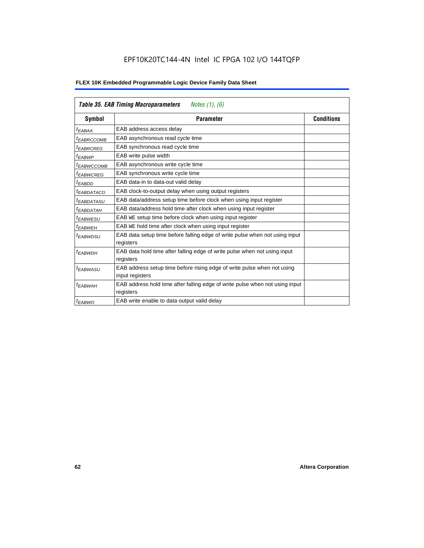|                        | <b>Table 35. EAB Timing Macroparameters</b><br>Notes $(1)$ , $(6)$                         |                   |
|------------------------|--------------------------------------------------------------------------------------------|-------------------|
| Symbol                 | <b>Parameter</b>                                                                           | <b>Conditions</b> |
| <sup>t</sup> EABAA     | EAB address access delay                                                                   |                   |
| <sup>t</sup> EABRCCOMB | EAB asynchronous read cycle time                                                           |                   |
| <sup>t</sup> EABRCREG  | EAB synchronous read cycle time                                                            |                   |
| <sup>t</sup> EABWP     | EAB write pulse width                                                                      |                   |
| <sup>t</sup> EABWCCOMB | EAB asynchronous write cycle time                                                          |                   |
| <sup>t</sup> EABWCREG  | EAB synchronous write cycle time                                                           |                   |
| <sup>t</sup> EABDD     | EAB data-in to data-out valid delay                                                        |                   |
| <sup>t</sup> EABDATACO | EAB clock-to-output delay when using output registers                                      |                   |
| <sup>t</sup> EABDATASU | EAB data/address setup time before clock when using input register                         |                   |
| <sup>t</sup> EABDATAH  | EAB data/address hold time after clock when using input register                           |                   |
| <sup>t</sup> EABWESU   | EAB WE setup time before clock when using input register                                   |                   |
| <sup>t</sup> EABWEH    | EAB WE hold time after clock when using input register                                     |                   |
| <sup>t</sup> EABWDSU   | EAB data setup time before falling edge of write pulse when not using input<br>registers   |                   |
| $t_{EABWDH}$           | EAB data hold time after falling edge of write pulse when not using input<br>registers     |                   |
| <sup>t</sup> EABWASU   | EAB address setup time before rising edge of write pulse when not using<br>input registers |                   |
| <sup>t</sup> EABWAH    | EAB address hold time after falling edge of write pulse when not using input<br>registers  |                   |
| <sup>t</sup> EABWO     | EAB write enable to data output valid delay                                                |                   |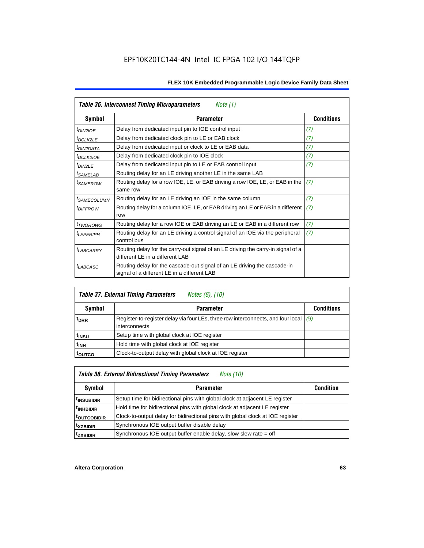|                            | Table 36. Interconnect Timing Microparameters<br>Note (1)                                                               |     |  |  |
|----------------------------|-------------------------------------------------------------------------------------------------------------------------|-----|--|--|
| Symbol                     | <b>Conditions</b>                                                                                                       |     |  |  |
| <sup>t</sup> DIN2IOE       | Delay from dedicated input pin to IOE control input<br>(7)                                                              |     |  |  |
| $t_{DCLK2LE}$              | Delay from dedicated clock pin to LE or EAB clock                                                                       | (7) |  |  |
| <sup>t</sup> DIN2DATA      | Delay from dedicated input or clock to LE or EAB data                                                                   | (7) |  |  |
| <sup>t</sup> DCLK2IOE      | Delay from dedicated clock pin to IOE clock                                                                             | (7) |  |  |
| t <sub>DIN2LE</sub>        | Delay from dedicated input pin to LE or EAB control input                                                               | (7) |  |  |
| <sup>t</sup> SAMELAB       | Routing delay for an LE driving another LE in the same LAB                                                              |     |  |  |
| <sup>t</sup> SAMEROW       | Routing delay for a row IOE, LE, or EAB driving a row IOE, LE, or EAB in the<br>same row                                | (7) |  |  |
| <sup>t</sup> SAMECOLUMN    | Routing delay for an LE driving an IOE in the same column                                                               | (7) |  |  |
| <i><b>IDIFFROW</b></i>     | Routing delay for a column IOE, LE, or EAB driving an LE or EAB in a different<br>row                                   | (7) |  |  |
| <i>t</i> TWOROWS           | Routing delay for a row IOE or EAB driving an LE or EAB in a different row                                              | (7) |  |  |
| <sup>t</sup> LEPERIPH      | Routing delay for an LE driving a control signal of an IOE via the peripheral<br>control bus                            | (7) |  |  |
| t <sub>LABCARRY</sub>      | Routing delay for the carry-out signal of an LE driving the carry-in signal of a<br>different LE in a different LAB     |     |  |  |
| <i>t<sub>LABCASC</sub></i> | Routing delay for the cascade-out signal of an LE driving the cascade-in<br>signal of a different LE in a different LAB |     |  |  |

|                    | <b>Table 37. External Timing Parameters</b><br>Notes (8), (10)                                          |                   |
|--------------------|---------------------------------------------------------------------------------------------------------|-------------------|
| Symbol             | <b>Parameter</b>                                                                                        | <b>Conditions</b> |
| <sup>t</sup> DRR   | Register-to-register delay via four LEs, three row interconnects, and four local $(9)$<br>interconnects |                   |
| t <sub>insu</sub>  | Setup time with global clock at IOE register                                                            |                   |
| t <sub>INH</sub>   | Hold time with global clock at IOE register                                                             |                   |
| <sup>I</sup> OUTCO | Clock-to-output delay with global clock at IOE register                                                 |                   |

# *Table 38. External Bidirectional Timing Parameters Note (10)*

| Symbol                  | <b>Parameter</b>                                                               | <b>Condition</b> |
|-------------------------|--------------------------------------------------------------------------------|------------------|
| <sup>t</sup> INSUBIDIR  | Setup time for bidirectional pins with global clock at adjacent LE register    |                  |
| <sup>t</sup> INHBIDIR   | Hold time for bidirectional pins with global clock at adjacent LE register     |                  |
| <sup>t</sup> outcobidir | Clock-to-output delay for bidirectional pins with global clock at IOE register |                  |
| <sup>t</sup> xzbidir    | Synchronous IOE output buffer disable delay                                    |                  |
| <sup>t</sup> zxbidir    | Synchronous IOE output buffer enable delay, slow slew rate = off               |                  |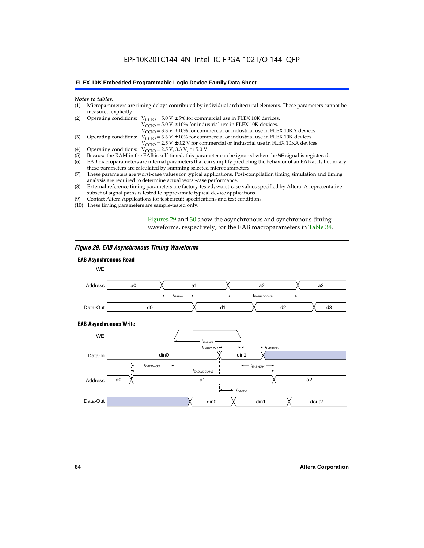#### **FLEX 10K Embedded Programmable Logic Device Family Data Sheet**

#### *Notes to tables:*

| (1) Microparameters are timing delays contributed by individual architectural elements. These parameters cannot be |
|--------------------------------------------------------------------------------------------------------------------|
| measured explicitly.                                                                                               |

| (2) Operating conditions: $V_{CCIO} = 5.0 V \pm 5%$ for commercial use in FLEX 10K devices. |  |  |  |
|---------------------------------------------------------------------------------------------|--|--|--|
|                                                                                             |  |  |  |

 $V<sub>CCIO</sub>$  = 5.0 V  $\pm$  10% for industrial use in FLEX 10K devices.

 $V_{\text{CCIO}} = 3.3 \text{ V} \pm 10\%$  for commercial or industrial use in FLEX 10KA devices.

(3) Operating conditions:  $V_{\text{CCIO}} = 3.3 V \pm 10\%$  for commercial or industrial use in FLEX 10K devices.

 $V_{\text{CCIO}} = 2.5 \text{ V} \pm 0.2 \text{ V}$  for commercial or industrial use in FLEX 10KA devices.

- (4) Operating conditions:  $V_{\text{CCIO}} = 2.5 V$ , 3.3 V, or 5.0 V.<br>(5) Because the RAM in the EAB is self-timed, this param
- (5) Because the RAM in the EAB is self-timed, this parameter can be ignored when the WE signal is registered.<br>(6) EAB macroparameters are internal parameters that can simplify predicting the behavior of an EAB at its bou
- EAB macroparameters are internal parameters that can simplify predicting the behavior of an EAB at its boundary; these parameters are calculated by summing selected microparameters.
- (7) These parameters are worst-case values for typical applications. Post-compilation timing simulation and timing analysis are required to determine actual worst-case performance.
- (8) External reference timing parameters are factory-tested, worst-case values specified by Altera. A representative subset of signal paths is tested to approximate typical device applications.
- (9) Contact Altera Applications for test circuit specifications and test conditions.
- (10) These timing parameters are sample-tested only.

Figures 29 and 30 show the asynchronous and synchronous timing waveforms, respectively, for the EAB macroparameters in Table 34.

#### *Figure 29. EAB Asynchronous Timing Waveforms*

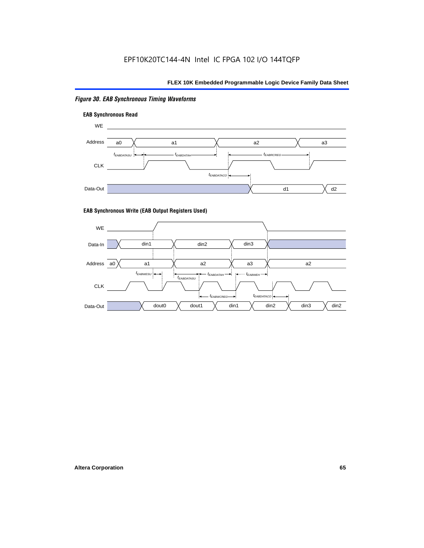#### **FLEX 10K Embedded Programmable Logic Device Family Data Sheet**

### *Figure 30. EAB Synchronous Timing Waveforms*





#### **EAB Synchronous Write (EAB Output Registers Used)**

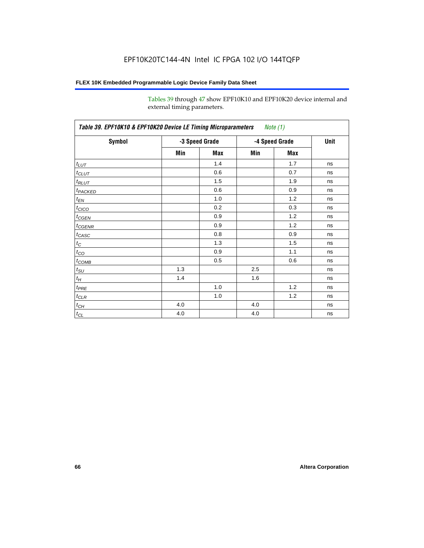Tables 39 through 47 show EPF10K10 and EPF10K20 device internal and external timing parameters.

| Table 39. EPF10K10 & EPF10K20 Device LE Timing Microparameters Note (1) |     |                |                |      |    |
|-------------------------------------------------------------------------|-----|----------------|----------------|------|----|
| Symbol                                                                  |     | -3 Speed Grade | -4 Speed Grade | Unit |    |
|                                                                         | Min | Max            | Min            | Max  |    |
| $t_{LUT}$                                                               |     | 1.4            |                | 1.7  | ns |
| $t_{CLUT}$                                                              |     | 0.6            |                | 0.7  | ns |
| $t_{RLUT}$                                                              |     | 1.5            |                | 1.9  | ns |
| <b>t</b> <sub>PACKED</sub>                                              |     | 0.6            |                | 0.9  | ns |
| $t_{EN}$                                                                |     | 1.0            |                | 1.2  | ns |
| $t_{CICO}$                                                              |     | 0.2            |                | 0.3  | ns |
| $t_{CGEN}$                                                              |     | 0.9            |                | 1.2  | ns |
| $t_{CGENR}$                                                             |     | 0.9            |                | 1.2  | ns |
| $t_{CASC}$                                                              |     | 0.8            |                | 0.9  | ns |
| $t_{\rm C}$                                                             |     | 1.3            |                | 1.5  | ns |
| $t_{CO}$                                                                |     | 0.9            |                | 1.1  | ns |
| $t_{\text{COMB}}$                                                       |     | 0.5            |                | 0.6  | ns |
| $t_{\text{SU}}$                                                         | 1.3 |                | 2.5            |      | ns |
| $t_H$                                                                   | 1.4 |                | 1.6            |      | ns |
| $t_{PRE}$                                                               |     | 1.0            |                | 1.2  | ns |
| $t_{\text{CLR}}$                                                        |     | 1.0            |                | 1.2  | ns |
| $t_{CH}$                                                                | 4.0 |                | 4.0            |      | ns |
| $t_{CL}$                                                                | 4.0 |                | 4.0            |      | ns |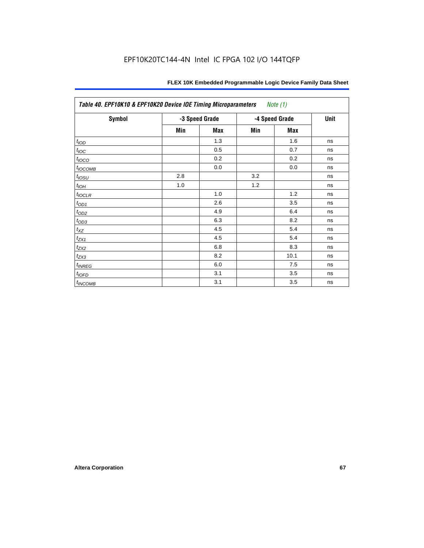| Table 40. EPF10K10 & EPF10K20 Device IOE Timing Microparameters<br>Note (1) |     |                |                |      |    |  |
|-----------------------------------------------------------------------------|-----|----------------|----------------|------|----|--|
| <b>Symbol</b>                                                               |     | -3 Speed Grade | -4 Speed Grade | Unit |    |  |
|                                                                             | Min | Max            | Min            | Max  |    |  |
| t <sub>IOD</sub>                                                            |     | 1.3            |                | 1.6  | ns |  |
| $t_{\text{IOC}}$                                                            |     | 0.5            |                | 0.7  | ns |  |
| $t_{IOCO}$                                                                  |     | 0.2            |                | 0.2  | ns |  |
| $t_{IOCOMB}$                                                                |     | 0.0            |                | 0.0  | ns |  |
| $t_{\textit{OSU}}$                                                          | 2.8 |                | 3.2            |      | ns |  |
| $t_{IOH}$                                                                   | 1.0 |                | 1.2            |      | ns |  |
| $t_{IOCLR}$                                                                 |     | 1.0            |                | 1.2  | ns |  |
| $t_{OD1}$                                                                   |     | 2.6            |                | 3.5  | ns |  |
| $t_{\rm O\underline{D}2}$                                                   |     | 4.9            |                | 6.4  | ns |  |
| $t_{OD3}$                                                                   |     | 6.3            |                | 8.2  | ns |  |
| $t_{\mathsf{XZ}}$                                                           |     | 4.5            |                | 5.4  | ns |  |
| $t_{ZX1}$                                                                   |     | 4.5            |                | 5.4  | ns |  |
| $t_{ZX2}$                                                                   |     | 6.8            |                | 8.3  | ns |  |
| $t_{ZX3}$                                                                   |     | 8.2            |                | 10.1 | ns |  |
| $t_{INREG}$                                                                 |     | 6.0            |                | 7.5  | ns |  |
| $t_{IOFD}$                                                                  |     | 3.1            |                | 3.5  | ns |  |
| $t_{INCOMB}$                                                                |     | 3.1            |                | 3.5  | ns |  |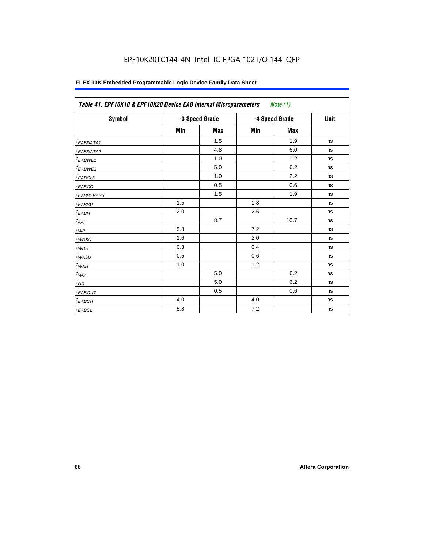| Symbol                 |     | -3 Speed Grade | -4 Speed Grade | Unit       |    |
|------------------------|-----|----------------|----------------|------------|----|
|                        | Min | <b>Max</b>     | Min            | <b>Max</b> |    |
| <sup>t</sup> EABDATA1  |     | 1.5            |                | 1.9        | ns |
| <sup>t</sup> EABDATA2  |     | 4.8            |                | 6.0        | ns |
| t <sub>EABWE1</sub>    |     | 1.0            |                | 1.2        | ns |
| <sup>t</sup> EABWE2    |     | 5.0            |                | 6.2        | ns |
| <sup>t</sup> EABCLK    |     | 1.0            |                | 2.2        | ns |
| t <sub>EABCO</sub>     |     | 0.5            |                | 0.6        | ns |
| <sup>t</sup> EABBYPASS |     | 1.5            |                | 1.9        | ns |
| $t_{EABSU}$            | 1.5 |                | 1.8            |            | ns |
| $t_{EABH}$             | 2.0 |                | 2.5            |            | ns |
| $t_{AA}$               |     | 8.7            |                | 10.7       | ns |
| $t_{\mathit{WP}}$      | 5.8 |                | 7.2            |            | ns |
| $t_{WDSU}$             | 1.6 |                | 2.0            |            | ns |
| $t_{WDH}$              | 0.3 |                | 0.4            |            | ns |
| $t_{WASU}$             | 0.5 |                | 0.6            |            | ns |
| $t_{W\underline{AH}}$  | 1.0 |                | 1.2            |            | ns |
| $t_{WO}$               |     | 5.0            |                | 6.2        | ns |
| $t_{DD}$               |     | 5.0            |                | 6.2        | ns |
| <sup>t</sup> EABOUT    |     | 0.5            |                | 0.6        | ns |
| $t_{EABCH}$            | 4.0 |                | 4.0            |            | ns |
| $t_{EABCL}$            | 5.8 |                | 7.2            |            | ns |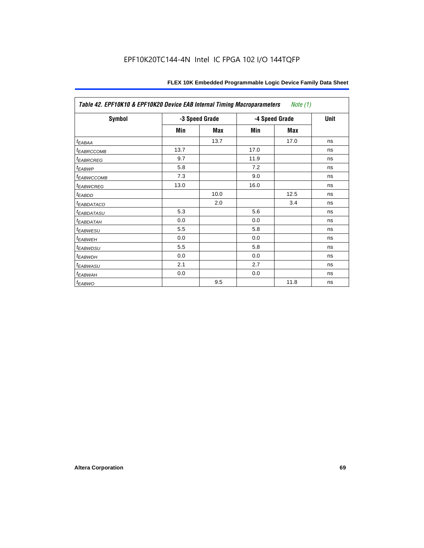| Table 42. EPF10K10 & EPF10K20 Device EAB Internal Timing Macroparameters<br>Note (1) |                |      |                |      |             |
|--------------------------------------------------------------------------------------|----------------|------|----------------|------|-------------|
| <b>Symbol</b>                                                                        | -3 Speed Grade |      | -4 Speed Grade |      | <b>Unit</b> |
|                                                                                      | Min            | Max  | Min            | Max  |             |
| t <sub>EABAA</sub>                                                                   |                | 13.7 |                | 17.0 | ns          |
| <sup>t</sup> EABRCCOMB                                                               | 13.7           |      | 17.0           |      | ns          |
| <b><i>EABRCREG</i></b>                                                               | 9.7            |      | 11.9           |      | ns          |
| t <sub>EABWP</sub>                                                                   | 5.8            |      | 7.2            |      | ns          |
| <sup>t</sup> EABWCCOMB                                                               | 7.3            |      | 9.0            |      | ns          |
| <sup>t</sup> EABWCREG                                                                | 13.0           |      | 16.0           |      | ns          |
| t <sub>EABDD</sub>                                                                   |                | 10.0 |                | 12.5 | ns          |
| <sup>t</sup> EABDATACO                                                               |                | 2.0  |                | 3.4  | ns          |
| <sup>t</sup> EABDATASU                                                               | 5.3            |      | 5.6            |      | ns          |
| <sup>t</sup> EABDATAH                                                                | 0.0            |      | 0.0            |      | ns          |
| <sup>t</sup> EABWESU                                                                 | 5.5            |      | 5.8            |      | ns          |
| <sup>t</sup> EABWEH                                                                  | 0.0            |      | 0.0            |      | ns          |
| <sup>t</sup> EABWDSU                                                                 | 5.5            |      | 5.8            |      | ns          |
| <sup>t</sup> EABWDH                                                                  | 0.0            |      | 0.0            |      | ns          |
| t <sub>EABWASU</sub>                                                                 | 2.1            |      | 2.7            |      | ns          |
| <sup>t</sup> EABWAH                                                                  | 0.0            |      | 0.0            |      | ns          |
| t <sub>EABWO</sub>                                                                   |                | 9.5  |                | 11.8 | ns          |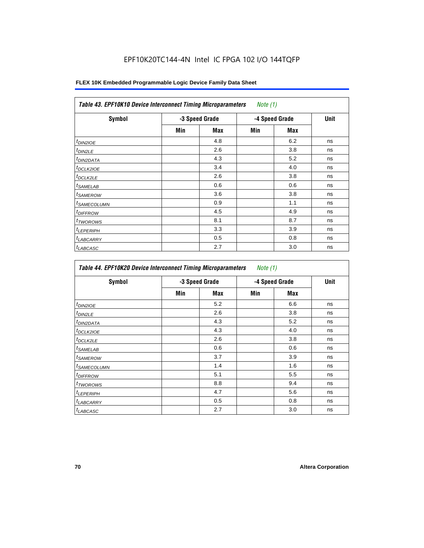# **FLEX 10K Embedded Programmable Logic Device Family Data Sheet**

| <b>Symbol</b>              | -3 Speed Grade |     | -4 Speed Grade |            | <b>Unit</b> |
|----------------------------|----------------|-----|----------------|------------|-------------|
|                            | Min            | Max | Min            | <b>Max</b> |             |
| t <sub>DIN2IOE</sub>       |                | 4.8 |                | 6.2        | ns          |
| $t_{DIN2LE}$               |                | 2.6 |                | 3.8        | ns          |
| <sup>t</sup> DIN2DATA      |                | 4.3 |                | 5.2        | ns          |
| <sup>t</sup> DCLK2IOE      |                | 3.4 |                | 4.0        | ns          |
| ${}^t$ DCLK2LE             |                | 2.6 |                | 3.8        | ns          |
| <sup>t</sup> SAMELAB       |                | 0.6 |                | 0.6        | ns          |
| <sup>t</sup> SAMEROW       |                | 3.6 |                | 3.8        | ns          |
| <sup>t</sup> SAMECOLUMN    |                | 0.9 |                | 1.1        | ns          |
| <i>t<sub>DIFFROW</sub></i> |                | 4.5 |                | 4.9        | ns          |
| <sup>t</sup> TWOROWS       |                | 8.1 |                | 8.7        | ns          |
| <sup>t</sup> LEPERIPH      |                | 3.3 |                | 3.9        | ns          |
| <sup>I</sup> LABCARRY      |                | 0.5 |                | 0.8        | ns          |
| <sup>t</sup> LABCASC       |                | 2.7 |                | 3.0        | ns          |

| Symbol                  | -3 Speed Grade |     | -4 Speed Grade |     | Unit |
|-------------------------|----------------|-----|----------------|-----|------|
|                         | Min            | Max | Min            | Max |      |
| $t_{DINZIOE}$           |                | 5.2 |                | 6.6 | ns   |
| <sup>t</sup> DIN2LE     |                | 2.6 |                | 3.8 | ns   |
| <sup>t</sup> DIN2DATA   |                | 4.3 |                | 5.2 | ns   |
| <sup>t</sup> DCLK2IOE   |                | 4.3 |                | 4.0 | ns   |
| t <sub>DCLK2LE</sub>    |                | 2.6 |                | 3.8 | ns   |
| <sup>t</sup> SAMELAB    |                | 0.6 |                | 0.6 | ns   |
| <sup>t</sup> SAMEROW    |                | 3.7 |                | 3.9 | ns   |
| <sup>I</sup> SAMECOLUMN |                | 1.4 |                | 1.6 | ns   |
| <sup>I</sup> DIFFROW    |                | 5.1 |                | 5.5 | ns   |
| <sup>t</sup> TWOROWS    |                | 8.8 |                | 9.4 | ns   |
| <sup>t</sup> LEPERIPH   |                | 4.7 |                | 5.6 | ns   |
| <b>LABCARRY</b>         |                | 0.5 |                | 0.8 | ns   |
| <sup>t</sup> LABCASC    |                | 2.7 |                | 3.0 | ns   |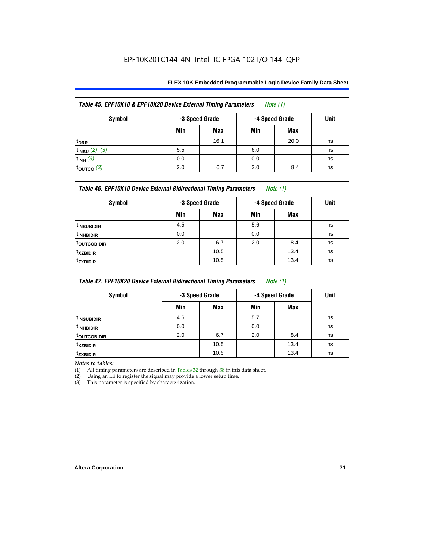| Table 45. EPF10K10 & EPF10K20 Device External Timing Parameters<br>Note $(1)$ |                |            |                |      |             |  |
|-------------------------------------------------------------------------------|----------------|------------|----------------|------|-------------|--|
| Symbol                                                                        | -3 Speed Grade |            | -4 Speed Grade |      | <b>Unit</b> |  |
|                                                                               | Min            | <b>Max</b> | Min            | Max  |             |  |
| t <sub>DRR</sub>                                                              |                | 16.1       |                | 20.0 | ns          |  |
| $t_{INSU}$ (2), (3)                                                           | 5.5            |            | 6.0            |      | ns          |  |
| $t_{INH}$ (3)                                                                 | 0.0            |            | 0.0            |      | ns          |  |
| $\vert$ toutco (3)                                                            | 2.0            | 6.7        | 2.0            | 8.4  | ns          |  |

| Table 46. EPF10K10 Device External Bidirectional Timing Parameters<br>Note (1) |                |      |                |            |      |  |
|--------------------------------------------------------------------------------|----------------|------|----------------|------------|------|--|
| Symbol                                                                         | -3 Speed Grade |      | -4 Speed Grade |            | Unit |  |
|                                                                                | Min            | Max  | Min            | <b>Max</b> |      |  |
| <sup>t</sup> INSUBIDIR                                                         | 4.5            |      | 5.6            |            | ns   |  |
| <sup>t</sup> INHBIDIR                                                          | 0.0            |      | 0.0            |            | ns   |  |
| <sup>t</sup> OUTCOBIDIR                                                        | 2.0            | 6.7  | 2.0            | 8.4        | ns   |  |
| <b>txzbidir</b>                                                                |                | 10.5 |                | 13.4       | ns   |  |
| tzxbidir                                                                       |                | 10.5 |                | 13.4       | ns   |  |

| Table 47. EPF10K20 Device External Bidirectional Timing Parameters<br><i>Note</i> $(1)$ |                |      |                |      |             |  |
|-----------------------------------------------------------------------------------------|----------------|------|----------------|------|-------------|--|
| Symbol                                                                                  | -3 Speed Grade |      | -4 Speed Grade |      | <b>Unit</b> |  |
|                                                                                         | Min            | Max  | Min            | Max  |             |  |
| <sup>t</sup> INSUBIDIR                                                                  | 4.6            |      | 5.7            |      | ns          |  |
| <sup>t</sup> INHBIDIR                                                                   | 0.0            |      | 0.0            |      | ns          |  |
| <b>TOUTCOBIDIR</b>                                                                      | 2.0            | 6.7  | 2.0            | 8.4  | ns          |  |
| <sup>t</sup> xzbidir                                                                    |                | 10.5 |                | 13.4 | ns          |  |
| <sup>t</sup> zxbidir                                                                    |                | 10.5 |                | 13.4 | ns          |  |

*Notes to tables:*

(1) All timing parameters are described in Tables 32 through 38 in this data sheet.

(2) Using an LE to register the signal may provide a lower setup time.

(3) This parameter is specified by characterization.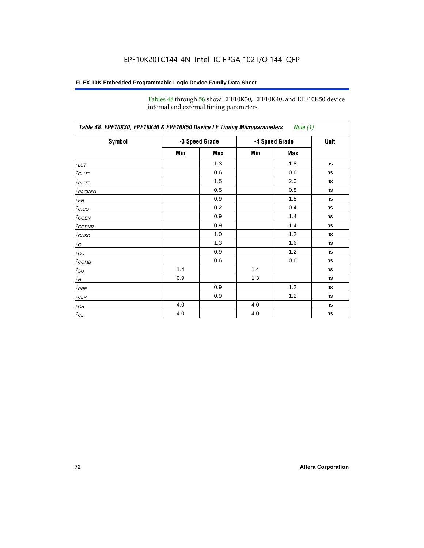Tables 48 through 56 show EPF10K30, EPF10K40, and EPF10K50 device internal and external timing parameters.

| Symbol                     |     | -3 Speed Grade |     | <b>Unit</b>    |    |  |
|----------------------------|-----|----------------|-----|----------------|----|--|
|                            |     |                |     | -4 Speed Grade |    |  |
|                            | Min | Max            | Min | Max            |    |  |
| $t_{LUT}$                  |     | 1.3            |     | 1.8            | ns |  |
| $t_{CLUT}$                 |     | 0.6            |     | 0.6            | ns |  |
| $t_{RLUT}$                 |     | 1.5            |     | 2.0            | ns |  |
| <b>t</b> <sub>PACKED</sub> |     | 0.5            |     | 0.8            | ns |  |
| $t_{EN}$                   |     | 0.9            |     | 1.5            | ns |  |
| $t_{CICO}$                 |     | 0.2            |     | 0.4            | ns |  |
| $t_{CGEN}$                 |     | 0.9            |     | 1.4            | ns |  |
| $t_{\text{GENR}}$          |     | 0.9            |     | 1.4            | ns |  |
| $t_{CASC}$                 |     | 1.0            |     | 1.2            | ns |  |
| $t_C$                      |     | 1.3            |     | 1.6            | ns |  |
| $t_{CO}$                   |     | 0.9            |     | 1.2            | ns |  |
| $t_{\text{COMB}}$          |     | 0.6            |     | 0.6            | ns |  |
| $t_{\text{SU}}$            | 1.4 |                | 1.4 |                | ns |  |
| $t_H$                      | 0.9 |                | 1.3 |                | ns |  |
| $t_{PRE}$                  |     | 0.9            |     | 1.2            | ns |  |
| $t_{\text{CLR}}$           |     | 0.9            |     | 1.2            | ns |  |
| $t_{CH}$                   | 4.0 |                | 4.0 |                | ns |  |
| $t_{CL}$                   | 4.0 |                | 4.0 |                | ns |  |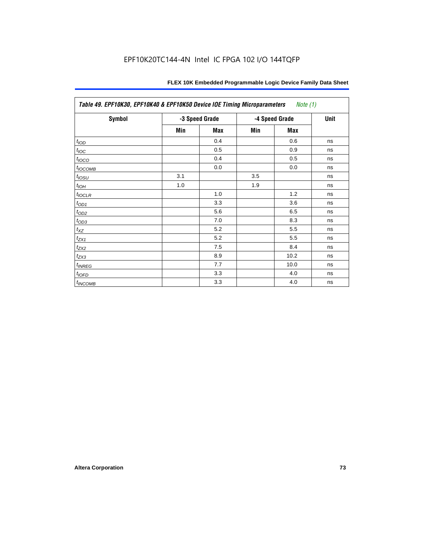| Table 49. EPF10K30, EPF10K40 & EPF10K50 Device IOE Timing Microparameters<br>Note (1) |     |                |     |                |    |  |  |  |
|---------------------------------------------------------------------------------------|-----|----------------|-----|----------------|----|--|--|--|
| <b>Symbol</b>                                                                         |     | -3 Speed Grade |     | -4 Speed Grade |    |  |  |  |
|                                                                                       | Min | <b>Max</b>     | Min | Max            |    |  |  |  |
| t <sub>IOD</sub>                                                                      |     | 0.4            |     | 0.6            | ns |  |  |  |
| $t_{\text{IOC}}$                                                                      |     | 0.5            |     | 0.9            | ns |  |  |  |
| $t_{IOCO}$                                                                            |     | 0.4            |     | 0.5            | ns |  |  |  |
| t <sub>IOCOMB</sub>                                                                   |     | 0.0            |     | 0.0            | ns |  |  |  |
| $t_{IOSU}$                                                                            | 3.1 |                | 3.5 |                | ns |  |  |  |
| $t_{IOH}$                                                                             | 1.0 |                | 1.9 |                | ns |  |  |  |
| $t_{IOCLR}$                                                                           |     | 1.0            |     | 1.2            | ns |  |  |  |
| $t_{OD1}$                                                                             |     | 3.3            |     | 3.6            | ns |  |  |  |
| $t_{OD2}$                                                                             |     | 5.6            |     | 6.5            | ns |  |  |  |
| $t_{OD3}$                                                                             |     | 7.0            |     | 8.3            | ns |  |  |  |
| $t_{\mathsf{XZ}}$                                                                     |     | 5.2            |     | 5.5            | ns |  |  |  |
| $t_{ZX1}$                                                                             |     | 5.2            |     | 5.5            | ns |  |  |  |
| $t_{ZX2}$                                                                             |     | 7.5            |     | 8.4            | ns |  |  |  |
| $t_{ZX3}$                                                                             |     | 8.9            |     | 10.2           | ns |  |  |  |
| $t_{INREG}$                                                                           |     | 7.7            |     | 10.0           | ns |  |  |  |
| $t_{IOFD}$                                                                            |     | 3.3            |     | 4.0            | ns |  |  |  |
| $t_{INCOMB}$                                                                          |     | 3.3            |     | 4.0            | ns |  |  |  |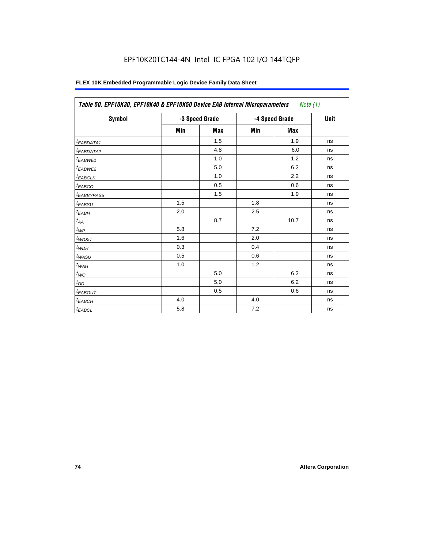| <b>Symbol</b>           |     | -3 Speed Grade |     | -4 Speed Grade | <b>Unit</b> |
|-------------------------|-----|----------------|-----|----------------|-------------|
|                         | Min | Max            | Min | Max            |             |
| <sup>t</sup> EABDATA1   |     | 1.5            |     | 1.9            | ns          |
| t <sub>EABDATA2</sub>   |     | 4.8            |     | 6.0            | ns          |
| t <sub>EABWE1</sub>     |     | 1.0            |     | 1.2            | ns          |
| <sup>t</sup> EABWE2     |     | 5.0            |     | 6.2            | ns          |
| $t_{EABCLK}$            |     | 1.0            |     | 2.2            | ns          |
| $t_{EABCO}$             |     | 0.5            |     | 0.6            | ns          |
| <b><i>EABBYPASS</i></b> |     | 1.5            |     | 1.9            | ns          |
| $t_{EABSU}$             | 1.5 |                | 1.8 |                | ns          |
| $t_{EABH}$              | 2.0 |                | 2.5 |                | ns          |
| $t_{AA}$                |     | 8.7            |     | 10.7           | ns          |
| $t_{WP}$                | 5.8 |                | 7.2 |                | ns          |
| $t_{WDSU}$              | 1.6 |                | 2.0 |                | ns          |
| $t_{WDH}$               | 0.3 |                | 0.4 |                | ns          |
| $t_{WASU}$              | 0.5 |                | 0.6 |                | ns          |
| $t_{WAH}$               | 1.0 |                | 1.2 |                | ns          |
| $t_{WO}$                |     | 5.0            |     | 6.2            | ns          |
| $t_{DD}$                |     | 5.0            |     | 6.2            | ns          |
| <sup>t</sup> EABOUT     |     | 0.5            |     | 0.6            | ns          |
| <sup>t</sup> ЕАВСН      | 4.0 |                | 4.0 |                | ns          |
| $t_{EABCL}$             | 5.8 |                | 7.2 |                | ns          |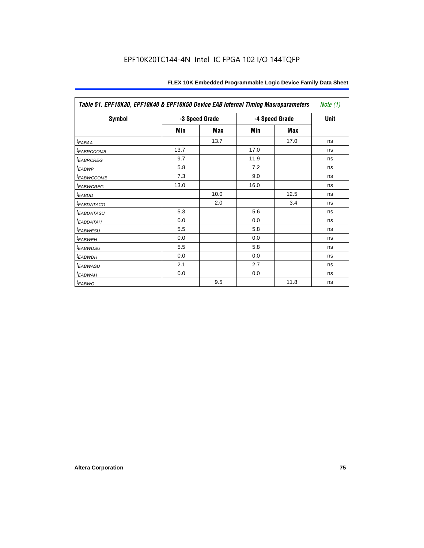| Table 51. EPF10K30, EPF10K40 & EPF10K50 Device EAB Internal Timing Macroparameters |      |                |      |                |             |  |  |
|------------------------------------------------------------------------------------|------|----------------|------|----------------|-------------|--|--|
| Symbol                                                                             |      | -3 Speed Grade |      | -4 Speed Grade | <b>Unit</b> |  |  |
|                                                                                    | Min  | <b>Max</b>     | Min  | Max            |             |  |  |
| $t_{EABA}$                                                                         |      | 13.7           |      | 17.0           | ns          |  |  |
| <b><i>EABRCCOMB</i></b>                                                            | 13.7 |                | 17.0 |                | ns          |  |  |
| <b><i>EABRCREG</i></b>                                                             | 9.7  |                | 11.9 |                | ns          |  |  |
| <sup>t</sup> EABWP                                                                 | 5.8  |                | 7.2  |                | ns          |  |  |
| <b><i>EABWCCOMB</i></b>                                                            | 7.3  |                | 9.0  |                | ns          |  |  |
| <b><i>EABWCREG</i></b>                                                             | 13.0 |                | 16.0 |                | ns          |  |  |
| <sup>t</sup> EABDD                                                                 |      | 10.0           |      | 12.5           | ns          |  |  |
| <i>EABDATACO</i>                                                                   |      | 2.0            |      | 3.4            | ns          |  |  |
| <sup>I</sup> EABDATASU                                                             | 5.3  |                | 5.6  |                | ns          |  |  |
| <sup>t</sup> EABDATAH                                                              | 0.0  |                | 0.0  |                | ns          |  |  |
| <b><i>EABWESU</i></b>                                                              | 5.5  |                | 5.8  |                | ns          |  |  |
| <sup>t</sup> EABWEH                                                                | 0.0  |                | 0.0  |                | ns          |  |  |
| <sup>t</sup> EABWDSU                                                               | 5.5  |                | 5.8  |                | ns          |  |  |
| <sup>t</sup> EABWDH                                                                | 0.0  |                | 0.0  |                | ns          |  |  |
| <sup>t</sup> EABWASU                                                               | 2.1  |                | 2.7  |                | ns          |  |  |
| <sup>t</sup> EABWAH                                                                | 0.0  |                | 0.0  |                | ns          |  |  |
| $t_{EABWO}$                                                                        |      | 9.5            |      | 11.8           | ns          |  |  |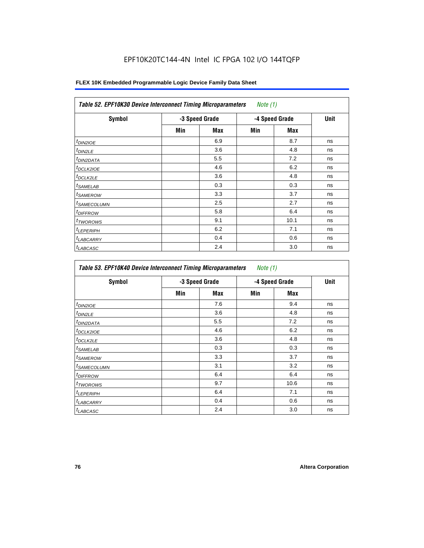### **FLEX 10K Embedded Programmable Logic Device Family Data Sheet**

| <b>Table 52. EPF10K30 Device Interconnect Timing Microparameters</b> |     | Note $(1)$     |     |                |      |  |
|----------------------------------------------------------------------|-----|----------------|-----|----------------|------|--|
| <b>Symbol</b>                                                        |     | -3 Speed Grade |     | -4 Speed Grade | Unit |  |
|                                                                      | Min | Max            | Min | <b>Max</b>     |      |  |
| $t_{DIN2IOE}$                                                        |     | 6.9            |     | 8.7            | ns   |  |
| <sup>t</sup> DIN2LE                                                  |     | 3.6            |     | 4.8            | ns   |  |
| <sup>t</sup> DIN2DATA                                                |     | 5.5            |     | 7.2            | ns   |  |
| <sup>t</sup> DCLK2IOE                                                |     | 4.6            |     | 6.2            | ns   |  |
| <sup>t</sup> DCLK2LE                                                 |     | 3.6            |     | 4.8            | ns   |  |
| <sup>t</sup> SAMELAB                                                 |     | 0.3            |     | 0.3            | ns   |  |
| <sup>t</sup> SAMEROW                                                 |     | 3.3            |     | 3.7            | ns   |  |
| <sup>t</sup> SAMECOLUMN                                              |     | 2.5            |     | 2.7            | ns   |  |
| <i>t<sub>DIFFROW</sub></i>                                           |     | 5.8            |     | 6.4            | ns   |  |
| <sup>t</sup> TWOROWS                                                 |     | 9.1            |     | 10.1           | ns   |  |
| <sup>t</sup> LEPERIPH                                                |     | 6.2            |     | 7.1            | ns   |  |
| <sup>t</sup> LABCARRY                                                |     | 0.4            |     | 0.6            | ns   |  |
| <sup>t</sup> LABCASC                                                 |     | 2.4            |     | 3.0            | ns   |  |

| <b>Symbol</b>           |     | -3 Speed Grade |     | -4 Speed Grade | Unit |
|-------------------------|-----|----------------|-----|----------------|------|
|                         | Min | Max            | Min | Max            |      |
| $t_{DINZIOE}$           |     | 7.6            |     | 9.4            | ns   |
| <sup>t</sup> DIN2LE     |     | 3.6            |     | 4.8            | ns   |
| <sup>t</sup> DIN2DATA   |     | 5.5            |     | 7.2            | ns   |
| <sup>I</sup> DCLK2IOE   |     | 4.6            |     | 6.2            | ns   |
| <sup>t</sup> DCLK2LE    |     | 3.6            |     | 4.8            | ns   |
| <sup>t</sup> SAMELAB    |     | 0.3            |     | 0.3            | ns   |
| <sup>t</sup> SAMEROW    |     | 3.3            |     | 3.7            | ns   |
| <sup>I</sup> SAMECOLUMN |     | 3.1            |     | 3.2            | ns   |
| <sup>t</sup> DIFFROW    |     | 6.4            |     | 6.4            | ns   |
| <sup>T</sup> TWOROWS    |     | 9.7            |     | 10.6           | ns   |
| <sup>t</sup> LEPERIPH   |     | 6.4            |     | 7.1            | ns   |
| <b>LABCARRY</b>         |     | 0.4            |     | 0.6            | ns   |
| <sup>t</sup> LABCASC    |     | 2.4            |     | 3.0            | ns   |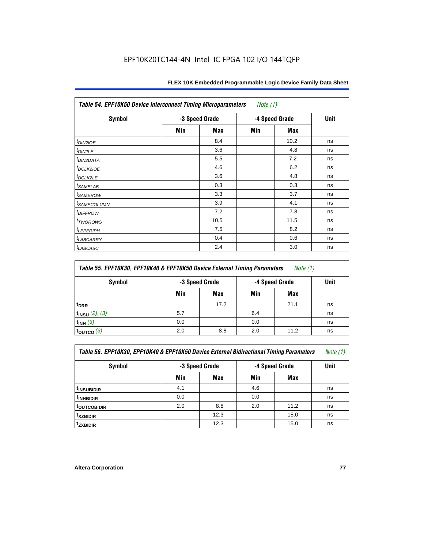| <b>Table 54. EPF10K50 Device Interconnect Timing Microparameters</b><br>Note $(1)$ |     |                |                |             |    |  |  |  |
|------------------------------------------------------------------------------------|-----|----------------|----------------|-------------|----|--|--|--|
| <b>Symbol</b>                                                                      |     | -3 Speed Grade | -4 Speed Grade | <b>Unit</b> |    |  |  |  |
|                                                                                    | Min | Max            | Min            | Max         |    |  |  |  |
| $t_{DIN2IOE}$                                                                      |     | 8.4            |                | 10.2        | ns |  |  |  |
| t <sub>DIN2LE</sub>                                                                |     | 3.6            |                | 4.8         | ns |  |  |  |
| t <sub>DIN2DATA</sub>                                                              |     | 5.5            |                | 7.2         | ns |  |  |  |
| t <sub>DCLK2IOE</sub>                                                              |     | 4.6            |                | 6.2         | ns |  |  |  |
| $t_{DCLK2LE}$                                                                      |     | 3.6            |                | 4.8         | ns |  |  |  |
| $t_{SAMELAB}$                                                                      |     | 0.3            |                | 0.3         | ns |  |  |  |
| <i>t<sub>SAMEROW</sub></i>                                                         |     | 3.3            |                | 3.7         | ns |  |  |  |
| <sup>t</sup> SAMECOLUMN                                                            |     | 3.9            |                | 4.1         | ns |  |  |  |
| <i>t<sub>DIFFROW</sub></i>                                                         |     | 7.2            |                | 7.8         | ns |  |  |  |
| <i>t</i> <sub>TWOROWS</sub>                                                        |     | 10.5           |                | 11.5        | ns |  |  |  |
| <b><i>ILEPERIPH</i></b>                                                            |     | 7.5            |                | 8.2         | ns |  |  |  |
| <sup>t</sup> LABCARRY                                                              |     | 0.4            |                | 0.6         | ns |  |  |  |
| <b><i>LABCASC</i></b>                                                              |     | 2.4            |                | 3.0         | ns |  |  |  |

| Table 55. EPF10K30, EPF10K40 & EPF10K50 Device External Timing Parameters<br>Note $(1)$ |     |                                  |     |      |      |  |  |  |
|-----------------------------------------------------------------------------------------|-----|----------------------------------|-----|------|------|--|--|--|
| <b>Symbol</b>                                                                           |     | -4 Speed Grade<br>-3 Speed Grade |     |      | Unit |  |  |  |
|                                                                                         | Min | Max                              | Min | Max  |      |  |  |  |
| <sup>t</sup> DRR                                                                        |     | 17.2                             |     | 21.1 | ns   |  |  |  |
| $t_{INSU}$ (2), (3)                                                                     | 5.7 |                                  | 6.4 |      | ns   |  |  |  |
| $t_{INH}$ (3)                                                                           | 0.0 |                                  | 0.0 |      | ns   |  |  |  |
| $t_{\text{OUTCO}}$ (3)                                                                  | 2.0 | 8.8                              | 2.0 | 11.2 | ns   |  |  |  |

| Table 56. EPF10K30, EPF10K40 & EPF10K50 Device External Bidirectional Timing Parameters<br>Note $(1)$ |     |                |                |             |    |  |  |  |  |
|-------------------------------------------------------------------------------------------------------|-----|----------------|----------------|-------------|----|--|--|--|--|
| Symbol                                                                                                |     | -3 Speed Grade | -4 Speed Grade | <b>Unit</b> |    |  |  |  |  |
|                                                                                                       | Min | Max            | Min            | Max         |    |  |  |  |  |
| <sup>t</sup> INSUBIDIR                                                                                | 4.1 |                | 4.6            |             | ns |  |  |  |  |
| <sup>t</sup> INHBIDIR                                                                                 | 0.0 |                | 0.0            |             | ns |  |  |  |  |
| t <sub>outcobidir</sub>                                                                               | 2.0 | 8.8            | 2.0            | 11.2        | ns |  |  |  |  |
| <sup>t</sup> xzbidir                                                                                  |     | 12.3           |                | 15.0        | ns |  |  |  |  |
| <sup>t</sup> zxbidir                                                                                  |     | 12.3           |                | 15.0        | ns |  |  |  |  |

r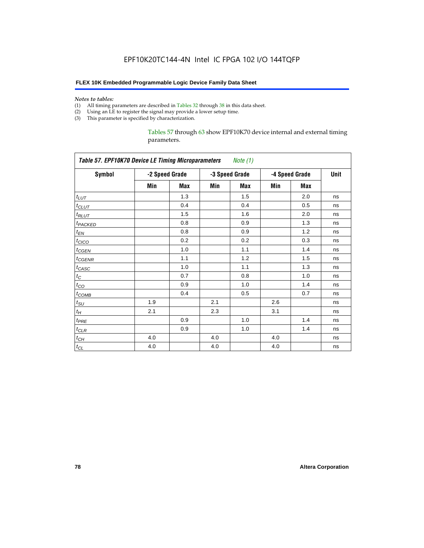#### **FLEX 10K Embedded Programmable Logic Device Family Data Sheet**

#### *Notes to tables:*

- (1) All timing parameters are described in Tables 32 through 38 in this data sheet.
- (2) Using an LE to register the signal may provide a lower setup time.
- (3) This parameter is specified by characterization.

Tables 57 through 63 show EPF10K70 device internal and external timing parameters.

| <b>Symbol</b>                    |     | -2 Speed Grade |     | -3 Speed Grade |     | -4 Speed Grade |    |
|----------------------------------|-----|----------------|-----|----------------|-----|----------------|----|
|                                  | Min | Max            | Min | Max            | Min | <b>Max</b>     |    |
| $t_{LUT}$                        |     | 1.3            |     | 1.5            |     | 2.0            | ns |
| $t_{CLUT}$                       |     | 0.4            |     | 0.4            |     | 0.5            | ns |
| $t_{RLUT}$                       |     | 1.5            |     | 1.6            |     | 2.0            | ns |
| <b><i>t<sub>PACKED</sub></i></b> |     | 0.8            |     | 0.9            |     | 1.3            | ns |
| $t_{EN}$                         |     | 0.8            |     | 0.9            |     | 1.2            | ns |
| $t_{CICO}$                       |     | 0.2            |     | 0.2            |     | 0.3            | ns |
| $t_{GEN}$                        |     | 1.0            |     | 1.1            |     | 1.4            | ns |
| t <sub>CGENR</sub>               |     | 1.1            |     | 1.2            |     | 1.5            | ns |
| t <sub>CASC</sub>                |     | 1.0            |     | 1.1            |     | 1.3            | ns |
| $t_{\rm C}$                      |     | 0.7            |     | 0.8            |     | 1.0            | ns |
| $t_{CO}$                         |     | 0.9            |     | 1.0            |     | 1.4            | ns |
| $t_{COMB}$                       |     | 0.4            |     | 0.5            |     | 0.7            | ns |
| $t_{\text{SU}}$                  | 1.9 |                | 2.1 |                | 2.6 |                | ns |
| $t_{\mathcal{H}}$                | 2.1 |                | 2.3 |                | 3.1 |                | ns |
| $t_{PRE}$                        |     | 0.9            |     | 1.0            |     | 1.4            | ns |
| $t_{CLR}$                        |     | 0.9            |     | 1.0            |     | 1.4            | ns |
| $t_{CH}$                         | 4.0 |                | 4.0 |                | 4.0 |                | ns |
| $t_{CL}$                         | 4.0 |                | 4.0 |                | 4.0 |                | ns |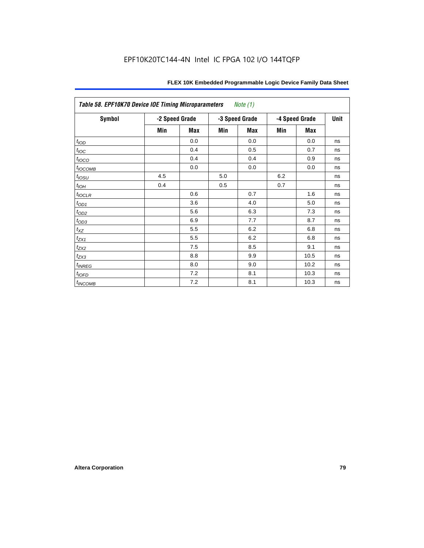| <b>Table 58. EPF10K70 Device IOE Timing Microparameters</b><br>Note (1) |                |            |     |                |     |                |      |  |  |
|-------------------------------------------------------------------------|----------------|------------|-----|----------------|-----|----------------|------|--|--|
| Symbol                                                                  | -2 Speed Grade |            |     | -3 Speed Grade |     | -4 Speed Grade | Unit |  |  |
|                                                                         | Min            | <b>Max</b> | Min | <b>Max</b>     | Min | <b>Max</b>     |      |  |  |
| t <sub>IOD</sub>                                                        |                | 0.0        |     | 0.0            |     | 0.0            | ns   |  |  |
| $t_{\text{IOC}}$                                                        |                | 0.4        |     | 0.5            |     | 0.7            | ns   |  |  |
| $t_{IOCO}$                                                              |                | 0.4        |     | 0.4            |     | 0.9            | ns   |  |  |
| $t_{IOCOMB}$                                                            |                | 0.0        |     | 0.0            |     | 0.0            | ns   |  |  |
| $t_{IOSU}$                                                              | 4.5            |            | 5.0 |                | 6.2 |                | ns   |  |  |
| $t_{IOH}$                                                               | 0.4            |            | 0.5 |                | 0.7 |                | ns   |  |  |
| $t_{IOCLR}$                                                             |                | 0.6        |     | 0.7            |     | 1.6            | ns   |  |  |
| $t_{\text{OD1}}$                                                        |                | 3.6        |     | 4.0            |     | 5.0            | ns   |  |  |
| $t_{\rm OD2}$                                                           |                | 5.6        |     | 6.3            |     | 7.3            | ns   |  |  |
| $t_{OD3}$                                                               |                | 6.9        |     | 7.7            |     | 8.7            | ns   |  |  |
| $t_{XZ}$                                                                |                | 5.5        |     | 6.2            |     | 6.8            | ns   |  |  |
| $t_{ZX1}$                                                               |                | 5.5        |     | 6.2            |     | 6.8            | ns   |  |  |
| $t_{ZX2}$                                                               |                | 7.5        |     | 8.5            |     | 9.1            | ns   |  |  |
| $t_{\underline{ZX3}}$                                                   |                | 8.8        |     | 9.9            |     | 10.5           | ns   |  |  |
| $t_{INREG}$                                                             |                | 8.0        |     | 9.0            |     | 10.2           | ns   |  |  |
| $t_{IOFD}$                                                              |                | 7.2        |     | 8.1            |     | 10.3           | ns   |  |  |
| $t_{INCOMB}$                                                            |                | 7.2        |     | 8.1            |     | 10.3           | ns   |  |  |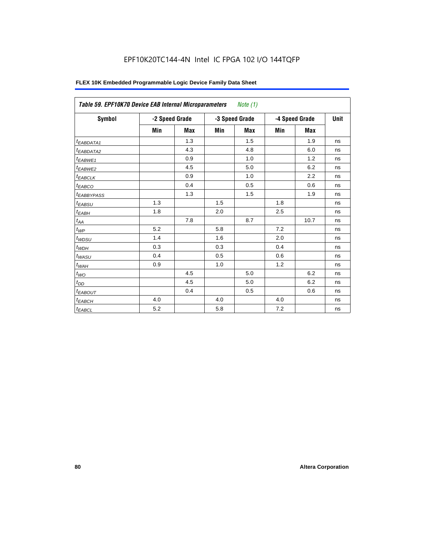|                                | Table 59. EPF10K70 Device EAB Internal Microparameters<br>Note (1) |     |     |                |     |                |             |  |  |  |
|--------------------------------|--------------------------------------------------------------------|-----|-----|----------------|-----|----------------|-------------|--|--|--|
| Symbol                         | -2 Speed Grade                                                     |     |     | -3 Speed Grade |     | -4 Speed Grade | <b>Unit</b> |  |  |  |
|                                | Min                                                                | Max | Min | Max            | Min | Max            |             |  |  |  |
| <sup>t</sup> EABDATA1          |                                                                    | 1.3 |     | 1.5            |     | 1.9            | ns          |  |  |  |
| t <sub>EABDATA2</sub>          |                                                                    | 4.3 |     | 4.8            |     | 6.0            | ns          |  |  |  |
| <sup>t</sup> EABWE1            |                                                                    | 0.9 |     | 1.0            |     | 1.2            | ns          |  |  |  |
| t <sub>EABWE2</sub>            |                                                                    | 4.5 |     | 5.0            |     | 6.2            | ns          |  |  |  |
| $t_{EABCLK}$                   |                                                                    | 0.9 |     | 1.0            |     | 2.2            | ns          |  |  |  |
| $t_{EABCO}$                    |                                                                    | 0.4 |     | 0.5            |     | 0.6            | ns          |  |  |  |
| <i><b><i>EABBYPASS</i></b></i> |                                                                    | 1.3 |     | 1.5            |     | 1.9            | ns          |  |  |  |
| t <sub>EABSU</sub>             | 1.3                                                                |     | 1.5 |                | 1.8 |                | ns          |  |  |  |
| $t_{EABH}$                     | 1.8                                                                |     | 2.0 |                | 2.5 |                | ns          |  |  |  |
| $t_{AA}$                       |                                                                    | 7.8 |     | 8.7            |     | 10.7           | ns          |  |  |  |
| $t_{WP}$                       | 5.2                                                                |     | 5.8 |                | 7.2 |                | ns          |  |  |  |
| $t_{WDSU}$                     | 1.4                                                                |     | 1.6 |                | 2.0 |                | ns          |  |  |  |
| $t_{WDH}$                      | 0.3                                                                |     | 0.3 |                | 0.4 |                | ns          |  |  |  |
| $t_{WASU}$                     | 0.4                                                                |     | 0.5 |                | 0.6 |                | ns          |  |  |  |
| $t_{W\!AH}$                    | 0.9                                                                |     | 1.0 |                | 1.2 |                | ns          |  |  |  |
| $t_{WO}$                       |                                                                    | 4.5 |     | 5.0            |     | 6.2            | ns          |  |  |  |
| $t_{DD}$                       |                                                                    | 4.5 |     | 5.0            |     | 6.2            | ns          |  |  |  |
| <sup>t</sup> EABOUT            |                                                                    | 0.4 |     | 0.5            |     | 0.6            | ns          |  |  |  |
| <sup>t</sup> ЕАВСН             | 4.0                                                                |     | 4.0 |                | 4.0 |                | ns          |  |  |  |
| $t_{EABCL}$                    | 5.2                                                                |     | 5.8 |                | 7.2 |                | ns          |  |  |  |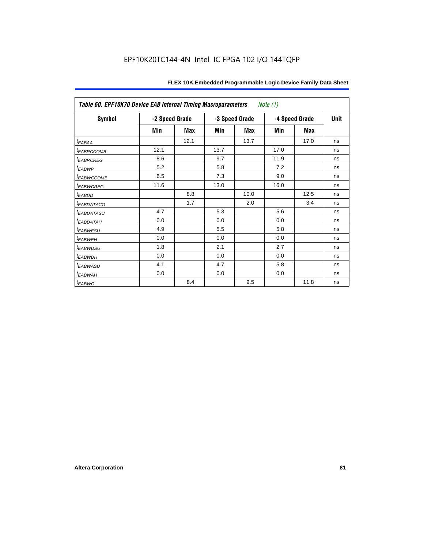| Table 60. EPF10K70 Device EAB Internal Timing Macroparameters<br><i>Note</i> $(1)$ |      |                |      |                |      |                |    |  |  |  |
|------------------------------------------------------------------------------------|------|----------------|------|----------------|------|----------------|----|--|--|--|
| Symbol                                                                             |      | -2 Speed Grade |      | -3 Speed Grade |      | -4 Speed Grade |    |  |  |  |
|                                                                                    | Min  | Max            | Min  | Max            | Min  | Max            |    |  |  |  |
| $t_{EABA}$                                                                         |      | 12.1           |      | 13.7           |      | 17.0           | ns |  |  |  |
| <sup>t</sup> EABRCCOMB                                                             | 12.1 |                | 13.7 |                | 17.0 |                | ns |  |  |  |
| <b><i>EABRCREG</i></b>                                                             | 8.6  |                | 9.7  |                | 11.9 |                | ns |  |  |  |
| t <sub>EABWP</sub>                                                                 | 5.2  |                | 5.8  |                | 7.2  |                | ns |  |  |  |
| <sup>t</sup> EABWCCOMB                                                             | 6.5  |                | 7.3  |                | 9.0  |                | ns |  |  |  |
| <sup>t</sup> EABWCREG                                                              | 11.6 |                | 13.0 |                | 16.0 |                | ns |  |  |  |
| t <sub>EABDD</sub>                                                                 |      | 8.8            |      | 10.0           |      | 12.5           | ns |  |  |  |
| <b><i>EABDATACO</i></b>                                                            |      | 1.7            |      | 2.0            |      | 3.4            | ns |  |  |  |
| <sup>t</sup> EABDATASU                                                             | 4.7  |                | 5.3  |                | 5.6  |                | ns |  |  |  |
| <sup>t</sup> EABDATAH                                                              | 0.0  |                | 0.0  |                | 0.0  |                | ns |  |  |  |
| <sup>t</sup> EABWESU                                                               | 4.9  |                | 5.5  |                | 5.8  |                | ns |  |  |  |
| <sup>t</sup> EABWEH                                                                | 0.0  |                | 0.0  |                | 0.0  |                | ns |  |  |  |
| <sup>t</sup> EABWDSU                                                               | 1.8  |                | 2.1  |                | 2.7  |                | ns |  |  |  |
| <sup>t</sup> EABWDH                                                                | 0.0  |                | 0.0  |                | 0.0  |                | ns |  |  |  |
| t <sub>EABWASU</sub>                                                               | 4.1  |                | 4.7  |                | 5.8  |                | ns |  |  |  |
| <sup>t</sup> EABWAH                                                                | 0.0  |                | 0.0  |                | 0.0  |                | ns |  |  |  |
| t <sub>EABWO</sub>                                                                 |      | 8.4            |      | 9.5            |      | 11.8           | ns |  |  |  |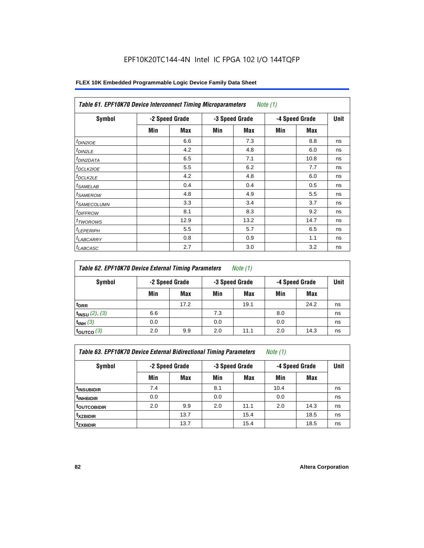| Table 61. EPF10K70 Device Interconnect Timing Microparameters |     |                |     |                | Note $(1)$ |                |             |
|---------------------------------------------------------------|-----|----------------|-----|----------------|------------|----------------|-------------|
| Symbol                                                        |     | -2 Speed Grade |     | -3 Speed Grade |            | -4 Speed Grade | <b>Unit</b> |
|                                                               | Min | Max            | Min | Max            | Min        | Max            |             |
| <sup>t</sup> DIN2IOE                                          |     | 6.6            |     | 7.3            |            | 8.8            | ns          |
| t <sub>DIN2LE</sub>                                           |     | 4.2            |     | 4.8            |            | 6.0            | ns          |
| <sup>t</sup> DIN2DATA                                         |     | 6.5            |     | 7.1            |            | 10.8           | ns          |
| <sup>t</sup> DCLK2IOE                                         |     | 5.5            |     | 6.2            |            | 7.7            | ns          |
| $t$ DCLK2LE                                                   |     | 4.2            |     | 4.8            |            | 6.0            | ns          |
| <sup>t</sup> SAMELAB                                          |     | 0.4            |     | 0.4            |            | 0.5            | ns          |
| <sup>t</sup> SAMEROW                                          |     | 4.8            |     | 4.9            |            | 5.5            | ns          |
| <sup>t</sup> SAMECOLUMN                                       |     | 3.3            |     | 3.4            |            | 3.7            | ns          |
| <sup>t</sup> DIFFROW                                          |     | 8.1            |     | 8.3            |            | 9.2            | ns          |
| <sup>T</sup> TWOROWS                                          |     | 12.9           |     | 13.2           |            | 14.7           | ns          |
| <sup>t</sup> LEPERIPH                                         |     | 5.5            |     | 5.7            |            | 6.5            | ns          |
| <sup>I</sup> LABCARRY                                         |     | 0.8            |     | 0.9            |            | 1.1            | ns          |
| <sup>t</sup> LABCASC                                          |     | 2.7            |     | 3.0            |            | 3.2            | ns          |

| Table 62. EPF10K70 Device External Timing Parameters<br>Note $(1)$ |                |      |                |            |                |      |             |  |  |  |
|--------------------------------------------------------------------|----------------|------|----------------|------------|----------------|------|-------------|--|--|--|
| Symbol                                                             | -2 Speed Grade |      | -3 Speed Grade |            | -4 Speed Grade |      | <b>Unit</b> |  |  |  |
|                                                                    | Min            | Max  | Min            | <b>Max</b> | Min            | Max  |             |  |  |  |
| <sup>t</sup> DRR                                                   |                | 17.2 |                | 19.1       |                | 24.2 | ns          |  |  |  |
| $t_{INSU}$ (2), (3)                                                | 6.6            |      | 7.3            |            | 8.0            |      | ns          |  |  |  |
| $t_{INH}$ (3)                                                      | 0.0            |      | 0.0            |            | 0.0            |      | ns          |  |  |  |
| $t_{\rm OUTCO}$ $(3)$                                              | 2.0            | 9.9  | 2.0            | 11.1       | 2.0            | 14.3 | ns          |  |  |  |

*Table 63. EPF10K70 Device External Bidirectional Timing Parameters Note (1)*

| Symbol                  | -2 Speed Grade |            |     | -3 Speed Grade |      | -4 Speed Grade |    |
|-------------------------|----------------|------------|-----|----------------|------|----------------|----|
|                         | Min            | <b>Max</b> | Min | <b>Max</b>     | Min  | <b>Max</b>     |    |
| <sup>t</sup> insubidir  | 7.4            |            | 8.1 |                | 10.4 |                | ns |
| <sup>T</sup> INHBIDIR   | 0.0            |            | 0.0 |                | 0.0  |                | ns |
| <sup>t</sup> OUTCOBIDIR | 2.0            | 9.9        | 2.0 | 11.1           | 2.0  | 14.3           | ns |
| <sup>t</sup> xzbidir    |                | 13.7       |     | 15.4           |      | 18.5           | ns |
| <sup>t</sup> zxbidir    |                | 13.7       |     | 15.4           |      | 18.5           | ns |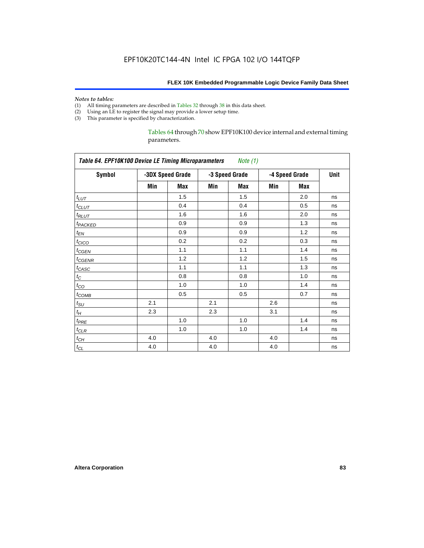# *Notes to tables:*<br>(1) All timing p

- All timing parameters are described in Tables 32 through 38 in this data sheet.
- (2) Using an LE to register the signal may provide a lower setup time.
- (3) This parameter is specified by characterization.

Tables 64 through 70 show EPF10K100 device internal and external timing parameters.

| <b>Symbol</b>       |     | -3DX Speed Grade |     | -3 Speed Grade |     | -4 Speed Grade |    |  |
|---------------------|-----|------------------|-----|----------------|-----|----------------|----|--|
|                     | Min | Max              | Min | Max            | Min | <b>Max</b>     |    |  |
| $t_{LUT}$           |     | 1.5              |     | 1.5            |     | 2.0            | ns |  |
| $t_{CLUT}$          |     | 0.4              |     | 0.4            |     | 0.5            | ns |  |
| $t_{RLUT}$          |     | 1.6              |     | 1.6            |     | 2.0            | ns |  |
| t <sub>PACKED</sub> |     | 0.9              |     | 0.9            |     | 1.3            | ns |  |
| $t_{EN}$            |     | 0.9              |     | 0.9            |     | 1.2            | ns |  |
| $t_{CICO}$          |     | 0.2              |     | 0.2            |     | 0.3            | ns |  |
| $t_{GEN}$           |     | 1.1              |     | 1.1            |     | 1.4            | ns |  |
| $t_{GENR}$          |     | 1.2              |     | 1.2            |     | 1.5            | ns |  |
| $t_{CASC}$          |     | 1.1              |     | 1.1            |     | 1.3            | ns |  |
| $t_C$               |     | 0.8              |     | 0.8            |     | 1.0            | ns |  |
| $t_{CO}$            |     | 1.0              |     | 1.0            |     | 1.4            | ns |  |
| $t_{COMB}$          |     | 0.5              |     | 0.5            |     | 0.7            | ns |  |
| $t_{\rm SU}$        | 2.1 |                  | 2.1 |                | 2.6 |                | ns |  |
| $t_H$               | 2.3 |                  | 2.3 |                | 3.1 |                | ns |  |
| $t_{PRE}$           |     | 1.0              |     | 1.0            |     | 1.4            | ns |  |
| $t_{CLR}$           |     | 1.0              |     | 1.0            |     | 1.4            | ns |  |
| $t_{CH}$            | 4.0 |                  | 4.0 |                | 4.0 |                | ns |  |
| $t_{CL}$            | 4.0 |                  | 4.0 |                | 4.0 |                | ns |  |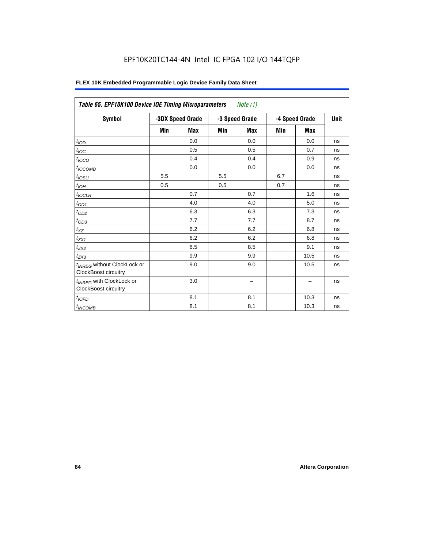| FLEX 10K Embedded Programmable Logic Device Family Data Sheet |  |
|---------------------------------------------------------------|--|
|---------------------------------------------------------------|--|

| Table 65. EPF10K100 Device IOE Timing Microparameters                  |                  |     |     | Note $(1)$               |     |                |             |
|------------------------------------------------------------------------|------------------|-----|-----|--------------------------|-----|----------------|-------------|
| <b>Symbol</b>                                                          | -3DX Speed Grade |     |     | -3 Speed Grade           |     | -4 Speed Grade | <b>Unit</b> |
|                                                                        | Min              | Max | Min | <b>Max</b>               | Min | <b>Max</b>     |             |
| t <sub>IOD</sub>                                                       |                  | 0.0 |     | 0.0                      |     | 0.0            | ns          |
| $t_{\text{IOC}}$                                                       |                  | 0.5 |     | 0.5                      |     | 0.7            | ns          |
| $t_{IOCO}$                                                             |                  | 0.4 |     | 0.4                      |     | 0.9            | ns          |
| $t_{IOCOMB}$                                                           |                  | 0.0 |     | 0.0                      |     | 0.0            | ns          |
| $t_{IOSU}$                                                             | 5.5              |     | 5.5 |                          | 6.7 |                | ns          |
| $t_{IOH}$                                                              | 0.5              |     | 0.5 |                          | 0.7 |                | ns          |
| $t_{IOCLR}$                                                            |                  | 0.7 |     | 0.7                      |     | 1.6            | ns          |
| $t_{OD1}$                                                              |                  | 4.0 |     | 4.0                      |     | 5.0            | ns          |
| $t_{OD2}$                                                              |                  | 6.3 |     | 6.3                      |     | 7.3            | ns          |
| $t_{OD3}$                                                              |                  | 7.7 |     | 7.7                      |     | 8.7            | ns          |
| $t_{XZ}$                                                               |                  | 6.2 |     | 6.2                      |     | 6.8            | ns          |
| $t_{ZX1}$                                                              |                  | 6.2 |     | 6.2                      |     | 6.8            | ns          |
| $t_{ZX2}$                                                              |                  | 8.5 |     | 8.5                      |     | 9.1            | ns          |
| $t_{ZX3}$                                                              |                  | 9.9 |     | 9.9                      |     | 10.5           | ns          |
| t <sub>INREG</sub> without ClockLock or<br><b>ClockBoost circuitry</b> |                  | 9.0 |     | 9.0                      |     | 10.5           | ns          |
| t <sub>INREG</sub> with ClockLock or<br>ClockBoost circuitry           |                  | 3.0 |     | $\overline{\phantom{0}}$ |     |                | ns          |
| $t_{IOFD}$                                                             |                  | 8.1 |     | 8.1                      |     | 10.3           | ns          |
| <i>t<sub>INCOMB</sub></i>                                              |                  | 8.1 |     | 8.1                      |     | 10.3           | ns          |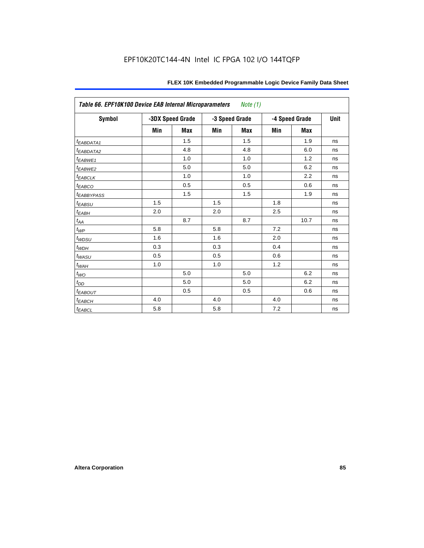| Table 66. EPF10K100 Device EAB Internal Microparameters Note (1) |     |                  |     |                |                |      |    |  |  |
|------------------------------------------------------------------|-----|------------------|-----|----------------|----------------|------|----|--|--|
| Symbol                                                           |     | -3DX Speed Grade |     | -3 Speed Grade | -4 Speed Grade | Unit |    |  |  |
|                                                                  | Min | Max              | Min | Max            | Min            | Max  |    |  |  |
| <b>EABDATA1</b>                                                  |     | 1.5              |     | 1.5            |                | 1.9  | ns |  |  |
| t <sub>EABDATA2</sub>                                            |     | 4.8              |     | 4.8            |                | 6.0  | ns |  |  |
| t <sub>EABWE1</sub>                                              |     | 1.0              |     | 1.0            |                | 1.2  | ns |  |  |
| $t_{EABWE2}$                                                     |     | 5.0              |     | 5.0            |                | 6.2  | ns |  |  |
| $t_{EABCLK}$                                                     |     | 1.0              |     | 1.0            |                | 2.2  | ns |  |  |
| $t_{EABCO}$                                                      |     | 0.5              |     | 0.5            |                | 0.6  | ns |  |  |
| <i><b>EABBYPASS</b></i>                                          |     | 1.5              |     | 1.5            |                | 1.9  | ns |  |  |
| $t_{EABSU}$                                                      | 1.5 |                  | 1.5 |                | 1.8            |      | ns |  |  |
| $t_{EABH}$                                                       | 2.0 |                  | 2.0 |                | 2.5            |      | ns |  |  |
| $t_{\mathit{AA}}$                                                |     | 8.7              |     | 8.7            |                | 10.7 | ns |  |  |
| $t_{\mathit{WP}}$                                                | 5.8 |                  | 5.8 |                | 7.2            |      | ns |  |  |
| $t_{WDSU}$                                                       | 1.6 |                  | 1.6 |                | 2.0            |      | ns |  |  |
| $t_{WDH}$                                                        | 0.3 |                  | 0.3 |                | 0.4            |      | ns |  |  |
| $t_{WASU}$                                                       | 0.5 |                  | 0.5 |                | 0.6            |      | ns |  |  |
| $t_{WAH}$                                                        | 1.0 |                  | 1.0 |                | 1.2            |      | ns |  |  |
| $t_{WO}$                                                         |     | 5.0              |     | 5.0            |                | 6.2  | ns |  |  |
| $t_{DD}$                                                         |     | 5.0              |     | 5.0            |                | 6.2  | ns |  |  |
| $t_{EABOUT}$                                                     |     | 0.5              |     | 0.5            |                | 0.6  | ns |  |  |
| $t_{EABCH}$                                                      | 4.0 |                  | 4.0 |                | 4.0            |      | ns |  |  |
| $t_{EABCL}$                                                      | 5.8 |                  | 5.8 |                | 7.2            |      | ns |  |  |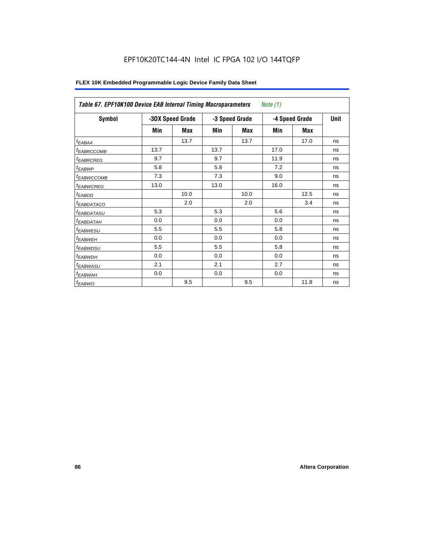| Table 67. EPF10K100 Device EAB Internal Timing Macroparameters<br>Note (1) |      |                  |      |                |      |                |    |  |  |
|----------------------------------------------------------------------------|------|------------------|------|----------------|------|----------------|----|--|--|
| <b>Symbol</b>                                                              |      | -3DX Speed Grade |      | -3 Speed Grade |      | -4 Speed Grade |    |  |  |
|                                                                            | Min  | Max              | Min  | Max            | Min  | Max            |    |  |  |
| t <sub>EABAA</sub>                                                         |      | 13.7             |      | 13.7           |      | 17.0           | ns |  |  |
| <sup>t</sup> EABRCCOMB                                                     | 13.7 |                  | 13.7 |                | 17.0 |                | ns |  |  |
| <sup>t</sup> EABRCREG                                                      | 9.7  |                  | 9.7  |                | 11.9 |                | ns |  |  |
| t <sub>EABWP</sub>                                                         | 5.8  |                  | 5.8  |                | 7.2  |                | ns |  |  |
| <sup>t</sup> EABWCCOMB                                                     | 7.3  |                  | 7.3  |                | 9.0  |                | ns |  |  |
| <sup>t</sup> EABWCREG                                                      | 13.0 |                  | 13.0 |                | 16.0 |                | ns |  |  |
| <sup>t</sup> EABDD                                                         |      | 10.0             |      | 10.0           |      | 12.5           | ns |  |  |
| <sup>t</sup> EABDATACO                                                     |      | 2.0              |      | 2.0            |      | 3.4            | ns |  |  |
| <sup>t</sup> EABDATASU                                                     | 5.3  |                  | 5.3  |                | 5.6  |                | ns |  |  |
| <sup>t</sup> EABDATAH                                                      | 0.0  |                  | 0.0  |                | 0.0  |                | ns |  |  |
| <sup>t</sup> EABWESU                                                       | 5.5  |                  | 5.5  |                | 5.8  |                | ns |  |  |
| <sup>t</sup> EABWEH                                                        | 0.0  |                  | 0.0  |                | 0.0  |                | ns |  |  |
| <sup>t</sup> EABWDSU                                                       | 5.5  |                  | 5.5  |                | 5.8  |                | ns |  |  |
| <sup>t</sup> EABWDH                                                        | 0.0  |                  | 0.0  |                | 0.0  |                | ns |  |  |
| <sup>t</sup> EABWASU                                                       | 2.1  |                  | 2.1  |                | 2.7  |                | ns |  |  |
| <sup>t</sup> EABWAH                                                        | 0.0  |                  | 0.0  |                | 0.0  |                | ns |  |  |
| <sup>t</sup> EABWO                                                         |      | 9.5              |      | 9.5            |      | 11.8           | ns |  |  |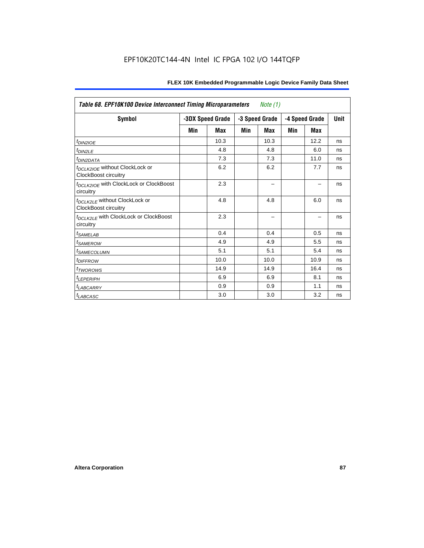| Table 68. EPF10K100 Device Interconnect Timing Microparameters<br><i>Note</i> $(1)$ |                  |      |                |      |                |      |      |  |  |
|-------------------------------------------------------------------------------------|------------------|------|----------------|------|----------------|------|------|--|--|
| <b>Symbol</b>                                                                       | -3DX Speed Grade |      | -3 Speed Grade |      | -4 Speed Grade |      | Unit |  |  |
|                                                                                     | Min              | Max  | Min            | Max  | Min            | Max  |      |  |  |
| $t_{DINZIOE}$                                                                       |                  | 10.3 |                | 10.3 |                | 12.2 | ns   |  |  |
| t <sub>DIN2LE</sub>                                                                 |                  | 4.8  |                | 4.8  |                | 6.0  | ns   |  |  |
| <sup>t</sup> DIN2DATA                                                               |                  | 7.3  |                | 7.3  |                | 11.0 | ns   |  |  |
| t <sub>DCLK2IOE</sub> without ClockLock or<br><b>ClockBoost circuitry</b>           |                  | 6.2  |                | 6.2  |                | 7.7  | ns   |  |  |
| t <sub>DCLK2IOE</sub> with ClockLock or ClockBoost<br>circuitry                     |                  | 2.3  |                |      |                |      | ns   |  |  |
| t <sub>DCLK2LE</sub> without ClockLock or<br>ClockBoost circuitry                   |                  | 4.8  |                | 4.8  |                | 6.0  | ns   |  |  |
| t <sub>DCLK2LE</sub> with ClockLock or ClockBoost<br>circuitry                      |                  | 2.3  |                |      |                |      | ns   |  |  |
| <sup>t</sup> SAMELAB                                                                |                  | 0.4  |                | 0.4  |                | 0.5  | ns   |  |  |
| <sup>t</sup> SAMEROW                                                                |                  | 4.9  |                | 4.9  |                | 5.5  | ns   |  |  |
| <sup>I</sup> SAMECOLUMN                                                             |                  | 5.1  |                | 5.1  |                | 5.4  | ns   |  |  |
| <i>t<sub>DIFFROW</sub></i>                                                          |                  | 10.0 |                | 10.0 |                | 10.9 | ns   |  |  |
| <sup>T</sup> TWOROWS                                                                |                  | 14.9 |                | 14.9 |                | 16.4 | ns   |  |  |
| <sup>t</sup> LEPERIPH                                                               |                  | 6.9  |                | 6.9  |                | 8.1  | ns   |  |  |
| <b>LABCARRY</b>                                                                     |                  | 0.9  |                | 0.9  |                | 1.1  | ns   |  |  |
| t <sub>LABCASC</sub>                                                                |                  | 3.0  |                | 3.0  |                | 3.2  | ns   |  |  |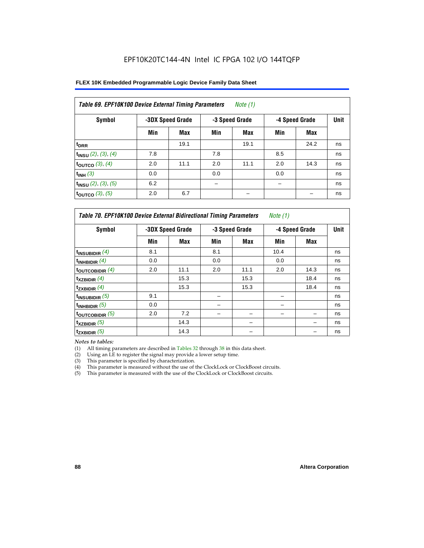| FLEX 10K Embedded Programmable Logic Device Family Data Sheet |  |
|---------------------------------------------------------------|--|
|---------------------------------------------------------------|--|

| Table 69. EPF10K100 Device External Timing Parameters<br>Note $(1)$ |                  |      |                |      |                |      |      |  |  |
|---------------------------------------------------------------------|------------------|------|----------------|------|----------------|------|------|--|--|
| Symbol                                                              | -3DX Speed Grade |      | -3 Speed Grade |      | -4 Speed Grade |      | Unit |  |  |
|                                                                     | Min              | Max  | Min            | Max  | Min            | Max  |      |  |  |
| t <sub>DRR</sub>                                                    |                  | 19.1 |                | 19.1 |                | 24.2 | ns   |  |  |
| $t_{INSU}$ (2), (3), (4)                                            | 7.8              |      | 7.8            |      | 8.5            |      | ns   |  |  |
| toutco $(3)$ , $(4)$                                                | 2.0              | 11.1 | 2.0            | 11.1 | 2.0            | 14.3 | ns   |  |  |
| $t_{INH}$ (3)                                                       | 0.0              |      | 0.0            |      | 0.0            |      | ns   |  |  |
| $t_{INSU}$ (2), (3), (5)                                            | 6.2              |      |                |      |                |      | ns   |  |  |
| toutco $(3)$ , $(5)$                                                | 2.0              | 6.7  |                |      |                |      | ns   |  |  |

| Table 70. EPF10K100 Device External Bidirectional Timing Parameters<br>Note (1) |     |                  |     |                |                |             |    |  |  |
|---------------------------------------------------------------------------------|-----|------------------|-----|----------------|----------------|-------------|----|--|--|
| Symbol                                                                          |     | -3DX Speed Grade |     | -3 Speed Grade | -4 Speed Grade | <b>Unit</b> |    |  |  |
|                                                                                 | Min | Max              | Min | Max            | Min            | Max         |    |  |  |
| t <sub>INSUBIDIR</sub> $(4)$                                                    | 8.1 |                  | 8.1 |                | 10.4           |             | ns |  |  |
| $t_{INHBIDIR}$ (4)                                                              | 0.0 |                  | 0.0 |                | 0.0            |             | ns |  |  |
| toutcobidir $(4)$                                                               | 2.0 | 11.1             | 2.0 | 11.1           | 2.0            | 14.3        | ns |  |  |
| $t_{XZBIDIR}$ (4)                                                               |     | 15.3             |     | 15.3           |                | 18.4        | ns |  |  |
| $t_{ZXBIDIR}$ (4)                                                               |     | 15.3             |     | 15.3           |                | 18.4        | ns |  |  |
| $t_{INSUBIDIR}$ (5)                                                             | 9.1 |                  |     |                |                |             | ns |  |  |
| $t_{INHBIDIR}$ (5)                                                              | 0.0 |                  |     |                |                |             | ns |  |  |
| toutcobidir $(5)$                                                               | 2.0 | 7.2              |     |                |                |             | ns |  |  |
| $t_{XZBIDIR}$ (5)                                                               |     | 14.3             |     |                |                |             | ns |  |  |
| $t_{ZXBIDIR}$ $(5)$                                                             |     | 14.3             |     |                |                |             | ns |  |  |

*Notes to tables:*

(1) All timing parameters are described in Tables 32 through 38 in this data sheet.

(2) Using an LE to register the signal may provide a lower setup time.

(3) This parameter is specified by characterization.

(4) This parameter is measured without the use of the ClockLock or ClockBoost circuits.

(5) This parameter is measured with the use of the ClockLock or ClockBoost circuits.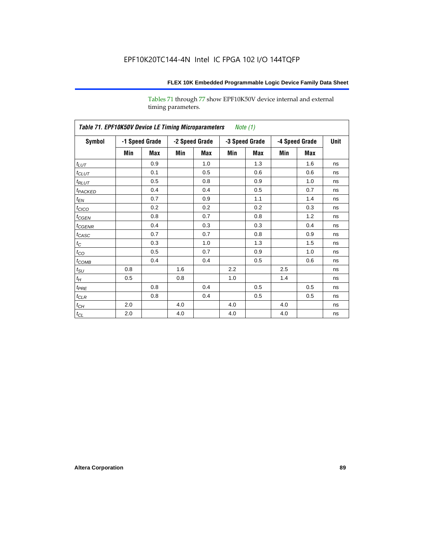Tables 71 through 77 show EPF10K50V device internal and external timing parameters.

| Table 71. EPF10K50V Device LE Timing Microparameters Note (1) |     |                |     |                |     |                |     |                |             |  |  |
|---------------------------------------------------------------|-----|----------------|-----|----------------|-----|----------------|-----|----------------|-------------|--|--|
| Symbol                                                        |     | -1 Speed Grade |     | -2 Speed Grade |     | -3 Speed Grade |     | -4 Speed Grade | <b>Unit</b> |  |  |
|                                                               | Min | Max            | Min | Max            | Min | Max            | Min | Max            |             |  |  |
| $t_{LUT}$                                                     |     | 0.9            |     | 1.0            |     | 1.3            |     | 1.6            | ns          |  |  |
| $t_{CLUT}$                                                    |     | 0.1            |     | 0.5            |     | 0.6            |     | 0.6            | ns          |  |  |
| $t_{RLUT}$                                                    |     | 0.5            |     | 0.8            |     | 0.9            |     | 1.0            | ns          |  |  |
| t <sub>PACKED</sub>                                           |     | 0.4            |     | 0.4            |     | 0.5            |     | 0.7            | ns          |  |  |
| $t_{EN}$                                                      |     | 0.7            |     | 0.9            |     | 1.1            |     | 1.4            | ns          |  |  |
| $t_{CICO}$                                                    |     | 0.2            |     | 0.2            |     | 0.2            |     | 0.3            | ns          |  |  |
| $t_{\text{GEN}}$                                              |     | 0.8            |     | 0.7            |     | 0.8            |     | 1.2            | ns          |  |  |
| $t_{\text{GENR}}$                                             |     | 0.4            |     | 0.3            |     | 0.3            |     | 0.4            | ns          |  |  |
| $t_{CASC}$                                                    |     | 0.7            |     | 0.7            |     | 0.8            |     | 0.9            | ns          |  |  |
| $t_C$                                                         |     | 0.3            |     | 1.0            |     | 1.3            |     | 1.5            | ns          |  |  |
| $t_{CO}$                                                      |     | 0.5            |     | 0.7            |     | 0.9            |     | 1.0            | ns          |  |  |
| $t_{COMB}$                                                    |     | 0.4            |     | 0.4            |     | 0.5            |     | 0.6            | ns          |  |  |
| $t_{\text{SU}}$                                               | 0.8 |                | 1.6 |                | 2.2 |                | 2.5 |                | ns          |  |  |
| $t_{\!H}$                                                     | 0.5 |                | 0.8 |                | 1.0 |                | 1.4 |                | ns          |  |  |
| $t_{PRE}$                                                     |     | 0.8            |     | 0.4            |     | 0.5            |     | 0.5            | ns          |  |  |
| $t_{CLR}$                                                     |     | 0.8            |     | 0.4            |     | 0.5            |     | 0.5            | ns          |  |  |
| $t_{\mathit{CH}}$                                             | 2.0 |                | 4.0 |                | 4.0 |                | 4.0 |                | ns          |  |  |
| $t_{\rm CL}$                                                  | 2.0 |                | 4.0 |                | 4.0 |                | 4.0 |                | ns          |  |  |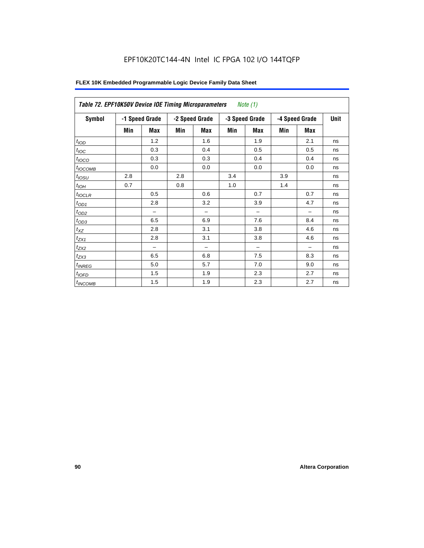| <b>Symbol</b>    |     | -1 Speed Grade           |     | -2 Speed Grade |     | -3 Speed Grade |     | -4 Speed Grade |    |
|------------------|-----|--------------------------|-----|----------------|-----|----------------|-----|----------------|----|
|                  | Min | Max                      | Min | <b>Max</b>     | Min | Max            | Min | <b>Max</b>     |    |
| t <sub>IOD</sub> |     | 1.2                      |     | 1.6            |     | 1.9            |     | 2.1            | ns |
| $t_{\text{IOC}}$ |     | 0.3                      |     | 0.4            |     | 0.5            |     | 0.5            | ns |
| $t_{IOCO}$       |     | 0.3                      |     | 0.3            |     | 0.4            |     | 0.4            | ns |
| $t_{IOCOMB}$     |     | 0.0                      |     | 0.0            |     | 0.0            |     | 0.0            | ns |
| $t_{IOSU}$       | 2.8 |                          | 2.8 |                | 3.4 |                | 3.9 |                | ns |
| $t_{IOH}$        | 0.7 |                          | 0.8 |                | 1.0 |                | 1.4 |                | ns |
| $t_{IOCLR}$      |     | 0.5                      |     | 0.6            |     | 0.7            |     | 0.7            | ns |
| $t_{OD1}$        |     | 2.8                      |     | 3.2            |     | 3.9            |     | 4.7            | ns |
| $t_{OD2}$        |     |                          |     |                |     |                |     |                | ns |
| $t_{OD3}$        |     | 6.5                      |     | 6.9            |     | 7.6            |     | 8.4            | ns |
| $t_{XZ}$         |     | 2.8                      |     | 3.1            |     | 3.8            |     | 4.6            | ns |
| $t_{ZX1}$        |     | 2.8                      |     | 3.1            |     | 3.8            |     | 4.6            | ns |
| $t_{ZX2}$        |     | $\overline{\phantom{0}}$ |     | -              |     | -              |     | —              | ns |
| $t_{ZX3}$        |     | 6.5                      |     | 6.8            |     | 7.5            |     | 8.3            | ns |
| $t_{INREG}$      |     | 5.0                      |     | 5.7            |     | 7.0            |     | 9.0            | ns |
| $t_{IOFD}$       |     | 1.5                      |     | 1.9            |     | 2.3            |     | 2.7            | ns |
| $t_{INCOMB}$     |     | 1.5                      |     | 1.9            |     | 2.3            |     | 2.7            | ns |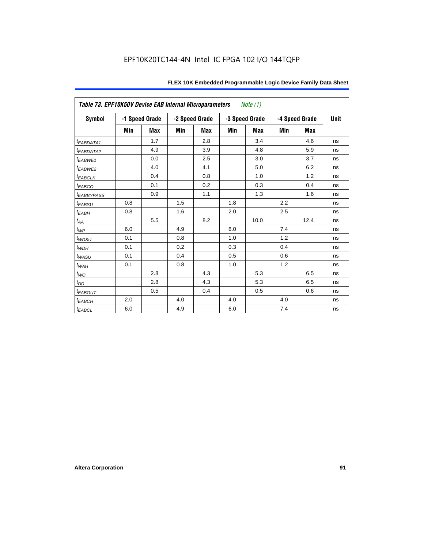| Table 73. EPF10K50V Device EAB Internal Microparameters |     |                |     |                |     | Note (1)       |     |                |             |
|---------------------------------------------------------|-----|----------------|-----|----------------|-----|----------------|-----|----------------|-------------|
| Symbol                                                  |     | -1 Speed Grade |     | -2 Speed Grade |     | -3 Speed Grade |     | -4 Speed Grade | <b>Unit</b> |
|                                                         | Min | <b>Max</b>     | Min | <b>Max</b>     | Min | <b>Max</b>     | Min | <b>Max</b>     |             |
| $t_{EABDATA1}$                                          |     | 1.7            |     | 2.8            |     | 3.4            |     | 4.6            | ns          |
| <sup>t</sup> EABDATA2                                   |     | 4.9            |     | 3.9            |     | 4.8            |     | 5.9            | ns          |
| t <sub>EABWE1</sub>                                     |     | 0.0            |     | 2.5            |     | 3.0            |     | 3.7            | ns          |
| t <sub>EABWE2</sub>                                     |     | 4.0            |     | 4.1            |     | 5.0            |     | 6.2            | ns          |
| $t_{EABCLK}$                                            |     | 0.4            |     | 0.8            |     | 1.0            |     | 1.2            | ns          |
| $t_{EABCO}$                                             |     | 0.1            |     | 0.2            |     | 0.3            |     | 0.4            | ns          |
| <i><b><i>EABBYPASS</i></b></i>                          |     | 0.9            |     | 1.1            |     | 1.3            |     | 1.6            | ns          |
| $t_{EABSU}$                                             | 0.8 |                | 1.5 |                | 1.8 |                | 2.2 |                | ns          |
| $t_{EABH}$                                              | 0.8 |                | 1.6 |                | 2.0 |                | 2.5 |                | ns          |
| $t_{AA}$                                                |     | 5.5            |     | 8.2            |     | 10.0           |     | 12.4           | ns          |
| $t_{WP}$                                                | 6.0 |                | 4.9 |                | 6.0 |                | 7.4 |                | ns          |
| $t_{WDSU}$                                              | 0.1 |                | 0.8 |                | 1.0 |                | 1.2 |                | ns          |
| $t_{WDH}$                                               | 0.1 |                | 0.2 |                | 0.3 |                | 0.4 |                | ns          |
| $t_{WASU}$                                              | 0.1 |                | 0.4 |                | 0.5 |                | 0.6 |                | ns          |
| $t_{WAH}$                                               | 0.1 |                | 0.8 |                | 1.0 |                | 1.2 |                | ns          |
| $t_{WO}$                                                |     | 2.8            |     | 4.3            |     | 5.3            |     | 6.5            | ns          |
| $t_{DD}$                                                |     | 2.8            |     | 4.3            |     | 5.3            |     | 6.5            | ns          |
| <b><i>EABOUT</i></b>                                    |     | 0.5            |     | 0.4            |     | 0.5            |     | 0.6            | ns          |
| $t_{EABCH}$                                             | 2.0 |                | 4.0 |                | 4.0 |                | 4.0 |                | ns          |
| $t_{\underline{EABCL}}$                                 | 6.0 |                | 4.9 |                | 6.0 |                | 7.4 |                | ns          |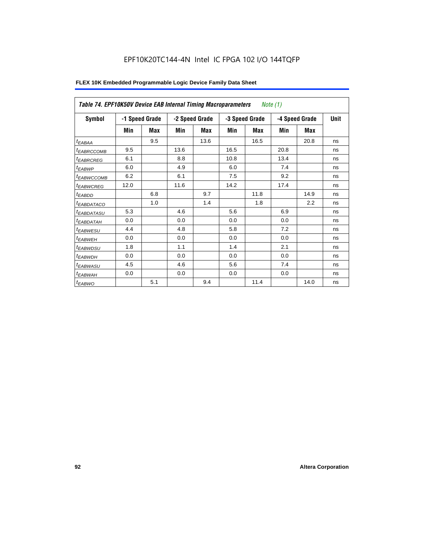| Symbol                  |      | -1 Speed Grade |      | -2 Speed Grade |      | -3 Speed Grade |      | -4 Speed Grade |    |
|-------------------------|------|----------------|------|----------------|------|----------------|------|----------------|----|
|                         | Min  | Max            | Min  | <b>Max</b>     | Min  | Max            | Min  | Max            |    |
| t <sub>EABAA</sub>      |      | 9.5            |      | 13.6           |      | 16.5           |      | 20.8           | ns |
| <i><b>EABRCCOMB</b></i> | 9.5  |                | 13.6 |                | 16.5 |                | 20.8 |                | ns |
| <sup>t</sup> EABRCREG   | 6.1  |                | 8.8  |                | 10.8 |                | 13.4 |                | ns |
| t <sub>EABWP</sub>      | 6.0  |                | 4.9  |                | 6.0  |                | 7.4  |                | ns |
| <sup>t</sup> EABWCCOMB  | 6.2  |                | 6.1  |                | 7.5  |                | 9.2  |                | ns |
| <sup>t</sup> EABWCREG   | 12.0 |                | 11.6 |                | 14.2 |                | 17.4 |                | ns |
| <sup>t</sup> EABDD      |      | 6.8            |      | 9.7            |      | 11.8           |      | 14.9           | ns |
| <sup>t</sup> EABDATACO  |      | 1.0            |      | 1.4            |      | 1.8            |      | 2.2            | ns |
| <sup>t</sup> EABDATASU  | 5.3  |                | 4.6  |                | 5.6  |                | 6.9  |                | ns |
| <sup>t</sup> EABDATAH   | 0.0  |                | 0.0  |                | 0.0  |                | 0.0  |                | ns |
| <sup>t</sup> EABWESU    | 4.4  |                | 4.8  |                | 5.8  |                | 7.2  |                | ns |
| <sup>t</sup> EABWEH     | 0.0  |                | 0.0  |                | 0.0  |                | 0.0  |                | ns |
| <sup>t</sup> EABWDSU    | 1.8  |                | 1.1  |                | 1.4  |                | 2.1  |                | ns |
| <sup>t</sup> EABWDH     | 0.0  |                | 0.0  |                | 0.0  |                | 0.0  |                | ns |
| <sup>t</sup> EABWASU    | 4.5  |                | 4.6  |                | 5.6  |                | 7.4  |                | ns |
| <sup>t</sup> EABWAH     | 0.0  |                | 0.0  |                | 0.0  |                | 0.0  |                | ns |
| $t_{EABWO}$             |      | 5.1            |      | 9.4            |      | 11.4           |      | 14.0           | ns |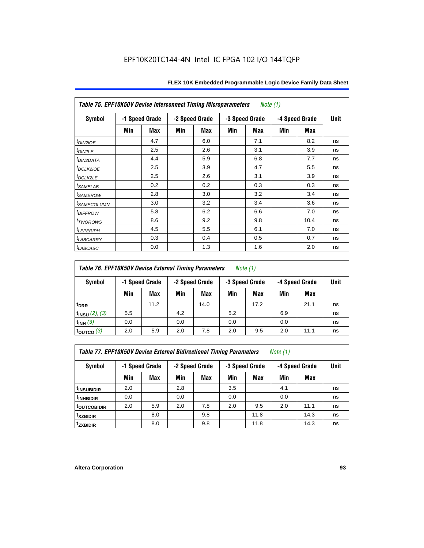| <b>Table 75. EPF10K50V Device Interconnect Timing Microparameters</b><br>Note (1) |     |                |     |                |     |                |     |                |    |
|-----------------------------------------------------------------------------------|-----|----------------|-----|----------------|-----|----------------|-----|----------------|----|
| Symbol                                                                            |     | -1 Speed Grade |     | -2 Speed Grade |     | -3 Speed Grade |     | -4 Speed Grade |    |
|                                                                                   | Min | Max            | Min | Max            | Min | Max            | Min | Max            |    |
| $t_{DINZIOE}$                                                                     |     | 4.7            |     | 6.0            |     | 7.1            |     | 8.2            | ns |
| t <sub>DIN2LE</sub>                                                               |     | 2.5            |     | 2.6            |     | 3.1            |     | 3.9            | ns |
| <sup>t</sup> DIN2DATA                                                             |     | 4.4            |     | 5.9            |     | 6.8            |     | 7.7            | ns |
| t <sub>DCLK2IOE</sub>                                                             |     | 2.5            |     | 3.9            |     | 4.7            |     | 5.5            | ns |
| t <sub>DCLK2LE</sub>                                                              |     | 2.5            |     | 2.6            |     | 3.1            |     | 3.9            | ns |
| <sup>t</sup> SAMELAB                                                              |     | 0.2            |     | 0.2            |     | 0.3            |     | 0.3            | ns |
| <i>t<sub>SAMEROW</sub></i>                                                        |     | 2.8            |     | 3.0            |     | 3.2            |     | 3.4            | ns |
| <i>t<sub>SAMECOLUMN</sub></i>                                                     |     | 3.0            |     | 3.2            |     | 3.4            |     | 3.6            | ns |
| <i>t<sub>DIFFROW</sub></i>                                                        |     | 5.8            |     | 6.2            |     | 6.6            |     | 7.0            | ns |
| t <sub>TWOROWS</sub>                                                              |     | 8.6            |     | 9.2            |     | 9.8            |     | 10.4           | ns |
| $t_{LEPERIPH}$                                                                    |     | 4.5            |     | 5.5            |     | 6.1            |     | 7.0            | ns |
| t <sub>LABCARRY</sub>                                                             |     | 0.3            |     | 0.4            |     | 0.5            |     | 0.7            | ns |
| <i>t<sub>LABCASC</sub></i>                                                        |     | 0.0            |     | 1.3            |     | 1.6            |     | 2.0            | ns |

### *Table 76. EPF10K50V Device External Timing Parameters Note (1)*

| Symbol              | -1 Speed Grade |      | -2 Speed Grade |      | -3 Speed Grade |      | -4 Speed Grade |      | <b>Unit</b> |
|---------------------|----------------|------|----------------|------|----------------|------|----------------|------|-------------|
|                     | Min            | Max  | Min            | Max  | Min            | Max  | Min            | Max  |             |
| t <sub>DRR</sub>    |                | 11.2 |                | 14.0 |                | 17.2 |                | 21.1 | ns          |
| $t_{INSU}$ (2), (3) | 5.5            |      | 4.2            |      | 5.2            |      | 6.9            |      | ns          |
| $t_{INH}$ (3)       | 0.0            |      | 0.0            |      | 0.0            |      | 0.0            |      | ns          |
| $\vert$ toutco (3)  | 2.0            | 5.9  | 2.0            | 7.8  | 2.0            | 9.5  | 2.0            | 11.1 | ns          |

*Table 77. EPF10K50V Device External Bidirectional Timing Parameters Note (1)*

| Symbol                         |     | -1 Speed Grade |     | -2 Speed Grade |     | -3 Speed Grade |     | -4 Speed Grade |    |  |
|--------------------------------|-----|----------------|-----|----------------|-----|----------------|-----|----------------|----|--|
|                                | Min | Max            | Min | Max            | Min | Max            | Min | Max            |    |  |
| <sup>t</sup> INSUB <u>IDIR</u> | 2.0 |                | 2.8 |                | 3.5 |                | 4.1 |                | ns |  |
| <sup>t</sup> INHBIDIR          | 0.0 |                | 0.0 |                | 0.0 |                | 0.0 |                | ns |  |
| t <sub>outcobidir</sub>        | 2.0 | 5.9            | 2.0 | 7.8            | 2.0 | 9.5            | 2.0 | 11.1           | ns |  |
| <sup>t</sup> xzbidir           |     | 8.0            |     | 9.8            |     | 11.8           |     | 14.3           | ns |  |
| <sup>t</sup> zxbidir           |     | 8.0            |     | 9.8            |     | 11.8           |     | 14.3           | ns |  |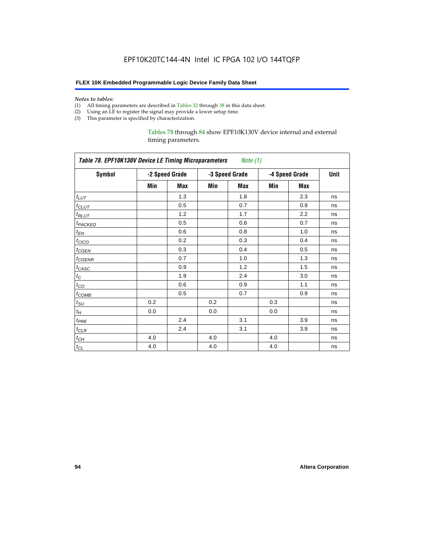#### **FLEX 10K Embedded Programmable Logic Device Family Data Sheet**

#### *Notes to tables:*

- (1) All timing parameters are described in Tables 32 through 38 in this data sheet.
- (2) Using an LE to register the signal may provide a lower setup time.
- (3) This parameter is specified by characterization.

#### Tables 78 through 84 show EPF10K130V device internal and external timing parameters.

| Table 78. EPF10K130V Device LE Timing Microparameters Note (1) |     |                |     |                |     |                |    |  |  |
|----------------------------------------------------------------|-----|----------------|-----|----------------|-----|----------------|----|--|--|
| <b>Symbol</b>                                                  |     | -2 Speed Grade |     | -3 Speed Grade |     | -4 Speed Grade |    |  |  |
|                                                                | Min | Max            | Min | Max            | Min | Max            |    |  |  |
| $t_{LUT}$                                                      |     | 1.3            |     | 1.8            |     | 2.3            | ns |  |  |
| $t_{CLUT}$                                                     |     | 0.5            |     | 0.7            |     | 0.9            | ns |  |  |
| $t_{RLUT}$                                                     |     | 1.2            |     | 1.7            |     | 2.2            | ns |  |  |
| <b>t</b> PACKED                                                |     | 0.5            |     | 0.6            |     | 0.7            | ns |  |  |
| $t_{EN}$                                                       |     | 0.6            |     | 0.8            |     | 1.0            | ns |  |  |
| $t_{CICO}$                                                     |     | 0.2            |     | 0.3            |     | 0.4            | ns |  |  |
| $t_{GEN}$                                                      |     | 0.3            |     | 0.4            |     | 0.5            | ns |  |  |
| t <sub>CGENR</sub>                                             |     | 0.7            |     | 1.0            |     | 1.3            | ns |  |  |
| $t_{CASC}$                                                     |     | 0.9            |     | 1.2            |     | 1.5            | ns |  |  |
| $t_C$                                                          |     | 1.9            |     | 2.4            |     | 3.0            | ns |  |  |
| $t_{CO}$                                                       |     | 0.6            |     | 0.9            |     | 1.1            | ns |  |  |
| $t_{COMB}$                                                     |     | 0.5            |     | 0.7            |     | 0.9            | ns |  |  |
| $t_{\rm SU}$                                                   | 0.2 |                | 0.2 |                | 0.3 |                | ns |  |  |
| $t_H$                                                          | 0.0 |                | 0.0 |                | 0.0 |                | ns |  |  |
| $t_{PRE}$                                                      |     | 2.4            |     | 3.1            |     | 3.9            | ns |  |  |
| $t_{CLR}$                                                      |     | 2.4            |     | 3.1            |     | 3.9            | ns |  |  |
| $t_{CH}$                                                       | 4.0 |                | 4.0 |                | 4.0 |                | ns |  |  |
| $t_{CL}$                                                       | 4.0 |                | 4.0 |                | 4.0 |                | ns |  |  |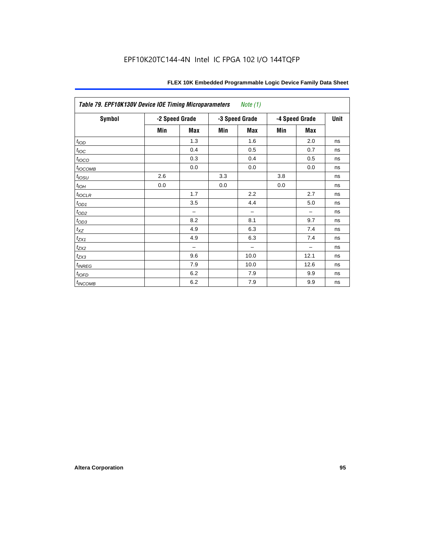| Table 79. EPF10K130V Device IOE Timing Microparameters<br>Note (1) |     |                |     |                |     |                |      |  |  |
|--------------------------------------------------------------------|-----|----------------|-----|----------------|-----|----------------|------|--|--|
| <b>Symbol</b>                                                      |     | -2 Speed Grade |     | -3 Speed Grade |     | -4 Speed Grade | Unit |  |  |
|                                                                    | Min | <b>Max</b>     | Min | <b>Max</b>     | Min | <b>Max</b>     |      |  |  |
| t <sub>IOD</sub>                                                   |     | 1.3            |     | 1.6            |     | 2.0            | ns   |  |  |
| $t_{\text{loc}}$                                                   |     | 0.4            |     | 0.5            |     | 0.7            | ns   |  |  |
| $t_{IOCO}$                                                         |     | 0.3            |     | 0.4            |     | 0.5            | ns   |  |  |
| $t_{IOCOMB}$                                                       |     | 0.0            |     | 0.0            |     | 0.0            | ns   |  |  |
| $t_{IOSU}$                                                         | 2.6 |                | 3.3 |                | 3.8 |                | ns   |  |  |
| $t_{IOH}$                                                          | 0.0 |                | 0.0 |                | 0.0 |                | ns   |  |  |
| $t_{IOCLR}$                                                        |     | 1.7            |     | 2.2            |     | 2.7            | ns   |  |  |
| $t_{OD1}$                                                          |     | 3.5            |     | 4.4            |     | 5.0            | ns   |  |  |
| $t_{OD2}$                                                          |     | -              |     |                |     |                | ns   |  |  |
| $t_{\text{OD3}}$                                                   |     | 8.2            |     | 8.1            |     | 9.7            | ns   |  |  |
| $t_{XZ}$                                                           |     | 4.9            |     | 6.3            |     | 7.4            | ns   |  |  |
| $t_{ZX1}$                                                          |     | 4.9            |     | 6.3            |     | 7.4            | ns   |  |  |
| $t_{ZX2}$                                                          |     |                |     |                |     |                | ns   |  |  |
| $t_{ZX3}$                                                          |     | 9.6            |     | 10.0           |     | 12.1           | ns   |  |  |
| $t_{INREG}$                                                        |     | 7.9            |     | 10.0           |     | 12.6           | ns   |  |  |
| $t_{IOFD}$                                                         |     | 6.2            |     | 7.9            |     | 9.9            | ns   |  |  |
| $t_{INCOMB}$                                                       |     | 6.2            |     | 7.9            |     | 9.9            | ns   |  |  |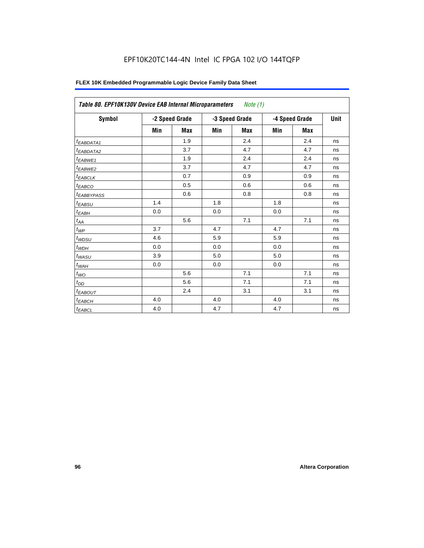| Symbol                 |     | -2 Speed Grade |     | -3 Speed Grade | -4 Speed Grade | <b>Unit</b> |    |
|------------------------|-----|----------------|-----|----------------|----------------|-------------|----|
|                        | Min | <b>Max</b>     | Min | <b>Max</b>     | Min            | <b>Max</b>  |    |
| <sup>t</sup> EABDATA1  |     | 1.9            |     | 2.4            |                | 2.4         | ns |
| <sup>t</sup> EABDATA2  |     | 3.7            |     | 4.7            |                | 4.7         | ns |
| <sup>t</sup> EABWE1    |     | 1.9            |     | 2.4            |                | 2.4         | ns |
| <sup>t</sup> EABWE2    |     | 3.7            |     | 4.7            |                | 4.7         | ns |
| t <sub>EABCLK</sub>    |     | 0.7            |     | 0.9            |                | 0.9         | ns |
| <sup>t</sup> ЕАВСО     |     | 0.5            |     | 0.6            |                | 0.6         | ns |
| <sup>t</sup> EABBYPASS |     | 0.6            |     | 0.8            |                | 0.8         | ns |
| t <sub>EABSU</sub>     | 1.4 |                | 1.8 |                | 1.8            |             | ns |
| t <sub>ЕАВН</sub>      | 0.0 |                | 0.0 |                | 0.0            |             | ns |
| $t_{AA}$               |     | 5.6            |     | 7.1            |                | 7.1         | ns |
| $t_{\mathit{WP}}$      | 3.7 |                | 4.7 |                | 4.7            |             | ns |
| $t_{WDSU}$             | 4.6 |                | 5.9 |                | 5.9            |             | ns |
| $t_{WDH}$              | 0.0 |                | 0.0 |                | 0.0            |             | ns |
| $t_{WASU}$             | 3.9 |                | 5.0 |                | 5.0            |             | ns |
| $t_{\sf WAH}$          | 0.0 |                | 0.0 |                | 0.0            |             | ns |
| $t_{WO}$               |     | 5.6            |     | 7.1            |                | 7.1         | ns |
| $t_{DD}$               |     | 5.6            |     | 7.1            |                | 7.1         | ns |
| <sup>t</sup> EABOUT    |     | 2.4            |     | 3.1            |                | 3.1         | ns |
| $t_{EABCH}$            | 4.0 |                | 4.0 |                | 4.0            |             | ns |
| $t_{EABCL}$            | 4.0 |                | 4.7 |                | 4.7            |             | ns |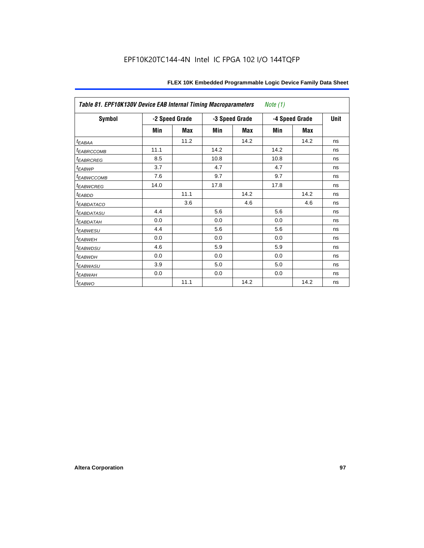| Table 81. EPF10K130V Device EAB Internal Timing Macroparameters<br>Note $(1)$ |      |                |      |                |                |             |    |  |  |
|-------------------------------------------------------------------------------|------|----------------|------|----------------|----------------|-------------|----|--|--|
| <b>Symbol</b>                                                                 |      | -2 Speed Grade |      | -3 Speed Grade | -4 Speed Grade | <b>Unit</b> |    |  |  |
|                                                                               | Min  | Max            | Min  | Max            | Min            | Max         |    |  |  |
| t <sub>EABAA</sub>                                                            |      | 11.2           |      | 14.2           |                | 14.2        | ns |  |  |
| <sup>t</sup> EABRCCOMB                                                        | 11.1 |                | 14.2 |                | 14.2           |             | ns |  |  |
| <sup>t</sup> EABRCREG                                                         | 8.5  |                | 10.8 |                | 10.8           |             | ns |  |  |
| <sup>t</sup> EABWP                                                            | 3.7  |                | 4.7  |                | 4.7            |             | ns |  |  |
| <sup>t</sup> EABWCCOMB                                                        | 7.6  |                | 9.7  |                | 9.7            |             | ns |  |  |
| <sup>t</sup> EABWCREG                                                         | 14.0 |                | 17.8 |                | 17.8           |             | ns |  |  |
| t <sub>EABDD</sub>                                                            |      | 11.1           |      | 14.2           |                | 14.2        | ns |  |  |
| <b><i>EABDATACO</i></b>                                                       |      | 3.6            |      | 4.6            |                | 4.6         | ns |  |  |
| <sup>t</sup> EABDATASU                                                        | 4.4  |                | 5.6  |                | 5.6            |             | ns |  |  |
| <sup>t</sup> EABDATAH                                                         | 0.0  |                | 0.0  |                | 0.0            |             | ns |  |  |
| <sup>t</sup> EABWESU                                                          | 4.4  |                | 5.6  |                | 5.6            |             | ns |  |  |
| <sup>t</sup> EABWEH                                                           | 0.0  |                | 0.0  |                | 0.0            |             | ns |  |  |
| <sup>t</sup> EABWDSU                                                          | 4.6  |                | 5.9  |                | 5.9            |             | ns |  |  |
| <sup>t</sup> EABWDH                                                           | 0.0  |                | 0.0  |                | 0.0            |             | ns |  |  |
| <sup>t</sup> EABWASU                                                          | 3.9  |                | 5.0  |                | 5.0            |             | ns |  |  |
| <sup>t</sup> EABWAH                                                           | 0.0  |                | 0.0  |                | 0.0            |             | ns |  |  |
| <sup>t</sup> EABWO                                                            |      | 11.1           |      | 14.2           |                | 14.2        | ns |  |  |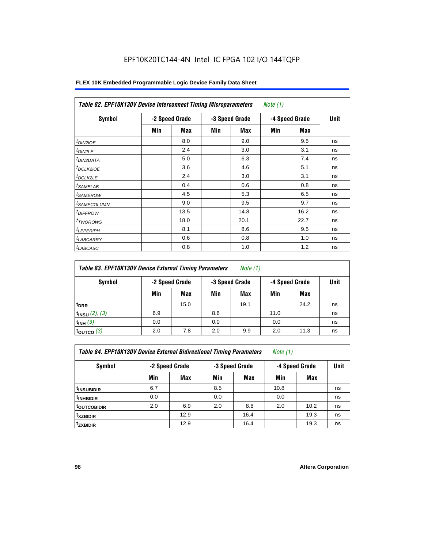| Symbol                  |     | -2 Speed Grade |     | -3 Speed Grade |     | -4 Speed Grade | <b>Unit</b> |  |
|-------------------------|-----|----------------|-----|----------------|-----|----------------|-------------|--|
|                         | Min | Max            | Min | Max            | Min | Max            |             |  |
| $t_{DINZIOE}$           |     | 8.0            |     | 9.0            |     | 9.5            | ns          |  |
| t <sub>DIN2LE</sub>     |     | 2.4            |     | 3.0            |     | 3.1            | ns          |  |
| <sup>t</sup> DIN2DATA   |     | 5.0            |     | 6.3            |     | 7.4            | ns          |  |
| <sup>t</sup> DCLK2IOE   |     | 3.6            |     | 4.6            |     | 5.1            | ns          |  |
| ${}^t$ DCLK2LE          |     | 2.4            |     | 3.0            |     | 3.1            | ns          |  |
| <sup>t</sup> SAMELAB    |     | 0.4            |     | 0.6            |     | 0.8            | ns          |  |
| <sup>t</sup> SAMEROW    |     | 4.5            |     | 5.3            |     | 6.5            | ns          |  |
| <sup>t</sup> SAMECOLUMN |     | 9.0            |     | 9.5            |     | 9.7            | ns          |  |
| <i><b>IDIFFROW</b></i>  |     | 13.5           |     | 14.8           |     | 16.2           | ns          |  |
| <sup>t</sup> TWOROWS    |     | 18.0           |     | 20.1           |     | 22.7           | ns          |  |
| <sup>t</sup> LEPERIPH   |     | 8.1            |     | 8.6            |     | 9.5            | ns          |  |
| <sup>I</sup> LABCARRY   |     | 0.6            |     | 0.8            |     | 1.0            | ns          |  |
| <sup>t</sup> LABCASC    |     | 0.8            |     | 1.0            |     | 1.2            | ns          |  |

### **FLEX 10K Embedded Programmable Logic Device Family Data Sheet**

| Table 83. EPF10K130V Device External Timing Parameters | Note (1) |
|--------------------------------------------------------|----------|
|--------------------------------------------------------|----------|

| Symbol                 | -2 Speed Grade |      | -3 Speed Grade |      | -4 Speed Grade |      | Unit |
|------------------------|----------------|------|----------------|------|----------------|------|------|
|                        | Min            | Max  | Min            | Max  | Min            | Max  |      |
| t <sub>DRR</sub>       |                | 15.0 |                | 19.1 |                | 24.2 | ns   |
| $t_{INSU}$ (2), (3)    | 6.9            |      | 8.6            |      | 11.0           |      | ns   |
| $t_{INH}$ (3)          | 0.0            |      | 0.0            |      | 0.0            |      | ns   |
| $t_{\text{OUTCO}}$ (3) | 2.0            | 7.8  | 2.0            | 9.9  | 2.0            | 11.3 | ns   |

**t<sub>XZBIDIR</sub> | | 12.9 | | 16.4 | | 19.3 | ns tZXBIDIR** 12.9 16.4 19.3 ns

| Table 84. EPF10K130V Device External Bidirectional Timing Parameters | Note (1) |  |  |
|----------------------------------------------------------------------|----------|--|--|
|----------------------------------------------------------------------|----------|--|--|

**Symbol -2 Speed Grade -3 Speed Grade -4 Speed Grade Unit** Min | Max | Min | Max | Min | Max **t<sub>INSUBIDIR | 6.7 | | 8.5 | | 10.8 | |** ns</sub> **t<sub>INHBIDIR | 0.0 | 0.0 | 0.0 | 0.0** | ns</sub> **tOUTCOBIDIR** 2.0 6.9 2.0 8.8 2.0 10.2 ns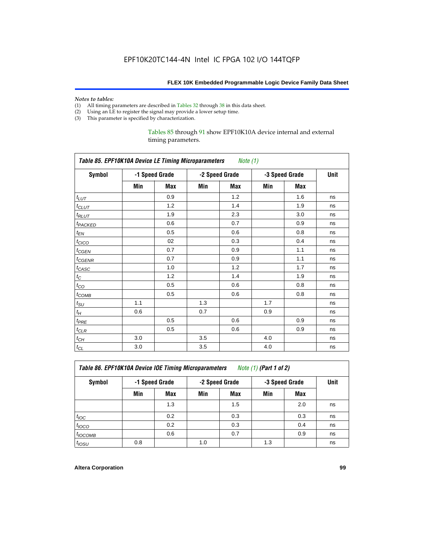# *Notes to tables:*<br>(1) All timing p

- (1) All timing parameters are described in Tables 32 through 38 in this data sheet.<br>(2) Using an LE to register the signal may provide a lower setup time.
- Using an LE to register the signal may provide a lower setup time.
- (3) This parameter is specified by characterization.

Tables 85 through 91 show EPF10K10A device internal and external timing parameters.

|                     | <b>Table 85. EPF10K10A Device LE Timing Microparameters</b> Note (1) |                |     |                |     |                |      |  |  |  |
|---------------------|----------------------------------------------------------------------|----------------|-----|----------------|-----|----------------|------|--|--|--|
| <b>Symbol</b>       |                                                                      | -1 Speed Grade |     | -2 Speed Grade |     | -3 Speed Grade | Unit |  |  |  |
|                     | Min                                                                  | Max            | Min | <b>Max</b>     | Min | <b>Max</b>     |      |  |  |  |
| $t_{LUT}$           |                                                                      | 0.9            |     | 1.2            |     | 1.6            | ns   |  |  |  |
| $t_{CLUT}$          |                                                                      | 1.2            |     | 1.4            |     | 1.9            | ns   |  |  |  |
| $t_{RLUT}$          |                                                                      | 1.9            |     | 2.3            |     | 3.0            | ns   |  |  |  |
| t <sub>PACKED</sub> |                                                                      | 0.6            |     | 0.7            |     | 0.9            | ns   |  |  |  |
| $t_{EN}$            |                                                                      | 0.5            |     | 0.6            |     | 0.8            | ns   |  |  |  |
| $t_{CICO}$          |                                                                      | 02             |     | 0.3            |     | 0.4            | ns   |  |  |  |
| $t_{GEN}$           |                                                                      | 0.7            |     | 0.9            |     | 1.1            | ns   |  |  |  |
| t <sub>CGENR</sub>  |                                                                      | 0.7            |     | 0.9            |     | 1.1            | ns   |  |  |  |
| $t_{CASC}$          |                                                                      | 1.0            |     | 1.2            |     | 1.7            | ns   |  |  |  |
| $t_{\rm C}$         |                                                                      | 1.2            |     | 1.4            |     | 1.9            | ns   |  |  |  |
| $t_{CO}$            |                                                                      | 0.5            |     | 0.6            |     | 0.8            | ns   |  |  |  |
| $t_{\text{COMB}}$   |                                                                      | 0.5            |     | 0.6            |     | 0.8            | ns   |  |  |  |
| $t_{\rm SU}$        | 1.1                                                                  |                | 1.3 |                | 1.7 |                | ns   |  |  |  |
| $t_{\!H}$           | 0.6                                                                  |                | 0.7 |                | 0.9 |                | ns   |  |  |  |
| $t_{PRE}$           |                                                                      | 0.5            |     | 0.6            |     | 0.9            | ns   |  |  |  |
| $t_{CLR}$           |                                                                      | 0.5            |     | 0.6            |     | 0.9            | ns   |  |  |  |
| $t_{\mathit{CH}}$   | 3.0                                                                  |                | 3.5 |                | 4.0 |                | ns   |  |  |  |
| $t_{\rm CL}$        | 3.0                                                                  |                | 3.5 |                | 4.0 |                | ns   |  |  |  |

*Table 86. EPF10K10A Device IOE Timing Microparameters Note (1) (Part 1 of 2)*

| Symbol           |     | -1 Speed Grade |     | -2 Speed Grade |     | -3 Speed Grade | Unit |  |
|------------------|-----|----------------|-----|----------------|-----|----------------|------|--|
|                  | Min | <b>Max</b>     | Min | Max            | Min | <b>Max</b>     |      |  |
|                  |     | 1.3            |     | 1.5            |     | 2.0            | ns   |  |
| $t_{\text{IOC}}$ |     | 0.2            |     | 0.3            |     | 0.3            | ns   |  |
| $t_{IOCO}$       |     | 0.2            |     | 0.3            |     | 0.4            | ns   |  |
| $t_{IOCOMB}$     |     | 0.6            |     | 0.7            |     | 0.9            | ns   |  |
| $t_{IOSU}$       | 0.8 |                | 1.0 |                | 1.3 |                | ns   |  |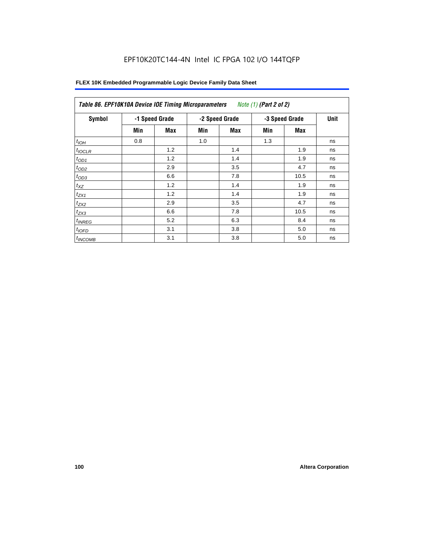| Symbol       |     | -1 Speed Grade |     | -2 Speed Grade |     | -3 Speed Grade | <b>Unit</b> |
|--------------|-----|----------------|-----|----------------|-----|----------------|-------------|
|              | Min | Max            | Min | Max            | Min | Max            |             |
| $t_{IOH}$    | 0.8 |                | 1.0 |                | 1.3 |                | ns          |
| $t_{IOCLR}$  |     | 1.2            |     | 1.4            |     | 1.9            | ns          |
| $t_{OD1}$    |     | 1.2            |     | 1.4            |     | 1.9            | ns          |
| $t_{OD2}$    |     | 2.9            |     | 3.5            |     | 4.7            | ns          |
| $t_{OD3}$    |     | 6.6            |     | 7.8            |     | 10.5           | ns          |
| $t_{XZ}$     |     | 1.2            |     | 1.4            |     | 1.9            | ns          |
| $t_{ZX1}$    |     | 1.2            |     | 1.4            |     | 1.9            | ns          |
| $t_{ZX2}$    |     | 2.9            |     | 3.5            |     | 4.7            | ns          |
| $t_{ZX3}$    |     | 6.6            |     | 7.8            |     | 10.5           | ns          |
| $t_{INREG}$  |     | 5.2            |     | 6.3            |     | 8.4            | ns          |
| $t_{IOFD}$   |     | 3.1            |     | 3.8            |     | 5.0            | ns          |
| $t_{INCOMB}$ |     | 3.1            |     | 3.8            |     | 5.0            | ns          |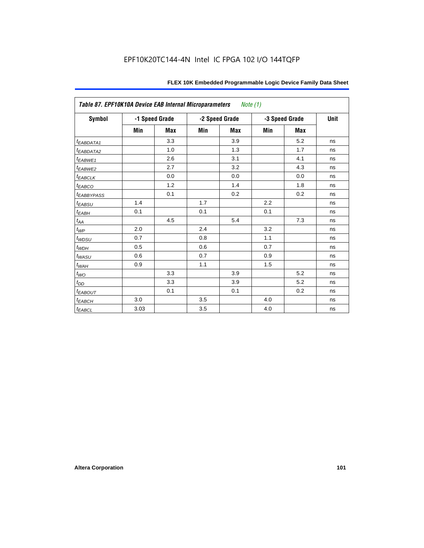| Table 87. EPF10K10A Device EAB Internal Microparameters Note (1) |      |                |     |                |                |            |      |
|------------------------------------------------------------------|------|----------------|-----|----------------|----------------|------------|------|
| <b>Symbol</b>                                                    |      | -1 Speed Grade |     | -2 Speed Grade | -3 Speed Grade |            | Unit |
|                                                                  | Min  | <b>Max</b>     | Min | <b>Max</b>     | Min            | <b>Max</b> |      |
| t <sub>EABDATA1</sub>                                            |      | 3.3            |     | 3.9            |                | 5.2        | ns   |
| $t_{EABDATA2}$                                                   |      | 1.0            |     | 1.3            |                | 1.7        | ns   |
| t <sub>EABWE1</sub>                                              |      | 2.6            |     | 3.1            |                | 4.1        | ns   |
| $t_{EABWE2}$                                                     |      | 2.7            |     | 3.2            |                | 4.3        | ns   |
| $t_{EABCLK}$                                                     |      | 0.0            |     | 0.0            |                | 0.0        | ns   |
| $t_{EABCO}$                                                      |      | 1.2            |     | 1.4            |                | 1.8        | ns   |
| <b><i>EABBYPASS</i></b>                                          |      | 0.1            |     | 0.2            |                | 0.2        | ns   |
| $t_{EABSU}$                                                      | 1.4  |                | 1.7 |                | 2.2            |            | ns   |
| $t_{EABH}$                                                       | 0.1  |                | 0.1 |                | 0.1            |            | ns   |
| $t_{\mathit{AA}}$                                                |      | 4.5            |     | 5.4            |                | 7.3        | ns   |
| $t_{WP}$                                                         | 2.0  |                | 2.4 |                | 3.2            |            | ns   |
| $t_{WDSU}$                                                       | 0.7  |                | 0.8 |                | 1.1            |            | ns   |
| $t_{WDH}$                                                        | 0.5  |                | 0.6 |                | 0.7            |            | ns   |
| $t_{WASU}$                                                       | 0.6  |                | 0.7 |                | 0.9            |            | ns   |
| $t_{\underline{W AH}}$                                           | 0.9  |                | 1.1 |                | 1.5            |            | ns   |
| $t_{WO}$                                                         |      | 3.3            |     | 3.9            |                | 5.2        | ns   |
| $t_{DD}$                                                         |      | 3.3            |     | 3.9            |                | 5.2        | ns   |
| $t_{EABOUT}$                                                     |      | 0.1            |     | 0.1            |                | 0.2        | ns   |
| $t_{EABCH}$                                                      | 3.0  |                | 3.5 |                | 4.0            |            | ns   |
| $t_{EABCL}$                                                      | 3.03 |                | 3.5 |                | 4.0            |            | ns   |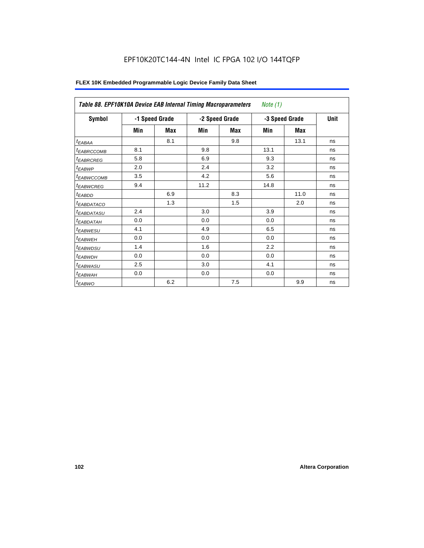| Symbol                 | -1 Speed Grade |            |      | -2 Speed Grade |      | -3 Speed Grade | Unit |  |
|------------------------|----------------|------------|------|----------------|------|----------------|------|--|
|                        | Min            | <b>Max</b> | Min  | Max            | Min  | Max            |      |  |
| $t_{EABA}$             |                | 8.1        |      | 9.8            |      | 13.1           | ns   |  |
| <sup>t</sup> EABRCCOMB | 8.1            |            | 9.8  |                | 13.1 |                | ns   |  |
| <sup>t</sup> EABRCREG  | 5.8            |            | 6.9  |                | 9.3  |                | ns   |  |
| <sup>t</sup> EABWP     | 2.0            |            | 2.4  |                | 3.2  |                | ns   |  |
| <sup>t</sup> EABWCCOMB | 3.5            |            | 4.2  |                | 5.6  |                | ns   |  |
| <sup>t</sup> EABWCREG  | 9.4            |            | 11.2 |                | 14.8 |                | ns   |  |
| <sup>t</sup> EABDD     |                | 6.9        |      | 8.3            |      | 11.0           | ns   |  |
| <sup>t</sup> EABDATACO |                | 1.3        |      | 1.5            |      | 2.0            | ns   |  |
| <sup>t</sup> EABDATASU | 2.4            |            | 3.0  |                | 3.9  |                | ns   |  |
| <sup>t</sup> EABDATAH  | 0.0            |            | 0.0  |                | 0.0  |                | ns   |  |
| <sup>t</sup> EABWESU   | 4.1            |            | 4.9  |                | 6.5  |                | ns   |  |
| <sup>t</sup> EABWEH    | 0.0            |            | 0.0  |                | 0.0  |                | ns   |  |
| <sup>t</sup> EABWDSU   | 1.4            |            | 1.6  |                | 2.2  |                | ns   |  |
| <sup>t</sup> EABWDH    | 0.0            |            | 0.0  |                | 0.0  |                | ns   |  |
| <sup>t</sup> EABWASU   | 2.5            |            | 3.0  |                | 4.1  |                | ns   |  |
| <sup>t</sup> EABWAH    | 0.0            |            | 0.0  |                | 0.0  |                | ns   |  |
| <sup>t</sup> EABWO     |                | 6.2        |      | 7.5            |      | 9.9            | ns   |  |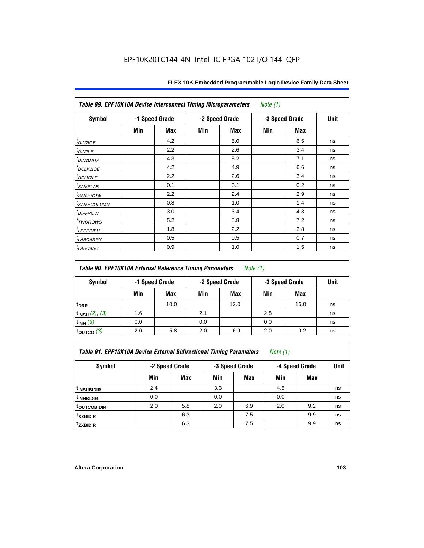| Table 89. EPF10K10A Device Interconnect Timing Microparameters |                |     |     |                | Note $(1)$ |                |      |  |
|----------------------------------------------------------------|----------------|-----|-----|----------------|------------|----------------|------|--|
| <b>Symbol</b>                                                  | -1 Speed Grade |     |     | -2 Speed Grade |            | -3 Speed Grade | Unit |  |
|                                                                | Min            | Max | Min | <b>Max</b>     | Min        | <b>Max</b>     |      |  |
| $t_{DINZIOE}$                                                  |                | 4.2 |     | 5.0            |            | 6.5            | ns   |  |
| t <sub>DIN2LE</sub>                                            |                | 2.2 |     | 2.6            |            | 3.4            | ns   |  |
| <sup>t</sup> DIN2DATA                                          |                | 4.3 |     | 5.2            |            | 7.1            | ns   |  |
| t <sub>DCLK210E</sub>                                          |                | 4.2 |     | 4.9            |            | 6.6            | ns   |  |
| t <sub>DCLK2LE</sub>                                           |                | 2.2 |     | 2.6            |            | 3.4            | ns   |  |
| <i>t</i> SAMELAB                                               |                | 0.1 |     | 0.1            |            | 0.2            | ns   |  |
| <i>t</i> SAMEROW                                               |                | 2.2 |     | 2.4            |            | 2.9            | ns   |  |
| <sup>t</sup> SAMECOLUMN                                        |                | 0.8 |     | 1.0            |            | 1.4            | ns   |  |
| <i>t<sub>DIFFROW</sub></i>                                     |                | 3.0 |     | 3.4            |            | 4.3            | ns   |  |
| t <sub>TWOROWS</sub>                                           |                | 5.2 |     | 5.8            |            | 7.2            | ns   |  |
| <sup>t</sup> LEPERIPH                                          |                | 1.8 |     | 2.2            |            | 2.8            | ns   |  |
| <sup>t</sup> LABCARRY                                          |                | 0.5 |     | 0.5            |            | 0.7            | ns   |  |
| <sup>t</sup> LABCASC                                           |                | 0.9 |     | 1.0            |            | 1.5            | ns   |  |

| Table 90. EPF10K10A External Reference Timing Parameters | Note (1) |
|----------------------------------------------------------|----------|
|----------------------------------------------------------|----------|

| Symbol                   | -1 Speed Grade |      | -2 Speed Grade |      | -3 Speed Grade | Unit |    |
|--------------------------|----------------|------|----------------|------|----------------|------|----|
|                          | Min            | Max  | Min            | Max  | Min            | Max  |    |
| t <sub>DRR</sub>         |                | 10.0 |                | 12.0 |                | 16.0 | ns |
| $t_{INSU}$ (2), (3)      | 1.6            |      | 2.1            |      | 2.8            |      | ns |
| $t_{INH}$ (3)            | 0.0            |      | 0.0            |      | 0.0            |      | ns |
| $\tt_{\text{OUTCO}}$ (3) | 2.0            | 5.8  | 2.0            | 6.9  | 2.0            | 9.2  | ns |

*Table 91. EPF10K10A Device External Bidirectional Timing Parameters Note (1)*

| Symbol                  | -2 Speed Grade |     |     | -3 Speed Grade | -4 Speed Grade | Unit       |    |
|-------------------------|----------------|-----|-----|----------------|----------------|------------|----|
|                         | Min            | Max | Min | <b>Max</b>     | Min            | <b>Max</b> |    |
| <sup>t</sup> insubidir  | 2.4            |     | 3.3 |                | 4.5            |            | ns |
| <sup>T</sup> INHBIDIR   | 0.0            |     | 0.0 |                | 0.0            |            | ns |
| <sup>t</sup> OUTCOBIDIR | 2.0            | 5.8 | 2.0 | 6.9            | 2.0            | 9.2        | ns |
| <sup>t</sup> xzbidir    |                | 6.3 |     | 7.5            |                | 9.9        | ns |
| <sup>t</sup> zxbidir    |                | 6.3 |     | 7.5            |                | 9.9        | ns |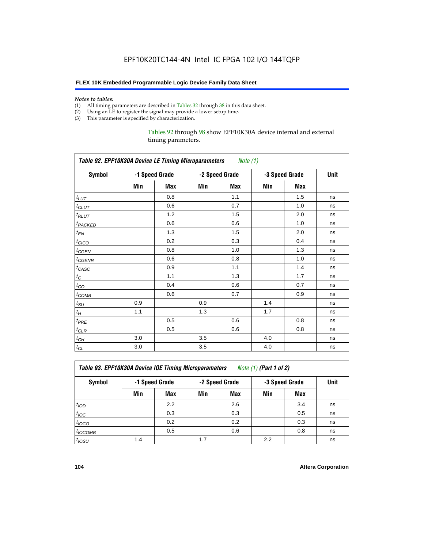#### **FLEX 10K Embedded Programmable Logic Device Family Data Sheet**

#### *Notes to tables:*

- (1) All timing parameters are described in Tables 32 through 38 in this data sheet.
- (2) Using an LE to register the signal may provide a lower setup time.
- (3) This parameter is specified by characterization.

Tables 92 through 98 show EPF10K30A device internal and external timing parameters.

| Table 92. EPF10K30A Device LE Timing Microparameters Note (1) |                |     |                |     |                |     |      |  |  |
|---------------------------------------------------------------|----------------|-----|----------------|-----|----------------|-----|------|--|--|
| <b>Symbol</b>                                                 | -1 Speed Grade |     | -2 Speed Grade |     | -3 Speed Grade |     | Unit |  |  |
|                                                               | Min            | Max | Min            | Max | Min            | Max |      |  |  |
| $t_{LUT}$                                                     |                | 0.8 |                | 1.1 |                | 1.5 | ns   |  |  |
| $t_{CLUT}$                                                    |                | 0.6 |                | 0.7 |                | 1.0 | ns   |  |  |
| $t_{RLUT}$                                                    |                | 1.2 |                | 1.5 |                | 2.0 | ns   |  |  |
| <b><i>t<sub>PACKED</sub></i></b>                              |                | 0.6 |                | 0.6 |                | 1.0 | ns   |  |  |
| $t_{EN}$                                                      |                | 1.3 |                | 1.5 |                | 2.0 | ns   |  |  |
| $t_{CICO}$                                                    |                | 0.2 |                | 0.3 |                | 0.4 | ns   |  |  |
| $t_{\text{GEN}}$                                              |                | 0.8 |                | 1.0 |                | 1.3 | ns   |  |  |
| t <sub>CGENR</sub>                                            |                | 0.6 |                | 0.8 |                | 1.0 | ns   |  |  |
| $t_{CASC}$                                                    |                | 0.9 |                | 1.1 |                | 1.4 | ns   |  |  |
| $t_C$                                                         |                | 1.1 |                | 1.3 |                | 1.7 | ns   |  |  |
| $t_{CO}$                                                      |                | 0.4 |                | 0.6 |                | 0.7 | ns   |  |  |
| $t_{\text{COMB}}$                                             |                | 0.6 |                | 0.7 |                | 0.9 | ns   |  |  |
| $t_{\rm SU}$                                                  | 0.9            |     | 0.9            |     | 1.4            |     | ns   |  |  |
| $t_H$                                                         | 1.1            |     | 1.3            |     | 1.7            |     | ns   |  |  |
| $t_{PRE}$                                                     |                | 0.5 |                | 0.6 |                | 0.8 | ns   |  |  |
| $t_{CLR}$                                                     |                | 0.5 |                | 0.6 |                | 0.8 | ns   |  |  |
| $t_{CH}$                                                      | 3.0            |     | 3.5            |     | 4.0            |     | ns   |  |  |
| $t_{CL}$                                                      | 3.0            |     | 3.5            |     | 4.0            |     | ns   |  |  |

*Table 93. EPF10K30A Device IOE Timing Microparameters Note (1) (Part 1 of 2)*

| Symbol            |     | -1 Speed Grade |     | -2 Speed Grade | -3 Speed Grade | <b>Unit</b> |    |
|-------------------|-----|----------------|-----|----------------|----------------|-------------|----|
|                   | Min | Max            | Min | <b>Max</b>     | Min            | <b>Max</b>  |    |
| t <sub>IOD</sub>  |     | 2.2            |     | 2.6            |                | 3.4         | ns |
| $t_{\text{IOC}}$  |     | 0.3            |     | 0.3            |                | 0.5         | ns |
| $t_{IOCO}$        |     | 0.2            |     | 0.2            |                | 0.3         | ns |
| $t_{IOCOMB}$      |     | 0.5            |     | 0.6            |                | 0.8         | ns |
| t <sub>IOSU</sub> | 1.4 |                | 1.7 |                | 2.2            |             | ns |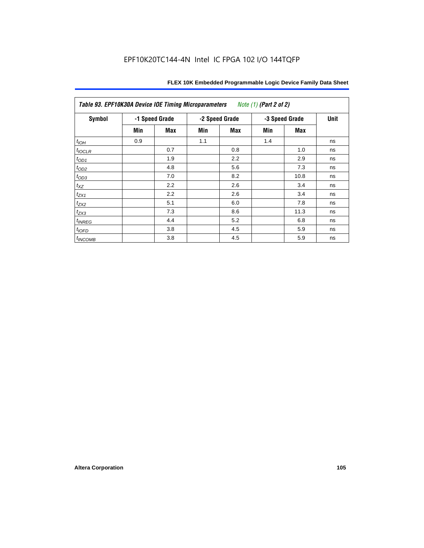| Table 93. EPF10K30A Device IOE Timing Microparameters<br>Note (1) (Part 2 of 2) |     |                |     |                |                |             |    |  |  |
|---------------------------------------------------------------------------------|-----|----------------|-----|----------------|----------------|-------------|----|--|--|
| Symbol                                                                          |     | -1 Speed Grade |     | -2 Speed Grade | -3 Speed Grade | <b>Unit</b> |    |  |  |
|                                                                                 | Min | Max            | Min | Max            | Min            | Max         |    |  |  |
| $t_{IOH}$                                                                       | 0.9 |                | 1.1 |                | 1.4            |             | ns |  |  |
| $t_{IOCLR}$                                                                     |     | 0.7            |     | 0.8            |                | 1.0         | ns |  |  |
| $t_{OD1}$                                                                       |     | 1.9            |     | 2.2            |                | 2.9         | ns |  |  |
| $t_{OD2}$                                                                       |     | 4.8            |     | 5.6            |                | 7.3         | ns |  |  |
| $t_{OD3}$                                                                       |     | 7.0            |     | 8.2            |                | 10.8        | ns |  |  |
| $t_{\mathsf{XZ}}$                                                               |     | 2.2            |     | 2.6            |                | 3.4         | ns |  |  |
| $t_{ZX1}$                                                                       |     | 2.2            |     | 2.6            |                | 3.4         | ns |  |  |
| $t_{ZX2}$                                                                       |     | 5.1            |     | 6.0            |                | 7.8         | ns |  |  |
| $t_{ZX3}$                                                                       |     | 7.3            |     | 8.6            |                | 11.3        | ns |  |  |
| $t_{INREG}$                                                                     |     | 4.4            |     | 5.2            |                | 6.8         | ns |  |  |
| $t_{IOFD}$                                                                      |     | 3.8            |     | 4.5            |                | 5.9         | ns |  |  |
| $t_{INCOMB}$                                                                    |     | 3.8            |     | 4.5            |                | 5.9         | ns |  |  |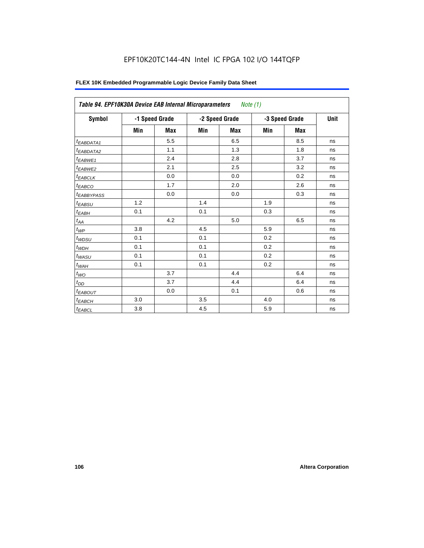| <b>Symbol</b>          | -1 Speed Grade |            | -2 Speed Grade |     | -3 Speed Grade |            | Unit |
|------------------------|----------------|------------|----------------|-----|----------------|------------|------|
|                        | Min            | <b>Max</b> | Min            | Max | Min            | <b>Max</b> |      |
| <sup>t</sup> EABDATA1  |                | 5.5        |                | 6.5 |                | 8.5        | ns   |
| <sup>t</sup> EABDATA2  |                | 1.1        |                | 1.3 |                | 1.8        | ns   |
| t <sub>EABWE1</sub>    |                | 2.4        |                | 2.8 |                | 3.7        | ns   |
| <sup>t</sup> EABWE2    |                | 2.1        |                | 2.5 |                | 3.2        | ns   |
| <sup>t</sup> EABCLK    |                | 0.0        |                | 0.0 |                | 0.2        | ns   |
| t <sub>EABCO</sub>     |                | 1.7        |                | 2.0 |                | 2.6        | ns   |
| <sup>t</sup> EABBYPASS |                | 0.0        |                | 0.0 |                | 0.3        | ns   |
| t <sub>EABSU</sub>     | 1.2            |            | 1.4            |     | 1.9            |            | ns   |
| t <sub>ЕАВН</sub>      | 0.1            |            | 0.1            |     | 0.3            |            | ns   |
| $t_{AA}$               |                | 4.2        |                | 5.0 |                | 6.5        | ns   |
| $t_{\mathcal{WP}}$     | 3.8            |            | 4.5            |     | 5.9            |            | ns   |
| t <sub>WDSU</sub>      | 0.1            |            | 0.1            |     | 0.2            |            | ns   |
| $t_{WDH}$              | 0.1            |            | 0.1            |     | 0.2            |            | ns   |
| t <sub>WASU</sub>      | 0.1            |            | 0.1            |     | 0.2            |            | ns   |
| $t_{WAH}$              | 0.1            |            | 0.1            |     | 0.2            |            | ns   |
| $t_{WO}$               |                | 3.7        |                | 4.4 |                | 6.4        | ns   |
| $t_{DD}$               |                | 3.7        |                | 4.4 |                | 6.4        | ns   |
| <sup>t</sup> EABOUT    |                | 0.0        |                | 0.1 |                | 0.6        | ns   |
| $t_{EABCH}$            | 3.0            |            | 3.5            |     | 4.0            |            | ns   |
| $t_{EABCL}$            | $3.8\,$        |            | 4.5            |     | 5.9            |            | ns   |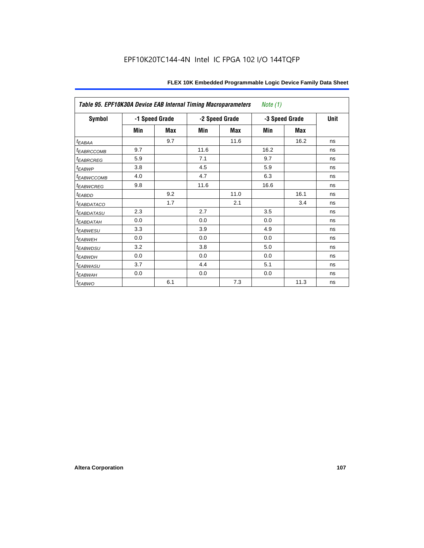| Table 95. EPF10K30A Device EAB Internal Timing Macroparameters<br>Note $(1)$ |     |                |      |                |      |                |    |  |  |
|------------------------------------------------------------------------------|-----|----------------|------|----------------|------|----------------|----|--|--|
| Symbol                                                                       |     | -1 Speed Grade |      | -2 Speed Grade |      | -3 Speed Grade |    |  |  |
|                                                                              | Min | Max            | Min  | Max            | Min  | Max            |    |  |  |
| t <sub>EABAA</sub>                                                           |     | 9.7            |      | 11.6           |      | 16.2           | ns |  |  |
| <sup>t</sup> EABRCCOMB                                                       | 9.7 |                | 11.6 |                | 16.2 |                | ns |  |  |
| <b><i>EABRCREG</i></b>                                                       | 5.9 |                | 7.1  |                | 9.7  |                | ns |  |  |
| t <sub>EABWP</sub>                                                           | 3.8 |                | 4.5  |                | 5.9  |                | ns |  |  |
| <sup>t</sup> ЕАВWССОМВ                                                       | 4.0 |                | 4.7  |                | 6.3  |                | ns |  |  |
| <sup>t</sup> EABWCREG                                                        | 9.8 |                | 11.6 |                | 16.6 |                | ns |  |  |
| <sup>t</sup> EABDD                                                           |     | 9.2            |      | 11.0           |      | 16.1           | ns |  |  |
| <i>EABDATACO</i>                                                             |     | 1.7            |      | 2.1            |      | 3.4            | ns |  |  |
| <sup>t</sup> EABDATASU                                                       | 2.3 |                | 2.7  |                | 3.5  |                | ns |  |  |
| <sup>t</sup> EABDATAH                                                        | 0.0 |                | 0.0  |                | 0.0  |                | ns |  |  |
| <sup>t</sup> EABWESU                                                         | 3.3 |                | 3.9  |                | 4.9  |                | ns |  |  |
| t <sub>EABWEH</sub>                                                          | 0.0 |                | 0.0  |                | 0.0  |                | ns |  |  |
| <sup>t</sup> EABWDSU                                                         | 3.2 |                | 3.8  |                | 5.0  |                | ns |  |  |
| t <sub>EABWDH</sub>                                                          | 0.0 |                | 0.0  |                | 0.0  |                | ns |  |  |
| <sup>t</sup> EABWASU                                                         | 3.7 |                | 4.4  |                | 5.1  |                | ns |  |  |
| <sup>t</sup> EABWAH                                                          | 0.0 |                | 0.0  |                | 0.0  |                | ns |  |  |
| t <sub>EABWO</sub>                                                           |     | 6.1            |      | 7.3            |      | 11.3           | ns |  |  |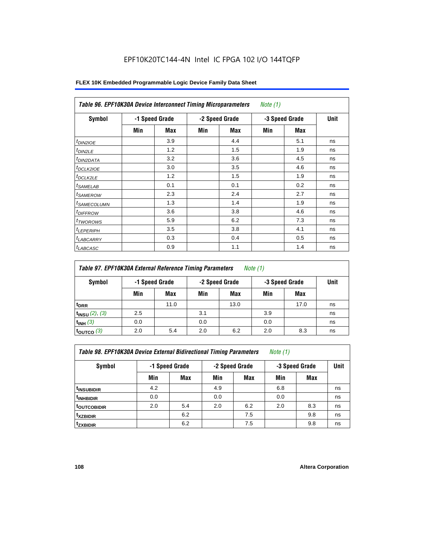| <b>Symbol</b>              |     | -1 Speed Grade |     | -2 Speed Grade | -3 Speed Grade | Unit |    |
|----------------------------|-----|----------------|-----|----------------|----------------|------|----|
|                            | Min | Max            | Min | Max            | Min            | Max  |    |
| $t_{DINZIOE}$              |     | 3.9            |     | 4.4            |                | 5.1  | ns |
| t <sub>DIN2LE</sub>        |     | 1.2            |     | 1.5            |                | 1.9  | ns |
| <sup>t</sup> DIN2DATA      |     | 3.2            |     | 3.6            |                | 4.5  | ns |
| t <sub>DCLK2IOE</sub>      |     | 3.0            |     | 3.5            |                | 4.6  | ns |
| <sup>t</sup> DCLK2LE       |     | 1.2            |     | 1.5            |                | 1.9  | ns |
| <sup>t</sup> SAMELAB       |     | 0.1            |     | 0.1            |                | 0.2  | ns |
| <sup>t</sup> SAMEROW       |     | 2.3            |     | 2.4            |                | 2.7  | ns |
| <i><b>ISAMECOLUMN</b></i>  |     | 1.3            |     | 1.4            |                | 1.9  | ns |
| <i>t<sub>DIFFROW</sub></i> |     | 3.6            |     | 3.8            |                | 4.6  | ns |
| <sup>t</sup> TWOROWS       |     | 5.9            |     | 6.2            |                | 7.3  | ns |
| <sup>t</sup> LEPERIPH      |     | 3.5            |     | 3.8            |                | 4.1  | ns |
| <sup>I</sup> LABCARRY      |     | 0.3            |     | 0.4            |                | 0.5  | ns |
| <sup>t</sup> LABCASC       |     | 0.9            |     | 1.1            |                | 1.4  | ns |

#### **FLEX 10K Embedded Programmable Logic Device Family Data Sheet**

| Symbol                 |     | -1 Speed Grade |     | -2 Speed Grade |     | -3 Speed Grade | Unit |
|------------------------|-----|----------------|-----|----------------|-----|----------------|------|
|                        | Min | Max            | Min | Max            | Min | <b>Max</b>     |      |
| <sup>t</sup> DRR       |     | 11.0           |     | 13.0           |     | 17.0           | ns   |
| $t_{INSU}$ (2), (3)    | 2.5 |                | 3.1 |                | 3.9 |                | ns   |
| $t_{INH}$ (3)          | 0.0 |                | 0.0 |                | 0.0 |                | ns   |
| $t_{\text{OUTCO}}$ (3) | 2.0 | 5.4            | 2.0 | 6.2            | 2.0 | 8.3            | ns   |

*Table 98. EPF10K30A Device External Bidirectional Timing Parameters Note (1)*

| Symbol                 |     | -1 Speed Grade |     | -2 Speed Grade | -3 Speed Grade | <b>Unit</b> |    |
|------------------------|-----|----------------|-----|----------------|----------------|-------------|----|
|                        | Min | <b>Max</b>     | Min | <b>Max</b>     | Min            | <b>Max</b>  |    |
| <sup>t</sup> INSUBIDIR | 4.2 |                | 4.9 |                | 6.8            |             | ns |
| <sup>t</sup> INHBIDIR  | 0.0 |                | 0.0 |                | 0.0            |             | ns |
| <b>toutcobidir</b>     | 2.0 | 5.4            | 2.0 | 6.2            | 2.0            | 8.3         | ns |
| <sup>t</sup> xzbidir   |     | 6.2            |     | 7.5            |                | 9.8         | ns |
| <i>t</i> zxbidir       |     | 6.2            |     | 7.5            |                | 9.8         | ns |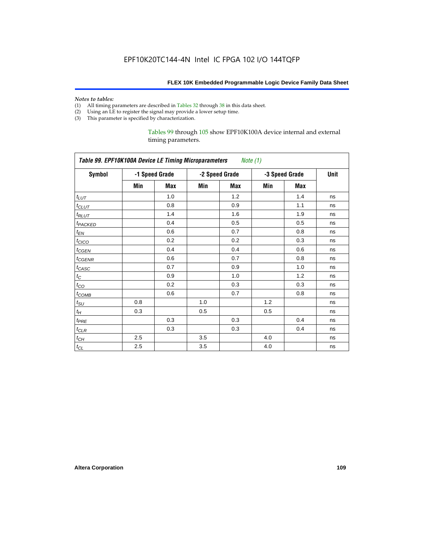#### *Notes to tables:*

- (1) All timing parameters are described in Tables 32 through 38 in this data sheet.
- (2) Using an LE to register the signal may provide a lower setup time.
- (3) This parameter is specified by characterization.

Tables 99 through 105 show EPF10K100A device internal and external timing parameters.

| Table 99. EPF10K100A Device LE Timing Microparameters Note (1) |     |                |     |                |     |                |      |  |  |
|----------------------------------------------------------------|-----|----------------|-----|----------------|-----|----------------|------|--|--|
| <b>Symbol</b>                                                  |     | -1 Speed Grade |     | -2 Speed Grade |     | -3 Speed Grade | Unit |  |  |
|                                                                | Min | <b>Max</b>     | Min | Max            | Min | Max            |      |  |  |
| $t_{LUT}$                                                      |     | 1.0            |     | 1.2            |     | 1.4            | ns   |  |  |
| $t_{CLUT}$                                                     |     | 0.8            |     | 0.9            |     | 1.1            | ns   |  |  |
| $t_{RLUT}$                                                     |     | 1.4            |     | 1.6            |     | 1.9            | ns   |  |  |
| t <sub>PACKED</sub>                                            |     | 0.4            |     | 0.5            |     | 0.5            | ns   |  |  |
| $t_{EN}$                                                       |     | 0.6            |     | 0.7            |     | 0.8            | ns   |  |  |
| $t_{CICO}$                                                     |     | 0.2            |     | 0.2            |     | 0.3            | ns   |  |  |
| $t_{\text{CGEN}}$                                              |     | 0.4            |     | 0.4            |     | 0.6            | ns   |  |  |
| $t_{GENR}$                                                     |     | 0.6            |     | 0.7            |     | 0.8            | ns   |  |  |
| $t_{CASC}$                                                     |     | 0.7            |     | 0.9            |     | 1.0            | ns   |  |  |
| $t_{\rm C}$                                                    |     | 0.9            |     | 1.0            |     | 1.2            | ns   |  |  |
| $t_{CO}$                                                       |     | 0.2            |     | 0.3            |     | 0.3            | ns   |  |  |
| $t_{COMB}$                                                     |     | 0.6            |     | 0.7            |     | 0.8            | ns   |  |  |
| $t_{\rm SU}$                                                   | 0.8 |                | 1.0 |                | 1.2 |                | ns   |  |  |
| $t_H\,$                                                        | 0.3 |                | 0.5 |                | 0.5 |                | ns   |  |  |
| $t_{PRE}$                                                      |     | 0.3            |     | 0.3            |     | 0.4            | ns   |  |  |
| $t_{CLR}$                                                      |     | 0.3            |     | 0.3            |     | 0.4            | ns   |  |  |
| $t_{CH}$                                                       | 2.5 |                | 3.5 |                | 4.0 |                | ns   |  |  |
| $t_{CL}$                                                       | 2.5 |                | 3.5 |                | 4.0 |                | ns   |  |  |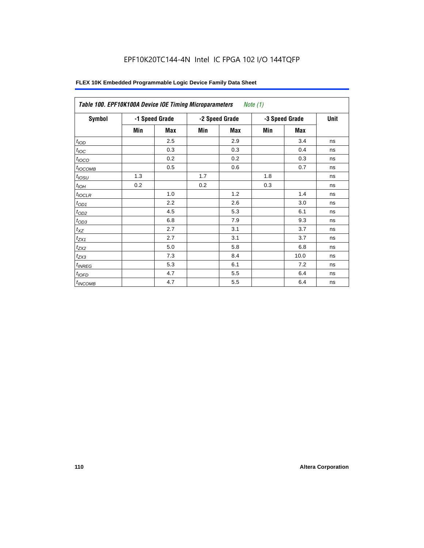| Table 100. EPF10K100A Device IOE Timing Microparameters<br><i>Note</i> $(1)$ |                |     |     |                |                |      |    |  |  |  |
|------------------------------------------------------------------------------|----------------|-----|-----|----------------|----------------|------|----|--|--|--|
| Symbol                                                                       | -1 Speed Grade |     |     | -2 Speed Grade | -3 Speed Grade | Unit |    |  |  |  |
|                                                                              | Min            | Max | Min | Max            | Min            | Max  |    |  |  |  |
| t <sub>IOD</sub>                                                             |                | 2.5 |     | 2.9            |                | 3.4  | ns |  |  |  |
| $t_{\text{IOC}}$                                                             |                | 0.3 |     | 0.3            |                | 0.4  | ns |  |  |  |
| $t_{IOCO}$                                                                   |                | 0.2 |     | 0.2            |                | 0.3  | ns |  |  |  |
| $t_{IOCOMB}$                                                                 |                | 0.5 |     | 0.6            |                | 0.7  | ns |  |  |  |
| $t_{IOSU}$                                                                   | 1.3            |     | 1.7 |                | 1.8            |      | ns |  |  |  |
| $t_{IOH}$                                                                    | 0.2            |     | 0.2 |                | 0.3            |      | ns |  |  |  |
| $t_{IOCLR}$                                                                  |                | 1.0 |     | 1.2            |                | 1.4  | ns |  |  |  |
| $t_{OD1}$                                                                    |                | 2.2 |     | 2.6            |                | 3.0  | ns |  |  |  |
| $t_{OD2}$                                                                    |                | 4.5 |     | 5.3            |                | 6.1  | ns |  |  |  |
| $t_{OD3}$                                                                    |                | 6.8 |     | 7.9            |                | 9.3  | ns |  |  |  |
| $t_{XZ}$                                                                     |                | 2.7 |     | 3.1            |                | 3.7  | ns |  |  |  |
| $t_{ZX1}$                                                                    |                | 2.7 |     | 3.1            |                | 3.7  | ns |  |  |  |
| $t_{ZX2}$                                                                    |                | 5.0 |     | 5.8            |                | 6.8  | ns |  |  |  |
| $t_{ZX3}$                                                                    |                | 7.3 |     | 8.4            |                | 10.0 | ns |  |  |  |
| $t_{INREG}$                                                                  |                | 5.3 |     | 6.1            |                | 7.2  | ns |  |  |  |
| $t_{IOFD}$                                                                   |                | 4.7 |     | 5.5            |                | 6.4  | ns |  |  |  |
| $t_{INCOMB}$                                                                 |                | 4.7 |     | 5.5            |                | 6.4  | ns |  |  |  |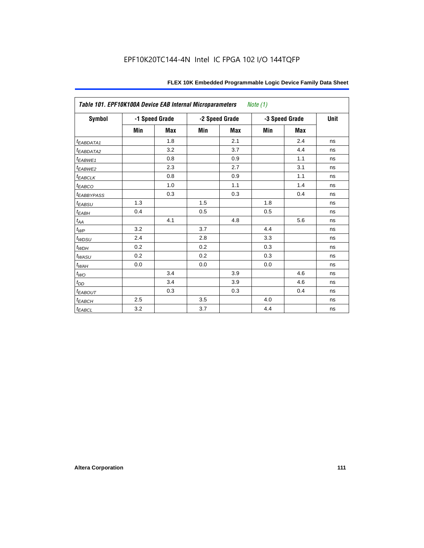| Table 101. EPF10K100A Device EAB Internal Microparameters<br>Note (1) |     |                |     |                |     |                |      |  |  |  |
|-----------------------------------------------------------------------|-----|----------------|-----|----------------|-----|----------------|------|--|--|--|
| <b>Symbol</b>                                                         |     | -1 Speed Grade |     | -2 Speed Grade |     | -3 Speed Grade | Unit |  |  |  |
|                                                                       | Min | <b>Max</b>     | Min | <b>Max</b>     | Min | <b>Max</b>     |      |  |  |  |
| t <sub>EABDATA1</sub>                                                 |     | 1.8            |     | 2.1            |     | 2.4            | ns   |  |  |  |
| t <sub>EABDATA2</sub>                                                 |     | 3.2            |     | 3.7            |     | 4.4            | ns   |  |  |  |
| t <sub>EABWE1</sub>                                                   |     | 0.8            |     | 0.9            |     | 1.1            | ns   |  |  |  |
| t <sub>EABWE2</sub>                                                   |     | 2.3            |     | 2.7            |     | 3.1            | ns   |  |  |  |
| $t_{EABCLK}$                                                          |     | 0.8            |     | 0.9            |     | 1.1            | ns   |  |  |  |
| $t_{EABCO}$                                                           |     | 1.0            |     | 1.1            |     | 1.4            | ns   |  |  |  |
| <b><i>EABBYPASS</i></b>                                               |     | 0.3            |     | 0.3            |     | 0.4            | ns   |  |  |  |
| $t_{EABSU}$                                                           | 1.3 |                | 1.5 |                | 1.8 |                | ns   |  |  |  |
| $t_{EABH}$                                                            | 0.4 |                | 0.5 |                | 0.5 |                | ns   |  |  |  |
| $t_{\mathit{AA}}$                                                     |     | 4.1            |     | 4.8            |     | 5.6            | ns   |  |  |  |
| $t_{\mathit{WP}}$                                                     | 3.2 |                | 3.7 |                | 4.4 |                | ns   |  |  |  |
| $t_{WDSU}$                                                            | 2.4 |                | 2.8 |                | 3.3 |                | ns   |  |  |  |
| $t_{WDH}$                                                             | 0.2 |                | 0.2 |                | 0.3 |                | ns   |  |  |  |
| $t_{WASU}$                                                            | 0.2 |                | 0.2 |                | 0.3 |                | ns   |  |  |  |
| $t_{WAH}$                                                             | 0.0 |                | 0.0 |                | 0.0 |                | ns   |  |  |  |
| $t_{WO}$                                                              |     | 3.4            |     | 3.9            |     | 4.6            | ns   |  |  |  |
| $t_{DD}$                                                              |     | 3.4            |     | 3.9            |     | 4.6            | ns   |  |  |  |
| $t_{EABOUT}$                                                          |     | 0.3            |     | 0.3            |     | 0.4            | ns   |  |  |  |
| $t_{EABCH}$                                                           | 2.5 |                | 3.5 |                | 4.0 |                | ns   |  |  |  |
| $t_{EABCL}$                                                           | 3.2 |                | 3.7 |                | 4.4 |                | ns   |  |  |  |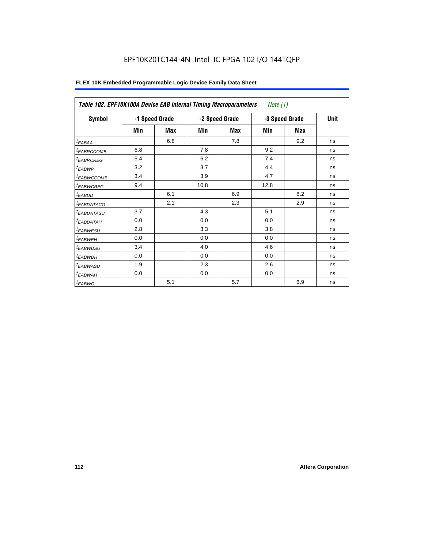| Table 102. EPF10K100A Device EAB Internal Timing Macroparameters<br>Note $(1)$ |                |     |      |                |                |            |    |  |  |  |
|--------------------------------------------------------------------------------|----------------|-----|------|----------------|----------------|------------|----|--|--|--|
| Symbol                                                                         | -1 Speed Grade |     |      | -2 Speed Grade | -3 Speed Grade | Unit       |    |  |  |  |
|                                                                                | Min            | Max | Min  | Max            | Min            | <b>Max</b> |    |  |  |  |
| $t_{EABA}$                                                                     |                | 6.8 |      | 7.8            |                | 9.2        | ns |  |  |  |
| <sup>t</sup> EABRCCOMB                                                         | 6.8            |     | 7.8  |                | 9.2            |            | ns |  |  |  |
| <b><i>EABRCREG</i></b>                                                         | 5.4            |     | 6.2  |                | 7.4            |            | ns |  |  |  |
| <sup>t</sup> EABWP                                                             | 3.2            |     | 3.7  |                | 4.4            |            | ns |  |  |  |
| <sup>t</sup> EABWCCOMB                                                         | 3.4            |     | 3.9  |                | 4.7            |            | ns |  |  |  |
| <sup>t</sup> EABWCREG                                                          | 9.4            |     | 10.8 |                | 12.8           |            | ns |  |  |  |
| t <sub>EABDD</sub>                                                             |                | 6.1 |      | 6.9            |                | 8.2        | ns |  |  |  |
| <sup>t</sup> EABDATACO                                                         |                | 2.1 |      | 2.3            |                | 2.9        | ns |  |  |  |
| <sup>t</sup> EABDATASU                                                         | 3.7            |     | 4.3  |                | 5.1            |            | ns |  |  |  |
| <sup>t</sup> EABDATAH                                                          | 0.0            |     | 0.0  |                | 0.0            |            | ns |  |  |  |
| <sup>t</sup> EABWESU                                                           | 2.8            |     | 3.3  |                | 3.8            |            | ns |  |  |  |
| $t_{EABWEH}$                                                                   | 0.0            |     | 0.0  |                | 0.0            |            | ns |  |  |  |
| <sup>t</sup> EABWDSU                                                           | 3.4            |     | 4.0  |                | 4.6            |            | ns |  |  |  |
| <sup>t</sup> EABWDH                                                            | 0.0            |     | 0.0  |                | 0.0            |            | ns |  |  |  |
| t <sub>EABWASU</sub>                                                           | 1.9            |     | 2.3  |                | 2.6            |            | ns |  |  |  |
| <sup>t</sup> EABWAH                                                            | 0.0            |     | 0.0  |                | 0.0            |            | ns |  |  |  |
| $t_{EABWO}$                                                                    |                | 5.1 |      | 5.7            |                | 6.9        | ns |  |  |  |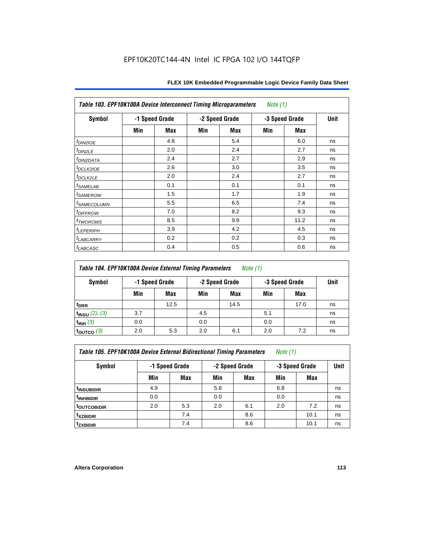| Table 103. EPF10K100A Device Interconnect Timing Microparameters<br>Note $(1)$ |                |     |     |                |                |            |    |  |  |
|--------------------------------------------------------------------------------|----------------|-----|-----|----------------|----------------|------------|----|--|--|
| <b>Symbol</b>                                                                  | -1 Speed Grade |     |     | -2 Speed Grade | -3 Speed Grade | Unit       |    |  |  |
|                                                                                | Min            | Max | Min | Max            | Min            | <b>Max</b> |    |  |  |
| $t_{DINZIOE}$                                                                  |                | 4.8 |     | 5.4            |                | 6.0        | ns |  |  |
| t <sub>DIN2LE</sub>                                                            |                | 2.0 |     | 2.4            |                | 2.7        | ns |  |  |
| <sup>t</sup> DIN2DATA                                                          |                | 2.4 |     | 2.7            |                | 2.9        | ns |  |  |
| t <sub>DCLK2IOE</sub>                                                          |                | 2.6 |     | 3.0            |                | 3.5        | ns |  |  |
| t <sub>DCLK2LE</sub>                                                           |                | 2.0 |     | 2.4            |                | 2.7        | ns |  |  |
| <i>t<sub>SAMELAB</sub></i>                                                     |                | 0.1 |     | 0.1            |                | 0.1        | ns |  |  |
| <i>t</i> SAMEROW                                                               |                | 1.5 |     | 1.7            |                | 1.9        | ns |  |  |
| <i><b>ISAMECOLUMN</b></i>                                                      |                | 5.5 |     | 6.5            |                | 7.4        | ns |  |  |
| <i>t<sub>DIFFROW</sub></i>                                                     |                | 7.0 |     | 8.2            |                | 9.3        | ns |  |  |
| <sup>t</sup> TWOROWS                                                           |                | 8.5 |     | 9.9            |                | 11.2       | ns |  |  |
| <sup>t</sup> LEPERIPH                                                          |                | 3.9 |     | 4.2            |                | 4.5        | ns |  |  |
| <sup>t</sup> LABCARRY                                                          |                | 0.2 |     | 0.2            |                | 0.3        | ns |  |  |
| <sup>t</sup> LABCASC                                                           |                | 0.4 |     | 0.5            |                | 0.6        | ns |  |  |

| Table 104. EPF10K100A Device External Timing Parameters | Note (1) |
|---------------------------------------------------------|----------|
|---------------------------------------------------------|----------|

| Symbol                 | -1 Speed Grade |      |     | -2 Speed Grade | -3 Speed Grade | Unit       |    |
|------------------------|----------------|------|-----|----------------|----------------|------------|----|
|                        | Min            | Max  | Min | Max            | Min            | <b>Max</b> |    |
| t <sub>DRR</sub>       |                | 12.5 |     | 14.5           |                | 17.0       | ns |
| $t_{INSU}$ (2), (3)    | 3.7            |      | 4.5 |                | 5.1            |            | ns |
| $t_{INH}$ (3)          | 0.0            |      | 0.0 |                | 0.0            |            | ns |
| $t_{\text{OUTCO}}$ (3) | 2.0            | 5.3  | 2.0 | 6.1            | 2.0            | 7.2        | ns |

|  | Table 105. EPF10K100A Device External Bidirectional Timing Parameters | Note (1) |
|--|-----------------------------------------------------------------------|----------|
|--|-----------------------------------------------------------------------|----------|

| Symbol                  |     | -1 Speed Grade |     | -2 Speed Grade |     | -3 Speed Grade |    |
|-------------------------|-----|----------------|-----|----------------|-----|----------------|----|
|                         | Min | <b>Max</b>     | Min | <b>Max</b>     | Min | Max            |    |
| <sup>t</sup> INSUBIDIR  | 4.9 |                | 5.8 |                | 6.8 |                | ns |
| <sup>t</sup> INHBIDIR   | 0.0 |                | 0.0 |                | 0.0 |                | ns |
| <sup>t</sup> OUTCOBIDIR | 2.0 | 5.3            | 2.0 | 6.1            | 2.0 | 7.2            | ns |
| <sup>t</sup> xzbidir    |     | 7.4            |     | 8.6            |     | 10.1           | ns |
| <sup>t</sup> zxbidir    |     | 7.4            |     | 8.6            |     | 10.1           | ns |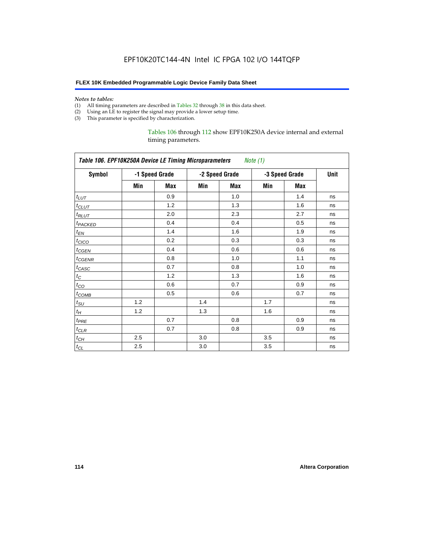#### **FLEX 10K Embedded Programmable Logic Device Family Data Sheet**

#### *Notes to tables:*

- (1) All timing parameters are described in Tables 32 through 38 in this data sheet.
- (2) Using an LE to register the signal may provide a lower setup time.
- (3) This parameter is specified by characterization.

#### Tables 106 through 112 show EPF10K250A device internal and external timing parameters.

| Table 106. EPF10K250A Device LE Timing Microparameters Note (1) |     |                |                |            |                |            |    |
|-----------------------------------------------------------------|-----|----------------|----------------|------------|----------------|------------|----|
| <b>Symbol</b>                                                   |     | -1 Speed Grade | -2 Speed Grade |            | -3 Speed Grade | Unit       |    |
|                                                                 | Min | <b>Max</b>     | Min            | <b>Max</b> | Min            | <b>Max</b> |    |
| $t_{LUT}$                                                       |     | 0.9            |                | 1.0        |                | 1.4        | ns |
| $t_{CLUT}$                                                      |     | 1.2            |                | 1.3        |                | 1.6        | ns |
| $t_{RLUT}$                                                      |     | 2.0            |                | 2.3        |                | 2.7        | ns |
| t <sub>PACKED</sub>                                             |     | 0.4            |                | 0.4        |                | 0.5        | ns |
| $t_{EN}$                                                        |     | 1.4            |                | 1.6        |                | 1.9        | ns |
| $t_{CICO}$                                                      |     | 0.2            |                | 0.3        |                | 0.3        | ns |
| $t_{CGEN}$                                                      |     | 0.4            |                | 0.6        |                | 0.6        | ns |
| t <sub>CGENR</sub>                                              |     | 0.8            |                | 1.0        |                | 1.1        | ns |
| $t_{CASC}$                                                      |     | 0.7            |                | 0.8        |                | 1.0        | ns |
| $t_{\rm C}$                                                     |     | 1.2            |                | 1.3        |                | 1.6        | ns |
| $t_{CO}$                                                        |     | 0.6            |                | 0.7        |                | 0.9        | ns |
| $t_{COMB}$                                                      |     | 0.5            |                | 0.6        |                | 0.7        | ns |
| $t_{\text{SU}}$                                                 | 1.2 |                | 1.4            |            | 1.7            |            | ns |
| $t_H$                                                           | 1.2 |                | 1.3            |            | 1.6            |            | ns |
| $t_{PRE}$                                                       |     | 0.7            |                | 0.8        |                | 0.9        | ns |
| $t_{CLR}$                                                       |     | 0.7            |                | 0.8        |                | 0.9        | ns |
| $t_{CH}$                                                        | 2.5 |                | 3.0            |            | 3.5            |            | ns |
| $t_{CL}$                                                        | 2.5 |                | 3.0            |            | 3.5            |            | ns |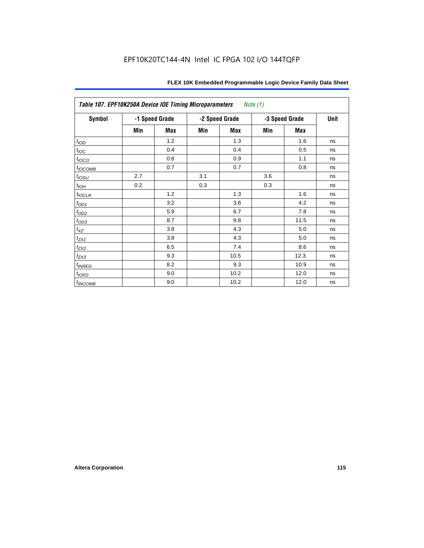| Table 107. EPF10K250A Device IOE Timing Microparameters<br><i>Note</i> $(1)$ |     |                |     |                |     |                |    |  |
|------------------------------------------------------------------------------|-----|----------------|-----|----------------|-----|----------------|----|--|
| <b>Symbol</b>                                                                |     | -1 Speed Grade |     | -2 Speed Grade |     | -3 Speed Grade |    |  |
|                                                                              | Min | Max            | Min | Max            | Min | Max            |    |  |
| t <sub>IOD</sub>                                                             |     | 1.2            |     | 1.3            |     | 1.6            | ns |  |
| $t_{\text{IOC}}$                                                             |     | 0.4            |     | 0.4            |     | 0.5            | ns |  |
| $t_{IOCO}$                                                                   |     | 0.8            |     | 0.9            |     | 1.1            | ns |  |
| $t_{IOCOMB}$                                                                 |     | 0.7            |     | 0.7            |     | 0.8            | ns |  |
| $t_{IOSU}$                                                                   | 2.7 |                | 3.1 |                | 3.6 |                | ns |  |
| $t_{IOH}$                                                                    | 0.2 |                | 0.3 |                | 0.3 |                | ns |  |
| $t_{IOCLR}$                                                                  |     | 1.2            |     | 1.3            |     | 1.6            | ns |  |
| $t_{OD1}$                                                                    |     | 3.2            |     | 3.6            |     | 4.2            | ns |  |
| $t_{OD2}$                                                                    |     | 5.9            |     | 6.7            |     | 7.8            | ns |  |
| $t_{OD3}$                                                                    |     | 8.7            |     | 9.8            |     | 11.5           | ns |  |
| $t_{\mathsf{XZ}}$                                                            |     | 3.8            |     | 4.3            |     | 5.0            | ns |  |
| $t_{ZX1}$                                                                    |     | 3.8            |     | 4.3            |     | 5.0            | ns |  |
| $t_{ZX2}$                                                                    |     | 6.5            |     | 7.4            |     | 8.6            | ns |  |
| $t_{ZX3}$                                                                    |     | 9.3            |     | 10.5           |     | 12.3           | ns |  |
| $t_{INREG}$                                                                  |     | 8.2            |     | 9.3            |     | 10.9           | ns |  |
| $t_{IOFD}$                                                                   |     | 9.0            |     | 10.2           |     | 12.0           | ns |  |
| t <sub>INCOMB</sub>                                                          |     | 9.0            |     | 10.2           |     | 12.0           | ns |  |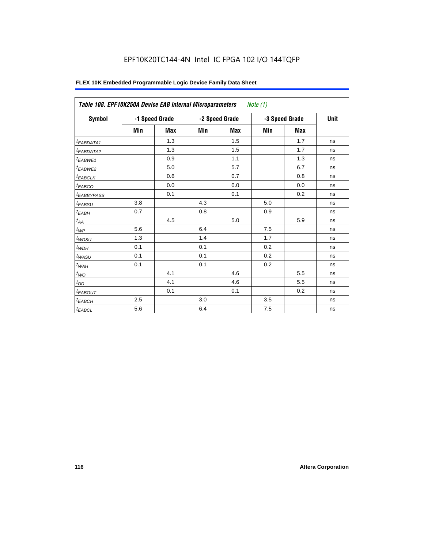| Symbol                  |     | -1 Speed Grade |     | -2 Speed Grade |     | -3 Speed Grade | Unit |
|-------------------------|-----|----------------|-----|----------------|-----|----------------|------|
|                         | Min | Max            | Min | Max            | Min | <b>Max</b>     |      |
| $t_{EABDATA1}$          |     | 1.3            |     | 1.5            |     | 1.7            | ns   |
| <sup>t</sup> EABDATA2   |     | 1.3            |     | 1.5            |     | 1.7            | ns   |
| t <sub>EABWE1</sub>     |     | 0.9            |     | 1.1            |     | 1.3            | ns   |
| $t_{EABWE2}$            |     | 5.0            |     | 5.7            |     | 6.7            | ns   |
| $t_{EABCLK}$            |     | 0.6            |     | 0.7            |     | 0.8            | ns   |
| $t_{EABCO}$             |     | 0.0            |     | 0.0            |     | 0.0            | ns   |
| <i><b>EABBYPASS</b></i> |     | 0.1            |     | 0.1            |     | 0.2            | ns   |
| $t_{EABSU}$             | 3.8 |                | 4.3 |                | 5.0 |                | ns   |
| $t_{EABH}$              | 0.7 |                | 0.8 |                | 0.9 |                | ns   |
| $t_{AA}$                |     | 4.5            |     | 5.0            |     | 5.9            | ns   |
| $t_{WP}$                | 5.6 |                | 6.4 |                | 7.5 |                | ns   |
| $t_{WDSU}$              | 1.3 |                | 1.4 |                | 1.7 |                | ns   |
| $t_{WDH}$               | 0.1 |                | 0.1 |                | 0.2 |                | ns   |
|                         |     |                |     |                |     |                |      |

tWASU 0.1 0.1 0.2 ns  $t_{W\!A H}$  | 0.1 | 0.1 | 0.2 | ns  $t_{\mathcal{W}\mathcal{O}}$  | 4.1 | 4.6 | 5.5 | ns tDD 4.1 4.6 5.5 ns  $t_{EABOUT}$  | 0.1 | 0.1 | 0.1 | 0.2 | ns  $t_{EABCH}$  2.5  $\begin{array}{|c|c|c|c|c|} \hline \end{array}$  3.0  $\begin{array}{|c|c|c|c|c|} \hline \end{array}$  3.5  $\begin{array}{|c|c|c|c|c|c|} \hline \end{array}$  $t_{EABCL}$  | 5.6 | 6.4 | 7.5 | 1s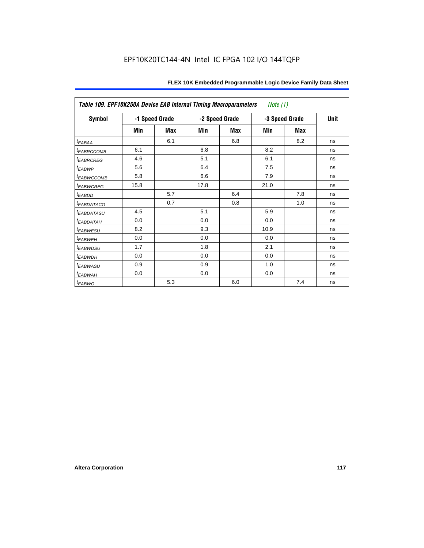| Table 109. EPF10K250A Device EAB Internal Timing Macroparameters<br>Note $(1)$ |      |                |      |                |      |                |    |  |
|--------------------------------------------------------------------------------|------|----------------|------|----------------|------|----------------|----|--|
| <b>Symbol</b>                                                                  |      | -1 Speed Grade |      | -2 Speed Grade |      | -3 Speed Grade |    |  |
|                                                                                | Min  | Max            | Min  | <b>Max</b>     | Min  | <b>Max</b>     |    |  |
| $t_{EABA}$                                                                     |      | 6.1            |      | 6.8            |      | 8.2            | ns |  |
| <i>EABRCCOMB</i>                                                               | 6.1  |                | 6.8  |                | 8.2  |                | ns |  |
| <sup>t</sup> EABRCREG                                                          | 4.6  |                | 5.1  |                | 6.1  |                | ns |  |
| t <sub>EABWP</sub>                                                             | 5.6  |                | 6.4  |                | 7.5  |                | ns |  |
| <sup>t</sup> EABWCCOMB                                                         | 5.8  |                | 6.6  |                | 7.9  |                | ns |  |
| <b><i>EABWCREG</i></b>                                                         | 15.8 |                | 17.8 |                | 21.0 |                | ns |  |
| t <sub>EABDD</sub>                                                             |      | 5.7            |      | 6.4            |      | 7.8            | ns |  |
| <sup>t</sup> EABDATACO                                                         |      | 0.7            |      | 0.8            |      | 1.0            | ns |  |
| <sup>t</sup> EABDATASU                                                         | 4.5  |                | 5.1  |                | 5.9  |                | ns |  |
| <sup>t</sup> ЕАВDАТАН                                                          | 0.0  |                | 0.0  |                | 0.0  |                | ns |  |
| <sup>t</sup> EABWESU                                                           | 8.2  |                | 9.3  |                | 10.9 |                | ns |  |
| t <sub>EABWEH</sub>                                                            | 0.0  |                | 0.0  |                | 0.0  |                | ns |  |
| t <sub>EABWDSU</sub>                                                           | 1.7  |                | 1.8  |                | 2.1  |                | ns |  |
| t <sub>EABWDH</sub>                                                            | 0.0  |                | 0.0  |                | 0.0  |                | ns |  |
| t <sub>EABWASU</sub>                                                           | 0.9  |                | 0.9  |                | 1.0  |                | ns |  |
| <sup>t</sup> EABWAH                                                            | 0.0  |                | 0.0  |                | 0.0  |                | ns |  |
| $t_{EABWO}$                                                                    |      | 5.3            |      | 6.0            |      | 7.4            | ns |  |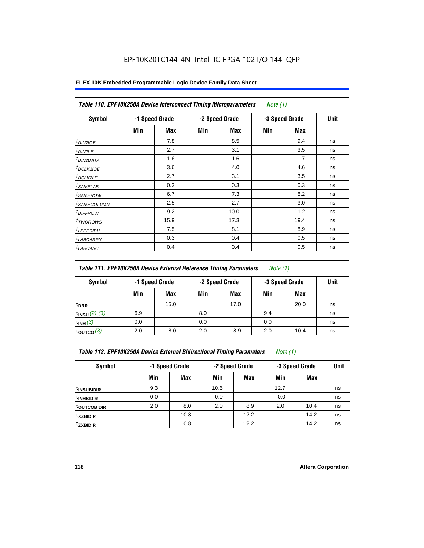| <b>Symbol</b>           |     | -1 Speed Grade |     | -2 Speed Grade |     | -3 Speed Grade | <b>Unit</b> |
|-------------------------|-----|----------------|-----|----------------|-----|----------------|-------------|
|                         | Min | Max            | Min | Max            | Min | Max            |             |
| $t_{DINZIOE}$           |     | 7.8            |     | 8.5            |     | 9.4            | ns          |
| $t_{DIN2LE}$            |     | 2.7            |     | 3.1            |     | 3.5            | ns          |
| <sup>t</sup> DIN2DATA   |     | 1.6            |     | 1.6            |     | 1.7            | ns          |
| <sup>t</sup> DCLK2IOE   |     | 3.6            |     | 4.0            |     | 4.6            | ns          |
| <sup>t</sup> DCLK2LE    |     | 2.7            |     | 3.1            |     | 3.5            | ns          |
| <sup>t</sup> SAMELAB    |     | 0.2            |     | 0.3            |     | 0.3            | ns          |
| <sup>t</sup> SAMEROW    |     | 6.7            |     | 7.3            |     | 8.2            | ns          |
| <sup>t</sup> SAMECOLUMN |     | 2.5            |     | 2.7            |     | 3.0            | ns          |
| <i><b>IDIFFROW</b></i>  |     | 9.2            |     | 10.0           |     | 11.2           | ns          |
| <sup>t</sup> TWOROWS    |     | 15.9           |     | 17.3           |     | 19.4           | ns          |
| <sup>t</sup> LEPERIPH   |     | 7.5            |     | 8.1            |     | 8.9            | ns          |
| <sup>t</sup> LABCARRY   |     | 0.3            |     | 0.4            |     | 0.5            | ns          |
| <sup>t</sup> LABCASC    |     | 0.4            |     | 0.4            |     | 0.5            | ns          |

| Table 111. EPF10K250A Device External Reference Timing Parameters<br>Note (1) |     |                |                |      |                |      |             |
|-------------------------------------------------------------------------------|-----|----------------|----------------|------|----------------|------|-------------|
| Symbol                                                                        |     | -1 Speed Grade | -2 Speed Grade |      | -3 Speed Grade |      | <b>Unit</b> |
|                                                                               | Min | Max            | Min            | Max  | Min            | Max  |             |
| <sup>t</sup> DRR                                                              |     | 15.0           |                | 17.0 |                | 20.0 | ns          |
| $t_{INSU}(2)$ (3)                                                             | 6.9 |                | 8.0            |      | 9.4            |      | ns          |
| $t_{INH}$ (3)                                                                 | 0.0 |                | 0.0            |      | 0.0            |      | ns          |
| $t_{\text{OUTCO}}(3)$                                                         | 2.0 | 8.0            | 2.0            | 8.9  | 2.0            | 10.4 | ns          |

| Table 112. EPF10K250A Device External Bidirectional Timing Parameters |  |  | Note (1) |  |
|-----------------------------------------------------------------------|--|--|----------|--|
|-----------------------------------------------------------------------|--|--|----------|--|

| Symbol                | -1 Speed Grade |      | -2 Speed Grade |            | -3 Speed Grade | <b>Unit</b> |    |
|-----------------------|----------------|------|----------------|------------|----------------|-------------|----|
|                       | Min            | Max  | Min            | <b>Max</b> | Min            | Max         |    |
| <b>t</b> INSUBIDIR    | 9.3            |      | 10.6           |            | 12.7           |             | ns |
| t <sub>INHBIDIR</sub> | 0.0            |      | 0.0            |            | 0.0            |             | ns |
| <b>toutcobidir</b>    | 2.0            | 8.0  | 2.0            | 8.9        | 2.0            | 10.4        | ns |
| t <sub>XZBIDIR</sub>  |                | 10.8 |                | 12.2       |                | 14.2        | ns |
| tzxbidir              |                | 10.8 |                | 12.2       |                | 14.2        | ns |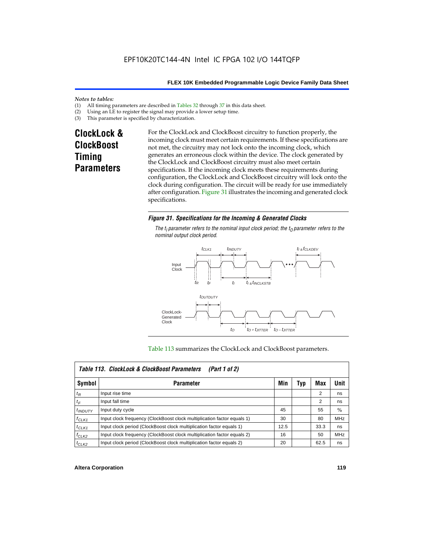#### *Notes to tables:*

- (1) All timing parameters are described in Tables  $32$  through  $37$  in this data sheet.<br>(2) Using an LE to register the signal may provide a lower setup time.
- (2) Using an LE to register the signal may provide a lower setup time.<br>(3) This parameter is specified by characterization.
- This parameter is specified by characterization.

## **ClockLock & ClockBoost Timing Parameters**

For the ClockLock and ClockBoost circuitry to function properly, the incoming clock must meet certain requirements. If these specifications are not met, the circuitry may not lock onto the incoming clock, which generates an erroneous clock within the device. The clock generated by the ClockLock and ClockBoost circuitry must also meet certain specifications. If the incoming clock meets these requirements during configuration, the ClockLock and ClockBoost circuitry will lock onto the clock during configuration. The circuit will be ready for use immediately after configuration. Figure 31 illustrates the incoming and generated clock specifications.

#### *Figure 31. Specifications for the Incoming & Generated Clocks*

The  $t_i$  parameter refers to the nominal input clock period; the  $t_0$  parameter refers to the *nominal output clock period.*



#### Table 113 summarizes the ClockLock and ClockBoost parameters.

|              | Table 113. ClockLock & ClockBoost Parameters<br>(Part 1 of 2)           |      |     |      |            |  |  |  |
|--------------|-------------------------------------------------------------------------|------|-----|------|------------|--|--|--|
| Symbol       | <b>Parameter</b>                                                        | Min  | Typ | Max  | Unit       |  |  |  |
| $t_{R}$      | Input rise time                                                         |      |     | 2    | ns         |  |  |  |
| $t_F$        | Input fall time                                                         |      |     | 2    | ns         |  |  |  |
| $t_{INDUTY}$ | Input duty cycle                                                        | 45   |     | 55   | $\%$       |  |  |  |
| $f_{CLK1}$   | Input clock frequency (ClockBoost clock multiplication factor equals 1) | 30   |     | 80   | <b>MHz</b> |  |  |  |
| $t$ CLK1     | Input clock period (ClockBoost clock multiplication factor equals 1)    | 12.5 |     | 33.3 | ns         |  |  |  |
| $f_{CLK2}$   | Input clock frequency (ClockBoost clock multiplication factor equals 2) | 16   |     | 50   | <b>MHz</b> |  |  |  |
| $t_{CLK2}$   | Input clock period (ClockBoost clock multiplication factor equals 2)    | 20   |     | 62.5 | ns         |  |  |  |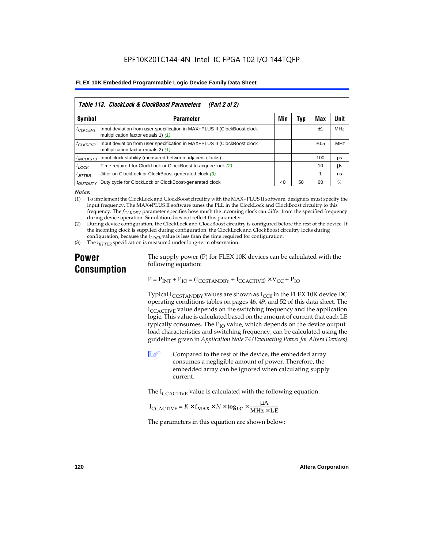|                               | Table 113. ClockLock & ClockBoost Parameters<br>(Part 2 of 2)                                                   |     |     |           |            |  |  |  |  |
|-------------------------------|-----------------------------------------------------------------------------------------------------------------|-----|-----|-----------|------------|--|--|--|--|
| Symbol                        | <b>Parameter</b>                                                                                                | Min | Typ | Max       | Unit       |  |  |  |  |
| <b><i><u>LCLKDEV1</u></i></b> | Input deviation from user specification in MAX+PLUS II (ClockBoost clock<br>multiplication factor equals 1) (1) |     |     | $\pm 1$   | <b>MHz</b> |  |  |  |  |
| <sup>f</sup> CLKDEV2          | Input deviation from user specification in MAX+PLUS II (ClockBoost clock<br>multiplication factor equals 2) (1) |     |     | $\pm 0.5$ | MHz        |  |  |  |  |
| <sup>t</sup> INCLKSTB         | Input clock stability (measured between adjacent clocks)                                                        |     |     | 100       | ps         |  |  |  |  |
| $t_{LOCK}$                    | Time required for ClockLock or ClockBoost to acquire lock (2)                                                   |     |     | 10        | μs         |  |  |  |  |
| $t_{JITTER}$                  | Jitter on ClockLock or ClockBoost-generated clock (3)                                                           |     |     |           | ns         |  |  |  |  |
| <i>toutbuty</i>               | Duty cycle for ClockLock or ClockBoost-generated clock                                                          | 40  | 50  | 60        | %          |  |  |  |  |

*Notes:*

(1) To implement the ClockLock and ClockBoost circuitry with the MAX+PLUS II software, designers must specify the input frequency. The MAX+PLUS II software tunes the PLL in the ClockLock and ClockBoost circuitry to this frequency. The *fCLKDEV* parameter specifies how much the incoming clock can differ from the specified frequency during device operation. Simulation does not reflect this parameter.

(2) During device configuration, the ClockLock and ClockBoost circuitry is configured before the rest of the device. If the incoming clock is supplied during configuration, the ClockLock and ClockBoost circuitry locks during configuration, because the  $t_{LOCK}$  value is less than the time required for configuration.

(3) The *t<sub>IITTER</sub>* specification is measured under long-term observation.

# **Power Consumption**

The supply power (P) for FLEX 10K devices can be calculated with the following equation:

 $P = P_{INT} + P_{IO} = (I_{CCSTANDBY} + I_{CCACTIVE}) \times V_{CC} + P_{IO}$ 

Typical  $I_{CCSTANDBY}$  values are shown as  $I_{CC0}$  in the FLEX 10K device DC operating conditions tables on pages 46, 49, and 52 of this data sheet. The  $I_{\text{CCACTIVE}}$  value depends on the switching frequency and the application logic. This value is calculated based on the amount of current that each LE typically consumes. The  $P_{IO}$  value, which depends on the device output load characteristics and switching frequency, can be calculated using the guidelines given in *Application Note 74 (Evaluating Power for Altera Devices)*.

 $\Box$  Compared to the rest of the device, the embedded array consumes a negligible amount of power. Therefore, the embedded array can be ignored when calculating supply current.

The  $I_{\text{CCACTIVE}}$  value is calculated with the following equation:

$$
I_{\text{CCACTIVE}} = K \times f_{\text{MAX}} \times N \times \text{tog}_{\text{LC}} \times \frac{\mu A}{\text{MHz} \times \text{LE}}
$$

The parameters in this equation are shown below: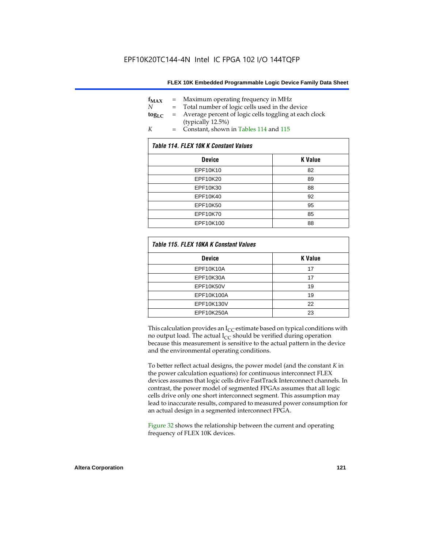| $f_{MAX}$   | $=$ | Maximum operating frequency in MHz                    |
|-------------|-----|-------------------------------------------------------|
| N           |     | Total number of logic cells used in the device        |
| $\log_{LC}$ | $=$ | Average percent of logic cells toggling at each clock |
|             |     | (typically 12.5%)                                     |
| K           | $=$ | Constant, shown in Tables 114 and 115                 |

| Table 114. FLEX 10K K Constant Values |                |  |  |  |  |
|---------------------------------------|----------------|--|--|--|--|
| <b>Device</b>                         | <b>K</b> Value |  |  |  |  |
| EPF10K10                              | 82             |  |  |  |  |
| EPF10K20                              | 89             |  |  |  |  |
| EPF10K30                              | 88             |  |  |  |  |
| EPF10K40                              | 92             |  |  |  |  |
| EPF10K50                              | 95             |  |  |  |  |
| EPF10K70                              | 85             |  |  |  |  |
| EPF10K100                             | 88             |  |  |  |  |

| Table 115. FLEX 10KA K Constant Values |                |
|----------------------------------------|----------------|
| <b>Device</b>                          | <b>K</b> Value |
| <b>EPF10K10A</b>                       | 17             |
| EPF10K30A                              | 17             |
| EPF10K50V                              | 19             |
| EPF10K100A                             | 19             |
| EPF10K130V                             | 22             |
| EPF10K250A                             | 23             |

This calculation provides an  $I_{CC}$  estimate based on typical conditions with no output load. The actual  $I_{CC}$  should be verified during operation because this measurement is sensitive to the actual pattern in the device and the environmental operating conditions.

To better reflect actual designs, the power model (and the constant *K* in the power calculation equations) for continuous interconnect FLEX devices assumes that logic cells drive FastTrack Interconnect channels. In contrast, the power model of segmented FPGAs assumes that all logic cells drive only one short interconnect segment. This assumption may lead to inaccurate results, compared to measured power consumption for an actual design in a segmented interconnect FPGA.

Figure 32 shows the relationship between the current and operating frequency of FLEX 10K devices.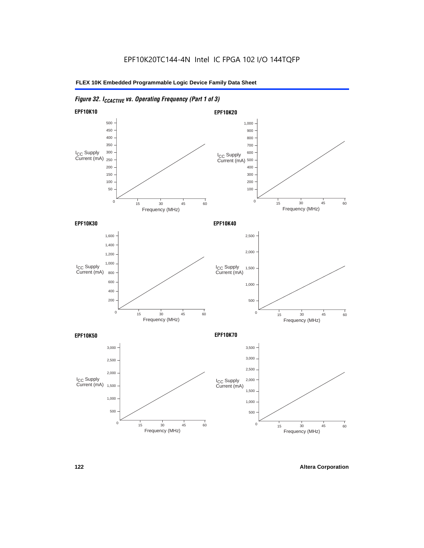## *Figure 32. ICCACTIVE vs. Operating Frequency (Part 1 of 3)*

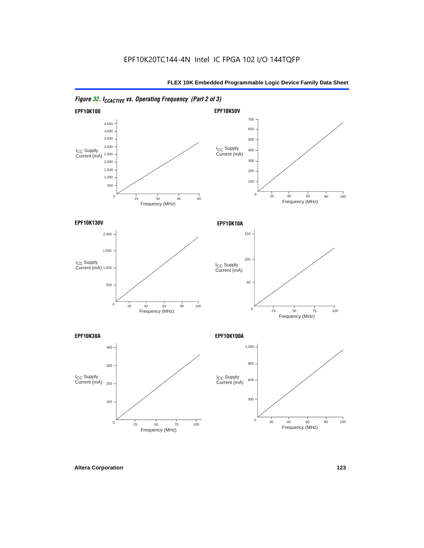

*Figure 32. ICCACTIVE vs. Operating Frequency (Part 2 of 3)*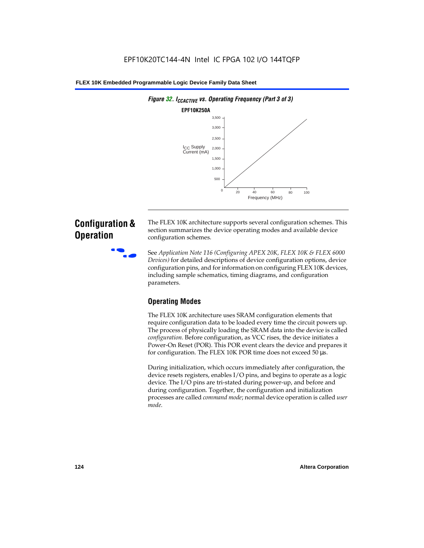

## **Configuration & Operation**

The FLEX 10K architecture supports several configuration schemes. This section summarizes the device operating modes and available device configuration schemes.

f See *Application Note 116 (Configuring APEX 20K, FLEX 10K & FLEX 6000 Devices)* for detailed descriptions of device configuration options, device configuration pins, and for information on configuring FLEX 10K devices, including sample schematics, timing diagrams, and configuration parameters.

### **Operating Modes**

The FLEX 10K architecture uses SRAM configuration elements that require configuration data to be loaded every time the circuit powers up. The process of physically loading the SRAM data into the device is called *configuration*. Before configuration, as VCC rises, the device initiates a Power-On Reset (POR). This POR event clears the device and prepares it for configuration. The FLEX 10K POR time does not exceed 50 µs.

During initialization, which occurs immediately after configuration, the device resets registers, enables I/O pins, and begins to operate as a logic device. The I/O pins are tri-stated during power-up, and before and during configuration. Together, the configuration and initialization processes are called *command mode*; normal device operation is called *user mode*.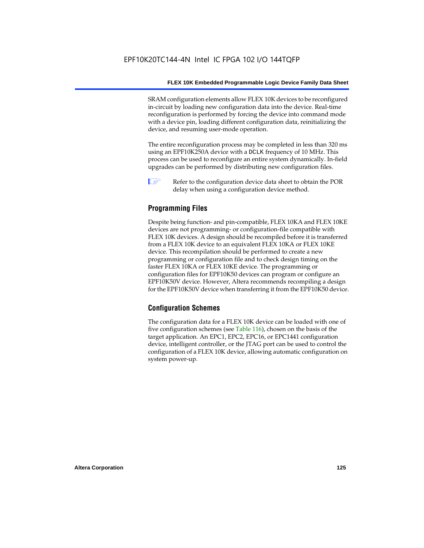SRAM configuration elements allow FLEX 10K devices to be reconfigured in-circuit by loading new configuration data into the device. Real-time reconfiguration is performed by forcing the device into command mode with a device pin, loading different configuration data, reinitializing the device, and resuming user-mode operation.

The entire reconfiguration process may be completed in less than 320 ms using an EPF10K250A device with a DCLK frequency of 10 MHz. This process can be used to reconfigure an entire system dynamically. In-field upgrades can be performed by distributing new configuration files.

 $\Box$  Refer to the configuration device data sheet to obtain the POR delay when using a configuration device method.

#### **Programming Files**

Despite being function- and pin-compatible, FLEX 10KA and FLEX 10KE devices are not programming- or configuration-file compatible with FLEX 10K devices. A design should be recompiled before it is transferred from a FLEX 10K device to an equivalent FLEX 10KA or FLEX 10KE device. This recompilation should be performed to create a new programming or configuration file and to check design timing on the faster FLEX 10KA or FLEX 10KE device. The programming or configuration files for EPF10K50 devices can program or configure an EPF10K50V device. However, Altera recommends recompiling a design for the EPF10K50V device when transferring it from the EPF10K50 device.

#### **Configuration Schemes**

The configuration data for a FLEX 10K device can be loaded with one of five configuration schemes (see Table 116), chosen on the basis of the target application. An EPC1, EPC2, EPC16, or EPC1441 configuration device, intelligent controller, or the JTAG port can be used to control the configuration of a FLEX 10K device, allowing automatic configuration on system power-up.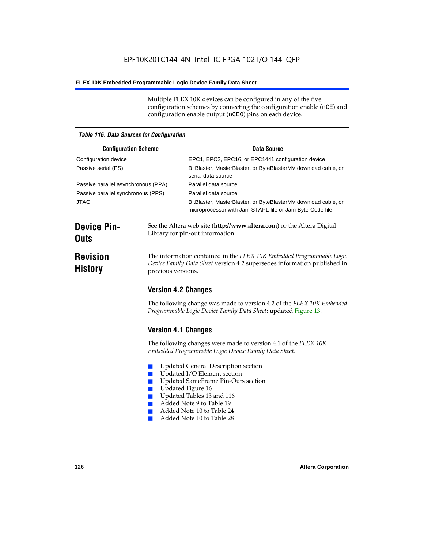Multiple FLEX 10K devices can be configured in any of the five configuration schemes by connecting the configuration enable (nCE) and configuration enable output (nCEO) pins on each device.

| <b>Table 116. Data Sources for Configuration</b> |                                                                                                                            |  |
|--------------------------------------------------|----------------------------------------------------------------------------------------------------------------------------|--|
| <b>Configuration Scheme</b>                      | Data Source                                                                                                                |  |
| Configuration device                             | EPC1, EPC2, EPC16, or EPC1441 configuration device                                                                         |  |
| Passive serial (PS)                              | BitBlaster, MasterBlaster, or ByteBlasterMV download cable, or<br>serial data source                                       |  |
| Passive parallel asynchronous (PPA)              | Parallel data source                                                                                                       |  |
| Passive parallel synchronous (PPS)               | Parallel data source                                                                                                       |  |
| <b>JTAG</b>                                      | BitBlaster, MasterBlaster, or ByteBlasterMV download cable, or<br>microprocessor with Jam STAPL file or Jam Byte-Code file |  |

## **Device Pin-Outs**

**Revision History**

See the Altera web site (**http://www.altera.com**) or the Altera Digital Library for pin-out information.

The information contained in the *FLEX 10K Embedded Programmable Logic Device Family Data Sheet* version 4.2 supersedes information published in previous versions.

### **Version 4.2 Changes**

The following change was made to version 4.2 of the *FLEX 10K Embedded Programmable Logic Device Family Data Sheet*: updated Figure 13.

## **Version 4.1 Changes**

The following changes were made to version 4.1 of the *FLEX 10K Embedded Programmable Logic Device Family Data Sheet*.

- Updated General Description section
- Updated I/O Element section
- Updated SameFrame Pin-Outs section
- Updated Figure 16
- Updated Tables 13 and 116
- Added Note 9 to Table 19
- Added Note 10 to Table 24
- Added Note 10 to Table 28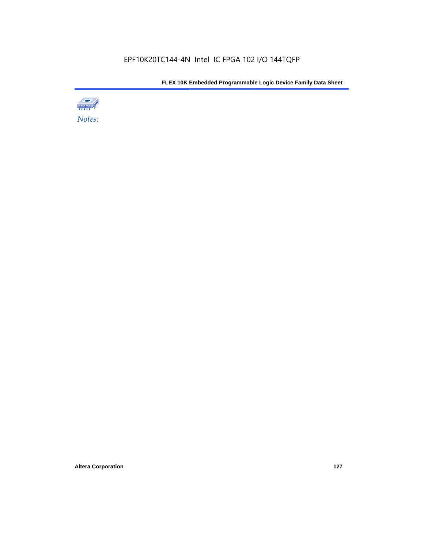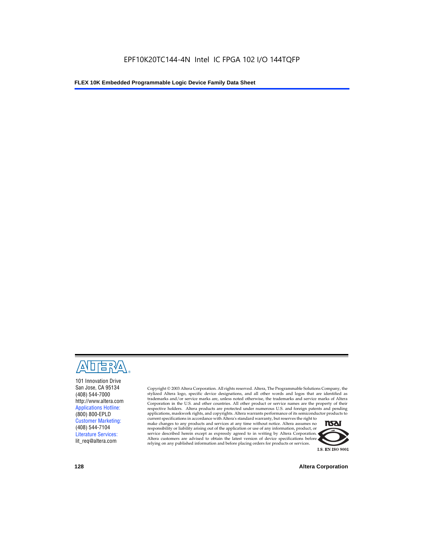#### **FLEX 10K Embedded Programmable Logic Device Family Data Sheet**



101 Innovation Drive San Jose, CA 95134 (408) 544-7000 http://www.altera.com Applications Hotline: (800) 800-EPLD Customer Marketing: (408) 544-7104 Literature Services: lit\_req@altera.com

Copyright © 2003 Altera Corporation. All rights reserved. Altera, The Programmable Solutions Company, the stylized Altera logo, specific device designations, and all other words and logos that are identified as trademarks and/or service marks are, unless noted otherwise, the trademarks and service marks of Altera Corporation in the U.S. and other countries. All other product or service names are the property of their respective holders. Altera products are protected under numerous U.S. and foreign patents and pending applications, maskwork rights, and copyrights. Altera warrants performance of its semiconductor products to

current specifications in accordance with Altera's standard warranty, but reserves the right to make changes to any products and services at any time without notice. Altera assumes no responsibility or liability arising out of the application or use of any information, product, or service described herein except as expressly agreed to in writing by Altera Corporation. Altera customers are advised to obtain the latest version of device specifications before relying on any published information and before placing orders for products or services.



**128 Altera Corporation**